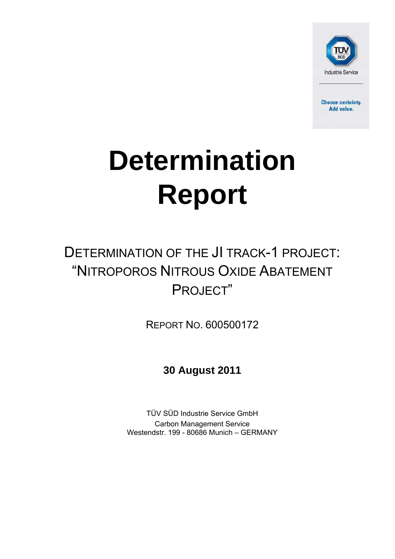

**Choose certainty.** Add value.

# **Determination Report**

## DETERMINATION OF THE JI TRACK-1 PROJECT: "NITROPOROS NITROUS OXIDE ABATEMENT PROJECT"

REPORT NO. 600500172

**30 August 2011**

TÜV SÜD Industrie Service GmbH Carbon Management Service Westendstr. 199 - 80686 Munich – GERMANY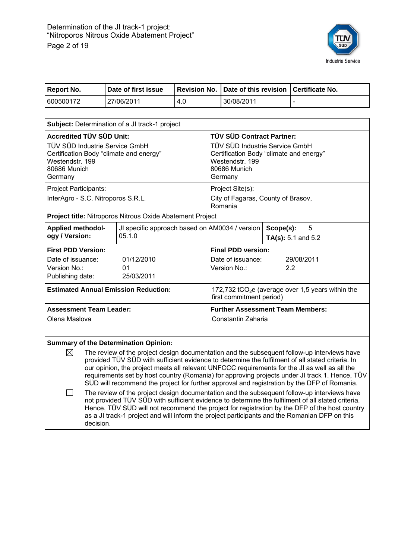

| <b>Report No.</b>                                                                                                                                                                                                                                                                                                                                                                                                         | Date of first issue                                                                                                                                                                               | <b>Revision No.</b> |                    | Date of this revision                                      |           | <b>Certificate No.</b>                                                                      |
|---------------------------------------------------------------------------------------------------------------------------------------------------------------------------------------------------------------------------------------------------------------------------------------------------------------------------------------------------------------------------------------------------------------------------|---------------------------------------------------------------------------------------------------------------------------------------------------------------------------------------------------|---------------------|--------------------|------------------------------------------------------------|-----------|---------------------------------------------------------------------------------------------|
| 600500172                                                                                                                                                                                                                                                                                                                                                                                                                 | 27/06/2011                                                                                                                                                                                        | 4.0                 |                    | 30/08/2011                                                 |           |                                                                                             |
|                                                                                                                                                                                                                                                                                                                                                                                                                           |                                                                                                                                                                                                   |                     |                    |                                                            |           |                                                                                             |
|                                                                                                                                                                                                                                                                                                                                                                                                                           | Subject: Determination of a JI track-1 project                                                                                                                                                    |                     |                    |                                                            |           |                                                                                             |
| <b>Accredited TÜV SÜD Unit:</b>                                                                                                                                                                                                                                                                                                                                                                                           |                                                                                                                                                                                                   |                     |                    | TÜV SÜD Contract Partner:                                  |           |                                                                                             |
| TÜV SÜD Industrie Service GmbH<br>Certification Body "climate and energy"                                                                                                                                                                                                                                                                                                                                                 |                                                                                                                                                                                                   |                     |                    | TÜV SÜD Industrie Service GmbH                             |           |                                                                                             |
| Westendstr, 199                                                                                                                                                                                                                                                                                                                                                                                                           |                                                                                                                                                                                                   |                     |                    | Certification Body "climate and energy"<br>Westendstr. 199 |           |                                                                                             |
| 80686 Munich                                                                                                                                                                                                                                                                                                                                                                                                              |                                                                                                                                                                                                   |                     |                    | 80686 Munich                                               |           |                                                                                             |
| Germany                                                                                                                                                                                                                                                                                                                                                                                                                   |                                                                                                                                                                                                   |                     |                    | Germany                                                    |           |                                                                                             |
| Project Participants:                                                                                                                                                                                                                                                                                                                                                                                                     |                                                                                                                                                                                                   |                     |                    | Project Site(s):                                           |           |                                                                                             |
| InterAgro - S.C. Nitroporos S.R.L.                                                                                                                                                                                                                                                                                                                                                                                        |                                                                                                                                                                                                   |                     |                    | City of Fagaras, County of Brasov,<br>Romania              |           |                                                                                             |
|                                                                                                                                                                                                                                                                                                                                                                                                                           | Project title: Nitroporos Nitrous Oxide Abatement Project                                                                                                                                         |                     |                    |                                                            |           |                                                                                             |
| <b>Applied methodol-</b>                                                                                                                                                                                                                                                                                                                                                                                                  | JI specific approach based on AM0034 / version                                                                                                                                                    |                     |                    |                                                            | Scope(s): | 5                                                                                           |
| ogy / Version:                                                                                                                                                                                                                                                                                                                                                                                                            | 05.1.0                                                                                                                                                                                            |                     |                    |                                                            |           | TA(s): 5.1 and 5.2                                                                          |
| <b>First PDD Version:</b>                                                                                                                                                                                                                                                                                                                                                                                                 |                                                                                                                                                                                                   |                     |                    | <b>Final PDD version:</b>                                  |           |                                                                                             |
| Date of issuance:                                                                                                                                                                                                                                                                                                                                                                                                         | 01/12/2010                                                                                                                                                                                        |                     |                    | Date of issuance:                                          |           | 29/08/2011                                                                                  |
| Version No.:<br>Publishing date:                                                                                                                                                                                                                                                                                                                                                                                          | 01<br>25/03/2011                                                                                                                                                                                  |                     |                    | Version No.:                                               |           | 2.2                                                                                         |
|                                                                                                                                                                                                                                                                                                                                                                                                                           |                                                                                                                                                                                                   |                     |                    |                                                            |           |                                                                                             |
|                                                                                                                                                                                                                                                                                                                                                                                                                           | <b>Estimated Annual Emission Reduction:</b>                                                                                                                                                       |                     |                    | first commitment period)                                   |           | 172,732 tCO <sub>2</sub> e (average over 1,5 years within the                               |
| <b>Assessment Team Leader:</b>                                                                                                                                                                                                                                                                                                                                                                                            |                                                                                                                                                                                                   |                     |                    | <b>Further Assessment Team Members:</b>                    |           |                                                                                             |
| Olena Maslova                                                                                                                                                                                                                                                                                                                                                                                                             |                                                                                                                                                                                                   |                     | Constantin Zaharia |                                                            |           |                                                                                             |
|                                                                                                                                                                                                                                                                                                                                                                                                                           |                                                                                                                                                                                                   |                     |                    |                                                            |           |                                                                                             |
|                                                                                                                                                                                                                                                                                                                                                                                                                           | <b>Summary of the Determination Opinion:</b>                                                                                                                                                      |                     |                    |                                                            |           |                                                                                             |
| ⊠                                                                                                                                                                                                                                                                                                                                                                                                                         |                                                                                                                                                                                                   |                     |                    |                                                            |           | The review of the project design documentation and the subsequent follow-up interviews have |
|                                                                                                                                                                                                                                                                                                                                                                                                                           | provided TÜV SÜD with sufficient evidence to determine the fulfilment of all stated criteria. In<br>our opinion, the project meets all relevant UNFCCC requirements for the JI as well as all the |                     |                    |                                                            |           |                                                                                             |
|                                                                                                                                                                                                                                                                                                                                                                                                                           | requirements set by host country (Romania) for approving projects under JI track 1. Hence, TÜV                                                                                                    |                     |                    |                                                            |           |                                                                                             |
|                                                                                                                                                                                                                                                                                                                                                                                                                           |                                                                                                                                                                                                   |                     |                    |                                                            |           | SÜD will recommend the project for further approval and registration by the DFP of Romania. |
| The review of the project design documentation and the subsequent follow-up interviews have<br>$\Box$<br>not provided TÜV SÜD with sufficient evidence to determine the fulfilment of all stated criteria.<br>Hence, TÜV SÜD will not recommend the project for registration by the DFP of the host country<br>as a JI track-1 project and will inform the project participants and the Romanian DFP on this<br>decision. |                                                                                                                                                                                                   |                     |                    |                                                            |           |                                                                                             |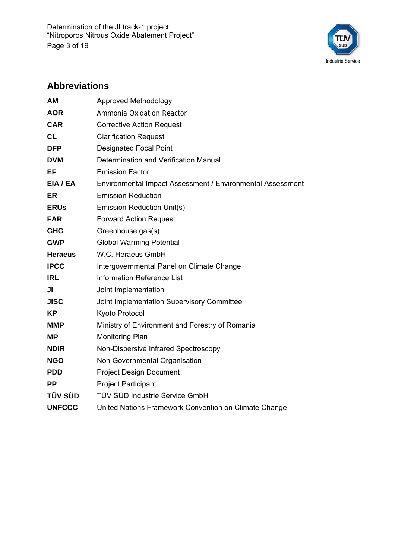Determination of the JI track-1 project: "Nitroporos Nitrous Oxide Abatement Project" Page 3 of 19



## **Abbreviations**

| <b>AM</b>      | <b>Approved Methodology</b>                                |
|----------------|------------------------------------------------------------|
| <b>AOR</b>     | Ammonia Oxidation Reactor                                  |
| <b>CAR</b>     | <b>Corrective Action Request</b>                           |
| <b>CL</b>      | <b>Clarification Request</b>                               |
| <b>DFP</b>     | <b>Designated Focal Point</b>                              |
| <b>DVM</b>     | Determination and Verification Manual                      |
| EF             | <b>Emission Factor</b>                                     |
| EIA / EA       | Environmental Impact Assessment / Environmental Assessment |
| ER             | <b>Emission Reduction</b>                                  |
| <b>ERUs</b>    | Emission Reduction Unit(s)                                 |
| <b>FAR</b>     | <b>Forward Action Request</b>                              |
| <b>GHG</b>     | Greenhouse gas(s)                                          |
| <b>GWP</b>     | <b>Global Warming Potential</b>                            |
| <b>Heraeus</b> | W.C. Heraeus GmbH                                          |
| <b>IPCC</b>    | Intergovernmental Panel on Climate Change                  |
| <b>IRL</b>     | <b>Information Reference List</b>                          |
| JI             | Joint Implementation                                       |
| <b>JISC</b>    | Joint Implementation Supervisory Committee                 |
| <b>KP</b>      | Kyoto Protocol                                             |
| <b>MMP</b>     | Ministry of Environment and Forestry of Romania            |
| <b>MP</b>      | <b>Monitoring Plan</b>                                     |
| <b>NDIR</b>    | Non-Dispersive Infrared Spectroscopy                       |
| <b>NGO</b>     | Non Governmental Organisation                              |
| <b>PDD</b>     | <b>Project Design Document</b>                             |
| <b>PP</b>      | <b>Project Participant</b>                                 |
| <b>TÜV SÜD</b> | TÜV SÜD Industrie Service GmbH                             |
| <b>UNFCCC</b>  | United Nations Framework Convention on Climate Change      |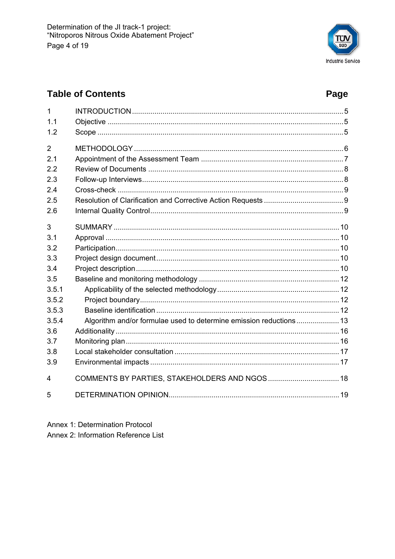

## **Table of Contents**

## Page

| 1              |                                               |  |
|----------------|-----------------------------------------------|--|
| 1.1            |                                               |  |
| 1.2            |                                               |  |
| $\overline{2}$ |                                               |  |
| 2.1            |                                               |  |
| 2.2            |                                               |  |
| 2.3            |                                               |  |
| 2.4            |                                               |  |
| 2.5            |                                               |  |
| 2.6            |                                               |  |
| 3              |                                               |  |
| 3.1            |                                               |  |
| 3.2            |                                               |  |
| 3.3            |                                               |  |
| 3.4            |                                               |  |
| 3.5            |                                               |  |
| 3.5.1          |                                               |  |
| 3.5.2          |                                               |  |
| 3.5.3          |                                               |  |
| 3.5.4          |                                               |  |
| 3.6            |                                               |  |
| 3.7            |                                               |  |
| 3.8            |                                               |  |
| 3.9            |                                               |  |
| 4              | COMMENTS BY PARTIES, STAKEHOLDERS AND NGOS 18 |  |
| 5              |                                               |  |

Annex 1: Determination Protocol Annex 2: Information Reference List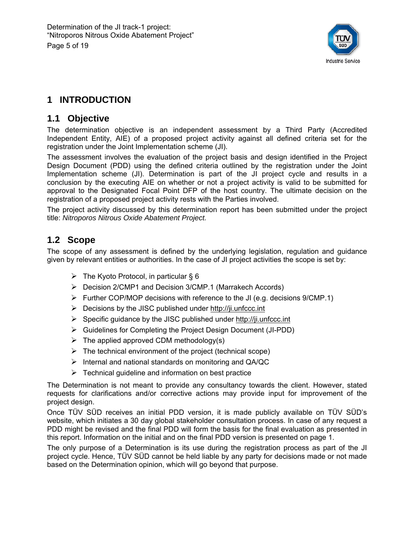

## **1 INTRODUCTION**

## **1.1 Objective**

The determination objective is an independent assessment by a Third Party (Accredited Independent Entity, AIE) of a proposed project activity against all defined criteria set for the registration under the Joint Implementation scheme (JI).

The assessment involves the evaluation of the project basis and design identified in the Project Design Document (PDD) using the defined criteria outlined by the registration under the Joint Implementation scheme (JI). Determination is part of the JI project cycle and results in a conclusion by the executing AIE on whether or not a project activity is valid to be submitted for approval to the Designated Focal Point DFP of the host country. The ultimate decision on the registration of a proposed project activity rests with the Parties involved.

The project activity discussed by this determination report has been submitted under the project title: *Nitroporos Nitrous Oxide Abatement Project.* 

## **1.2 Scope**

The scope of any assessment is defined by the underlying legislation, regulation and guidance given by relevant entities or authorities. In the case of JI project activities the scope is set by:

- $\triangleright$  The Kyoto Protocol, in particular § 6
- ¾ Decision 2/CMP1 and Decision 3/CMP.1 (Marrakech Accords)
- $\triangleright$  Further COP/MOP decisions with reference to the JI (e.g. decisions 9/CMP.1)
- $\triangleright$  Decisions by the JISC published under http://ji.unfccc.int
- $\triangleright$  Specific guidance by the JISC published under http://ji.unfccc.int
- ¾ Guidelines for Completing the Project Design Document (JI-PDD)
- $\triangleright$  The applied approved CDM methodology(s)
- $\triangleright$  The technical environment of the project (technical scope)
- $\triangleright$  Internal and national standards on monitoring and QA/QC
- $\triangleright$  Technical guideline and information on best practice

The Determination is not meant to provide any consultancy towards the client. However, stated requests for clarifications and/or corrective actions may provide input for improvement of the project design.

Once TÜV SÜD receives an initial PDD version, it is made publicly available on TÜV SÜD's website, which initiates a 30 day global stakeholder consultation process. In case of any request a PDD might be revised and the final PDD will form the basis for the final evaluation as presented in this report. Information on the initial and on the final PDD version is presented on page 1.

The only purpose of a Determination is its use during the registration process as part of the JI project cycle. Hence, TÜV SÜD cannot be held liable by any party for decisions made or not made based on the Determination opinion, which will go beyond that purpose.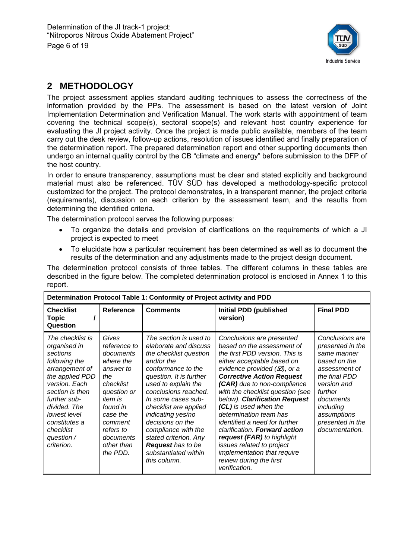

## **2 METHODOLOGY**

The project assessment applies standard auditing techniques to assess the correctness of the information provided by the PPs. The assessment is based on the latest version of Joint Implementation Determination and Verification Manual. The work starts with appointment of team covering the technical scope(s), sectoral scope(s) and relevant host country experience for evaluating the JI project activity. Once the project is made public available, members of the team carry out the desk review, follow-up actions, resolution of issues identified and finally preparation of the determination report. The prepared determination report and other supporting documents then undergo an internal quality control by the CB "climate and energy" before submission to the DFP of the host country.

In order to ensure transparency, assumptions must be clear and stated explicitly and background material must also be referenced. TÜV SÜD has developed a methodology-specific protocol customized for the project. The protocol demonstrates, in a transparent manner, the project criteria (requirements), discussion on each criterion by the assessment team, and the results from determining the identified criteria.

The determination protocol serves the following purposes:

- To organize the details and provision of clarifications on the requirements of which a JI project is expected to meet
- To elucidate how a particular requirement has been determined as well as to document the results of the determination and any adjustments made to the project design document.

The determination protocol consists of three tables. The different columns in these tables are described in the figure below. The completed determination protocol is enclosed in Annex 1 to this report.

| Determination Protocol Table 1: Conformity of Project activity and PDD                                                                                                                                                                           |                                                                                                                                                                                                          |                                                                                                                                                                                                                                                                                                                                                                                              |                                                                                                                                                                                                                                                                                                                                                                                                                                                                                                                                                                        |                                                                                                                                                                                                               |  |  |
|--------------------------------------------------------------------------------------------------------------------------------------------------------------------------------------------------------------------------------------------------|----------------------------------------------------------------------------------------------------------------------------------------------------------------------------------------------------------|----------------------------------------------------------------------------------------------------------------------------------------------------------------------------------------------------------------------------------------------------------------------------------------------------------------------------------------------------------------------------------------------|------------------------------------------------------------------------------------------------------------------------------------------------------------------------------------------------------------------------------------------------------------------------------------------------------------------------------------------------------------------------------------------------------------------------------------------------------------------------------------------------------------------------------------------------------------------------|---------------------------------------------------------------------------------------------------------------------------------------------------------------------------------------------------------------|--|--|
| <b>Checklist</b><br><b>Topic</b><br>Question                                                                                                                                                                                                     | <b>Reference</b>                                                                                                                                                                                         | <b>Comments</b>                                                                                                                                                                                                                                                                                                                                                                              | <b>Initial PDD (published</b><br>version)                                                                                                                                                                                                                                                                                                                                                                                                                                                                                                                              | <b>Final PDD</b>                                                                                                                                                                                              |  |  |
| The checklist is<br>organised in<br>sections<br>following the<br>arrangement of<br>the applied PDD<br>version. Each<br>section is then<br>further sub-<br>divided. The<br>lowest level<br>constitutes a<br>checklist<br>question /<br>criterion. | Gives<br>reference to<br>documents<br>where the<br>answer to<br>the<br>checklist<br>question or<br><i>item is</i><br>found in<br>case the<br>comment<br>refers to<br>documents<br>other than<br>the PDD. | The section is used to<br>elaborate and discuss<br>the checklist question<br>and/or the<br>conformance to the<br>question. It is further<br>used to explain the<br>conclusions reached.<br>In some cases sub-<br>checklist are applied<br>indicating yes/no<br>decisions on the<br>compliance with the<br>stated criterion. Any<br>Request has to be<br>substantiated within<br>this column. | Conclusions are presented<br>based on the assessment of<br>the first PDD version. This is<br>either acceptable based on<br>evidence provided $(\varnothing)$ , or a<br><b>Corrective Action Request</b><br>(CAR) due to non-compliance<br>with the checklist question (see<br>below). Clarification Request<br>(CL) is used when the<br>determination team has<br>identified a need for further<br>clarification. Forward action<br>request (FAR) to highlight<br>issues related to project<br>implementation that require<br>review during the first<br>verification. | Conclusions are<br>presented in the<br>same manner<br>based on the<br>assessment of<br>the final PDD<br>version and<br>further<br>documents<br>including<br>assumptions<br>presented in the<br>documentation. |  |  |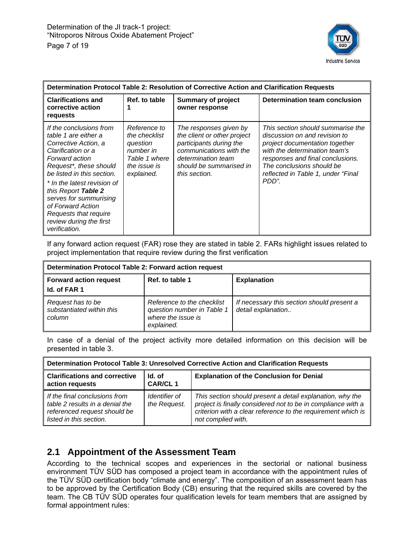

| Determination Protocol Table 2: Resolution of Corrective Action and Clarification Requests                                                                                                                                                                                                                                                        |                                                                                                       |                                                                                                                                                                               |                                                                                                                                                                                                                                                       |  |  |
|---------------------------------------------------------------------------------------------------------------------------------------------------------------------------------------------------------------------------------------------------------------------------------------------------------------------------------------------------|-------------------------------------------------------------------------------------------------------|-------------------------------------------------------------------------------------------------------------------------------------------------------------------------------|-------------------------------------------------------------------------------------------------------------------------------------------------------------------------------------------------------------------------------------------------------|--|--|
| <b>Clarifications and</b><br>corrective action<br>requests                                                                                                                                                                                                                                                                                        | Ref. to table                                                                                         | <b>Summary of project</b><br>owner response                                                                                                                                   | Determination team conclusion                                                                                                                                                                                                                         |  |  |
| If the conclusions from<br>table 1 are either a<br>Corrective Action, a<br>Clarification or a<br>Forward action<br>Request*, these should<br>be listed in this section.<br>* In the latest revision of<br>this Report Table 2<br>serves for summurising<br>of Forward Action<br>Requests that require<br>review during the first<br>verification. | Reference to<br>the checklist<br>question<br>number in<br>Table 1 where<br>the issue is<br>explained. | The responses given by<br>the client or other project<br>participants during the<br>communications with the<br>determination team<br>should be summarised in<br>this section. | This section should summarise the<br>discussion on and revision to<br>project documentation together<br>with the determination team's<br>responses and final conclusions.<br>The conclusions should be<br>reflected in Table 1, under "Final<br>PDD". |  |  |

If any forward action request (FAR) rose they are stated in table 2. FARs highlight issues related to project implementation that require review during the first verification

| Determination Protocol Table 2: Forward action request   |                                                                                              |                                                                  |  |  |
|----------------------------------------------------------|----------------------------------------------------------------------------------------------|------------------------------------------------------------------|--|--|
| <b>Forward action request</b><br>Id. of FAR 1            | Ref. to table 1                                                                              | <b>Explanation</b>                                               |  |  |
| Request has to be<br>substantiated within this<br>column | Reference to the checklist<br>question number in Table 1<br>where the issue is<br>explained. | If necessary this section should present a<br>detail explanation |  |  |

In case of a denial of the project activity more detailed information on this decision will be presented in table 3.

| Determination Protocol Table 3: Unresolved Corrective Action and Clarification Requests                                     |                               |                                                                                                                                                                                                                 |  |  |
|-----------------------------------------------------------------------------------------------------------------------------|-------------------------------|-----------------------------------------------------------------------------------------------------------------------------------------------------------------------------------------------------------------|--|--|
| <b>Clarifications and corrective</b><br>action requests                                                                     | Id. of<br><b>CAR/CL1</b>      | <b>Explanation of the Conclusion for Denial</b>                                                                                                                                                                 |  |  |
| If the final conclusions from<br>table 2 results in a denial the<br>referenced request should be<br>listed in this section. | Identifier of<br>the Request. | This section should present a detail explanation, why the<br>project is finally considered not to be in compliance with a<br>criterion with a clear reference to the requirement which is<br>not complied with. |  |  |

## **2.1 Appointment of the Assessment Team**

According to the technical scopes and experiences in the sectorial or national business environment TÜV SÜD has composed a project team in accordance with the appointment rules of the TÜV SÜD certification body "climate and energy". The composition of an assessment team has to be approved by the Certification Body (CB) ensuring that the required skills are covered by the team. The CB TÜV SÜD operates four qualification levels for team members that are assigned by formal appointment rules: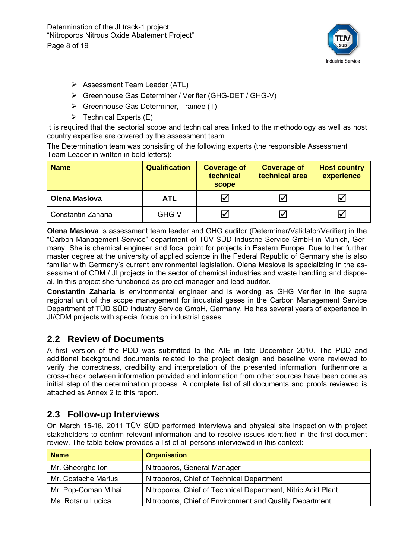Determination of the JI track-1 project: "Nitroporos Nitrous Oxide Abatement Project" Page 8 of 19



- $\triangleright$  Assessment Team Leader (ATL)
- ¾ Greenhouse Gas Determiner / Verifier (GHG-DET / GHG-V)
- $\triangleright$  Greenhouse Gas Determiner, Trainee (T)
- $\triangleright$  Technical Experts (E)

It is required that the sectorial scope and technical area linked to the methodology as well as host country expertise are covered by the assessment team.

The Determination team was consisting of the following experts (the responsible Assessment Team Leader in written in bold letters):

| <b>Name</b>          | <b>Qualification</b> | <b>Coverage of</b><br>technical<br>scope | <b>Coverage of</b><br>technical area | <b>Host country</b><br>experience |
|----------------------|----------------------|------------------------------------------|--------------------------------------|-----------------------------------|
| <b>Olena Maslova</b> | <b>ATL</b>           |                                          | $\triangledown$                      | ∨                                 |
| Constantin Zaharia   | GHG-V                |                                          | $\overline{\mathbf{v}}$              | Ⅳ                                 |

**Olena Maslova** is assessment team leader and GHG auditor (Determiner/Validator/Verifier) in the "Carbon Management Service" department of TÜV SÜD Industrie Service GmbH in Munich, Germany. She is chemical engineer and focal point for projects in Eastern Europe. Due to her further master degree at the university of applied science in the Federal Republic of Germany she is also familiar with Germany's current environmental legislation. Olena Maslova is specializing in the assessment of CDM / JI projects in the sector of chemical industries and waste handling and disposal. In this project she functioned as project manager and lead auditor.

**Constantin Zaharia** is environmental engineer and is working as GHG Verifier in the supra regional unit of the scope management for industrial gases in the Carbon Management Service Department of TÜD SÜD Industry Service GmbH, Germany. He has several years of experience in JI/CDM projects with special focus on industrial gases

## **2.2 Review of Documents**

A first version of the PDD was submitted to the AIE in late December 2010. The PDD and additional background documents related to the project design and baseline were reviewed to verify the correctness, credibility and interpretation of the presented information, furthermore a cross-check between information provided and information from other sources have been done as initial step of the determination process. A complete list of all documents and proofs reviewed is attached as Annex 2 to this report.

## **2.3 Follow-up Interviews**

On March 15-16, 2011 TÜV SÜD performed interviews and physical site inspection with project stakeholders to confirm relevant information and to resolve issues identified in the first document review. The table below provides a list of all persons interviewed in this context:

| <b>Name</b>         | <b>Organisation</b>                                          |  |  |
|---------------------|--------------------------------------------------------------|--|--|
| Mr. Gheorghe Ion    | Nitroporos, General Manager                                  |  |  |
| Mr. Costache Marius | Nitroporos, Chief of Technical Department                    |  |  |
| Mr. Pop-Coman Mihai | Nitroporos, Chief of Technical Department, Nitric Acid Plant |  |  |
| Ms. Rotariu Lucica  | Nitroporos, Chief of Environment and Quality Department      |  |  |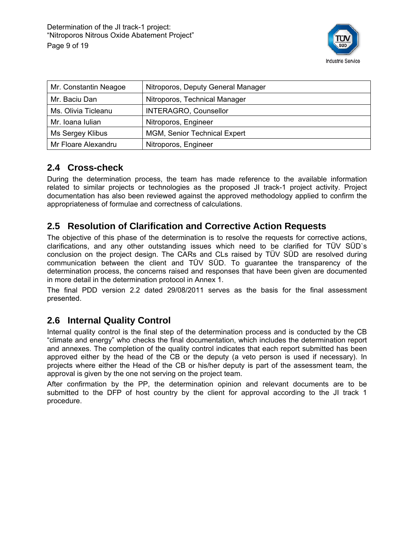

| Mr. Constantin Neagoe | Nitroporos, Deputy General Manager  |  |
|-----------------------|-------------------------------------|--|
| Mr. Baciu Dan         | Nitroporos, Technical Manager       |  |
| Ms. Olivia Ticleanu   | <b>INTERAGRO, Counsellor</b>        |  |
| Mr. Ioana Iulian      | Nitroporos, Engineer                |  |
| Ms Sergey Klibus      | <b>MGM, Senior Technical Expert</b> |  |
| Mr Floare Alexandru   | Nitroporos, Engineer                |  |

## **2.4 Cross-check**

During the determination process, the team has made reference to the available information related to similar projects or technologies as the proposed JI track-1 project activity. Project documentation has also been reviewed against the approved methodology applied to confirm the appropriateness of formulae and correctness of calculations.

## **2.5 Resolution of Clarification and Corrective Action Requests**

The objective of this phase of the determination is to resolve the requests for corrective actions, clarifications, and any other outstanding issues which need to be clarified for TÜV SÜD`s conclusion on the project design. The CARs and CLs raised by TÜV SÜD are resolved during communication between the client and TÜV SÜD. To guarantee the transparency of the determination process, the concerns raised and responses that have been given are documented in more detail in the determination protocol in Annex 1.

The final PDD version 2.2 dated 29/08/2011 serves as the basis for the final assessment presented.

## **2.6 Internal Quality Control**

Internal quality control is the final step of the determination process and is conducted by the CB "climate and energy" who checks the final documentation, which includes the determination report and annexes. The completion of the quality control indicates that each report submitted has been approved either by the head of the CB or the deputy (a veto person is used if necessary). In projects where either the Head of the CB or his/her deputy is part of the assessment team, the approval is given by the one not serving on the project team.

After confirmation by the PP, the determination opinion and relevant documents are to be submitted to the DFP of host country by the client for approval according to the JI track 1 procedure.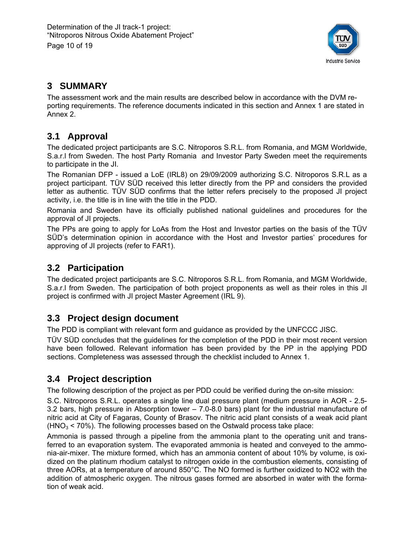

## **3 SUMMARY**

The assessment work and the main results are described below in accordance with the DVM reporting requirements. The reference documents indicated in this section and Annex 1 are stated in Annex 2.

## **3.1 Approval**

The dedicated project participants are S.C. Nitroporos S.R.L. from Romania, and MGM Worldwide, S.a.r.l from Sweden. The host Party Romania and Investor Party Sweden meet the requirements to participate in the JI.

The Romanian DFP - issued a LoE (IRL8) on 29/09/2009 authorizing S.C. Nitroporos S.R.L as a project participant. TÜV SÜD received this letter directly from the PP and considers the provided letter as authentic. TÜV SÜD confirms that the letter refers precisely to the proposed JI project activity, i.e. the title is in line with the title in the PDD.

Romania and Sweden have its officially published national guidelines and procedures for the approval of JI projects.

The PPs are going to apply for LoAs from the Host and Investor parties on the basis of the TÜV SÜD's determination opinion in accordance with the Host and Investor parties' procedures for approving of JI projects (refer to FAR1).

## **3.2 Participation**

The dedicated project participants are S.C. Nitroporos S.R.L. from Romania, and MGM Worldwide, S.a.r.l from Sweden. The participation of both project proponents as well as their roles in this JI project is confirmed with JI project Master Agreement (IRL 9).

## **3.3 Project design document**

The PDD is compliant with relevant form and guidance as provided by the UNFCCC JISC.

TÜV SÜD concludes that the guidelines for the completion of the PDD in their most recent version have been followed. Relevant information has been provided by the PP in the applying PDD sections. Completeness was assessed through the checklist included to Annex 1.

## **3.4 Project description**

The following description of the project as per PDD could be verified during the on-site mission:

S.C. Nitroporos S.R.L. operates a single line dual pressure plant (medium pressure in AOR - 2.5- 3.2 bars, high pressure in Absorption tower – 7.0-8.0 bars) plant for the industrial manufacture of nitric acid at City of Fagaras, County of Brasov. The nitric acid plant consists of a weak acid plant  $(HNO<sub>3</sub> < 70%)$ . The following processes based on the Ostwald process take place:

Ammonia is passed through a pipeline from the ammonia plant to the operating unit and transferred to an evaporation system. The evaporated ammonia is heated and conveyed to the ammonia-air-mixer. The mixture formed, which has an ammonia content of about 10% by volume, is oxidized on the platinum rhodium catalyst to nitrogen oxide in the combustion elements, consisting of three AORs, at a temperature of around 850°C. The NO formed is further oxidized to NO2 with the addition of atmospheric oxygen. The nitrous gases formed are absorbed in water with the formation of weak acid.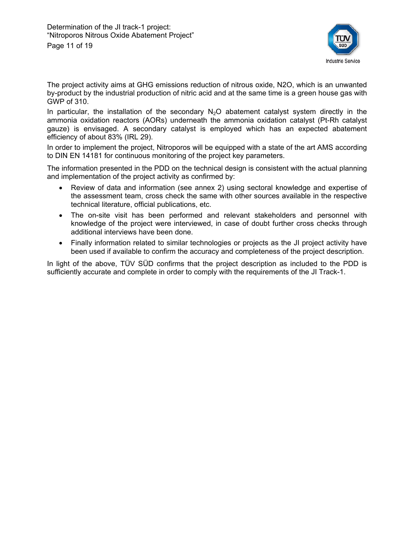

The project activity aims at GHG emissions reduction of nitrous oxide, N2O, which is an unwanted by-product by the industrial production of nitric acid and at the same time is a green house gas with GWP of 310.

In particular, the installation of the secondary  $N_2O$  abatement catalyst system directly in the ammonia oxidation reactors (AORs) underneath the ammonia oxidation catalyst (Pt-Rh catalyst gauze) is envisaged. A secondary catalyst is employed which has an expected abatement efficiency of about 83% (IRL 29).

In order to implement the project, Nitroporos will be equipped with a state of the art AMS according to DIN EN 14181 for continuous monitoring of the project key parameters.

The information presented in the PDD on the technical design is consistent with the actual planning and implementation of the project activity as confirmed by:

- Review of data and information (see annex 2) using sectoral knowledge and expertise of the assessment team, cross check the same with other sources available in the respective technical literature, official publications, etc.
- The on-site visit has been performed and relevant stakeholders and personnel with knowledge of the project were interviewed, in case of doubt further cross checks through additional interviews have been done.
- Finally information related to similar technologies or projects as the JI project activity have been used if available to confirm the accuracy and completeness of the project description.

In light of the above, TÜV SÜD confirms that the project description as included to the PDD is sufficiently accurate and complete in order to comply with the requirements of the JI Track-1.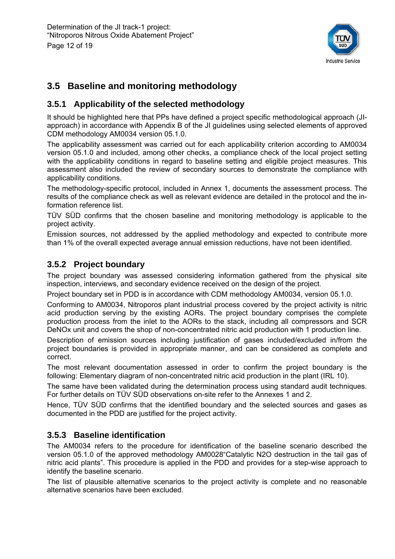

## **3.5 Baseline and monitoring methodology**

## **3.5.1 Applicability of the selected methodology**

It should be highlighted here that PPs have defined a project specific methodological approach (JIapproach) in accordance with Appendix B of the JI guidelines using selected elements of approved CDM methodology AM0034 version 05.1.0.

The applicability assessment was carried out for each applicability criterion according to AM0034 version 05.1.0 and included, among other checks, a compliance check of the local project setting with the applicability conditions in regard to baseline setting and eligible project measures. This assessment also included the review of secondary sources to demonstrate the compliance with applicability conditions.

The methodology-specific protocol, included in Annex 1, documents the assessment process. The results of the compliance check as well as relevant evidence are detailed in the protocol and the information reference list.

TÜV SÜD confirms that the chosen baseline and monitoring methodology is applicable to the project activity.

Emission sources, not addressed by the applied methodology and expected to contribute more than 1% of the overall expected average annual emission reductions, have not been identified.

#### **3.5.2 Project boundary**

The project boundary was assessed considering information gathered from the physical site inspection, interviews, and secondary evidence received on the design of the project.

Project boundary set in PDD is in accordance with CDM methodology AM0034, version 05.1.0.

Conforming to AM0034, Nitroporos plant industrial process covered by the project activity is nitric acid production serving by the existing AORs. The project boundary comprises the complete production process from the inlet to the AORs to the stack, including all compressors and SCR DeNOx unit and covers the shop of non-concentrated nitric acid production with 1 production line.

Description of emission sources including justification of gases included/excluded in/from the project boundaries is provided in appropriate manner, and can be considered as complete and correct.

The most relevant documentation assessed in order to confirm the project boundary is the following: Elementary diagram of non-concentrated nitric acid production in the plant (IRL 10).

The same have been validated during the determination process using standard audit techniques. For further details on TÜV SÜD observations on-site refer to the Annexes 1 and 2.

Hence, TÜV SÜD confirms that the identified boundary and the selected sources and gases as documented in the PDD are justified for the project activity.

## **3.5.3 Baseline identification**

The AM0034 refers to the procedure for identification of the baseline scenario described the version 05.1.0 of the approved methodology AM0028"Catalytic N2O destruction in the tail gas of nitric acid plants". This procedure is applied in the PDD and provides for a step-wise approach to identify the baseline scenario.

The list of plausible alternative scenarios to the project activity is complete and no reasonable alternative scenarios have been excluded.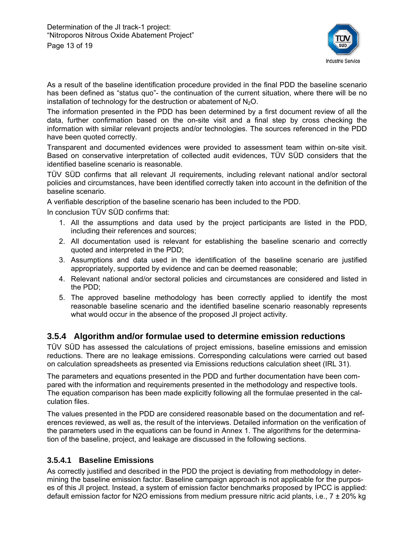

As a result of the baseline identification procedure provided in the final PDD the baseline scenario has been defined as "status quo"- the continuation of the current situation, where there will be no installation of technology for the destruction or abatement of  $N_2O$ .

The information presented in the PDD has been determined by a first document review of all the data, further confirmation based on the on-site visit and a final step by cross checking the information with similar relevant projects and/or technologies. The sources referenced in the PDD have been quoted correctly.

Transparent and documented evidences were provided to assessment team within on-site visit. Based on conservative interpretation of collected audit evidences, TÜV SÜD considers that the identified baseline scenario is reasonable.

TÜV SÜD confirms that all relevant JI requirements, including relevant national and/or sectoral policies and circumstances, have been identified correctly taken into account in the definition of the baseline scenario.

A verifiable description of the baseline scenario has been included to the PDD.

In conclusion TÜV SÜD confirms that:

- 1. All the assumptions and data used by the project participants are listed in the PDD, including their references and sources;
- 2. All documentation used is relevant for establishing the baseline scenario and correctly quoted and interpreted in the PDD;
- 3. Assumptions and data used in the identification of the baseline scenario are justified appropriately, supported by evidence and can be deemed reasonable;
- 4. Relevant national and/or sectoral policies and circumstances are considered and listed in the PDD;
- 5. The approved baseline methodology has been correctly applied to identify the most reasonable baseline scenario and the identified baseline scenario reasonably represents what would occur in the absence of the proposed JI project activity.

#### **3.5.4 Algorithm and/or formulae used to determine emission reductions**

TÜV SÜD has assessed the calculations of project emissions, baseline emissions and emission reductions. There are no leakage emissions. Corresponding calculations were carried out based on calculation spreadsheets as presented via Emissions reductions calculation sheet (IRL 31).

The parameters and equations presented in the PDD and further documentation have been compared with the information and requirements presented in the methodology and respective tools. The equation comparison has been made explicitly following all the formulae presented in the calculation files.

The values presented in the PDD are considered reasonable based on the documentation and references reviewed, as well as, the result of the interviews. Detailed information on the verification of the parameters used in the equations can be found in Annex 1. The algorithms for the determination of the baseline, project, and leakage are discussed in the following sections.

#### **3.5.4.1 Baseline Emissions**

As correctly justified and described in the PDD the project is deviating from methodology in determining the baseline emission factor. Baseline campaign approach is not applicable for the purposes of this JI project. Instead, a system of emission factor benchmarks proposed by IPCC is applied: default emission factor for N2O emissions from medium pressure nitric acid plants, i.e.,  $7 \pm 20\%$  kg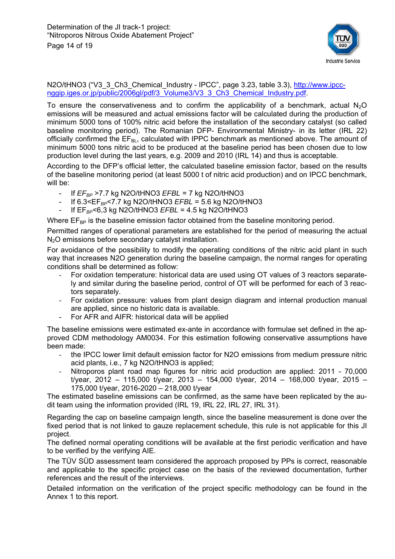

#### N2O/tHNO3 ("V3\_3\_Ch3\_Chemical\_Industry - IPCC", page 3.23, table 3.3), http://www.ipccnggip.iges.or.jp/public/2006gl/pdf/3\_Volume3/V3\_3\_Ch3\_Chemical\_Industry.pdf.

To ensure the conservativeness and to confirm the applicability of a benchmark, actual  $N_2O$ emissions will be measured and actual emissions factor will be calculated during the production of minimum 5000 tons of 100% nitric acid before the installation of the secondary catalyst (so called baseline monitoring period). The Romanian DFP- Environmental Ministry- in its letter (IRL 22) officially confirmed the  $EF_{BL}$ , calculated with IPPC benchmark as mentioned above. The amount of minimum 5000 tons nitric acid to be produced at the baseline period has been chosen due to low production level during the last years, e.g. 2009 and 2010 (IRL 14) and thus is acceptable.

According to the DFP's official letter, the calculated baseline emission factor, based on the results of the baseline monitoring period (at least 5000 t of nitric acid production) and on IPCC benchmark, will be:

- If *EFBP* >7.7 kg N2O/tHNO3 *EFBL* = 7 kg N2O/tHNO3
- If 6.3<EF*BP*<7.7 kg N2O/tHNO3 *EFBL* = 5.6 kg N2O/tHNO3
- If EF*BP*<6,3 kg N2O/tHNO3 *EFBL* = 4.5 kg N2O/tHNO3

Where  $E_{BP}$  is the baseline emission factor obtained from the baseline monitoring period.

Permitted ranges of operational parameters are established for the period of measuring the actual N<sub>2</sub>O emissions before secondary catalyst installation.

For avoidance of the possibility to modify the operating conditions of the nitric acid plant in such way that increases N2O generation during the baseline campaign, the normal ranges for operating conditions shall be determined as follow:

- For oxidation temperature: historical data are used using OT values of 3 reactors separately and similar during the baseline period, control of OT will be performed for each of 3 reactors separately.
- For oxidation pressure: values from plant design diagram and internal production manual are applied, since no historic data is available.
- For AFR and AIFR: historical data will be applied

The baseline emissions were estimated ex-ante in accordance with formulae set defined in the approved CDM methodology AM0034. For this estimation following conservative assumptions have been made:

- the IPCC lower limit default emission factor for N2O emissions from medium pressure nitric acid plants, i.e., 7 kg N2O/tHNO3 is applied;
- Nitroporos plant road map figures for nitric acid production are applied: 2011 70,000 t/year, 2012 – 115,000 t/year, 2013 – 154,000 t/year, 2014 – 168,000 t/year, 2015 – 175,000 t/year, 2016-2020 – 218,000 t/year

The estimated baseline emissions can be confirmed, as the same have been replicated by the audit team using the information provided (IRL 19, IRL 22, IRL 27, IRL 31).

Regarding the cap on baseline campaign length, since the baseline measurement is done over the fixed period that is not linked to gauze replacement schedule, this rule is not applicable for this JI project.

The defined normal operating conditions will be available at the first periodic verification and have to be verified by the verifying AIE.

The TÜV SÜD assessment team considered the approach proposed by PPs is correct, reasonable and applicable to the specific project case on the basis of the reviewed documentation, further references and the result of the interviews.

Detailed information on the verification of the project specific methodology can be found in the Annex 1 to this report.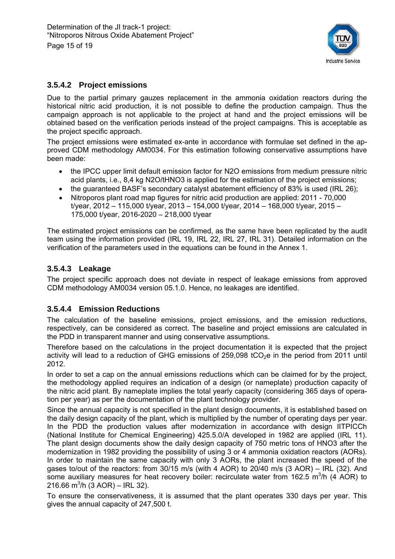

#### **3.5.4.2 Project emissions**

Due to the partial primary gauzes replacement in the ammonia oxidation reactors during the historical nitric acid production, it is not possible to define the production campaign. Thus the campaign approach is not applicable to the project at hand and the project emissions will be obtained based on the verification periods instead of the project campaigns. This is acceptable as the project specific approach.

The project emissions were estimated ex-ante in accordance with formulae set defined in the approved CDM methodology AM0034. For this estimation following conservative assumptions have been made:

- the IPCC upper limit default emission factor for N2O emissions from medium pressure nitric acid plants, i.e., 8,4 kg N2O/tHNO3 is applied for the estimation of the project emissions;
- the guaranteed BASF's secondary catalyst abatement efficiency of 83% is used (IRL 26);
- Nitroporos plant road map figures for nitric acid production are applied: 2011 70,000 t/year, 2012 – 115,000 t/year, 2013 – 154,000 t/year, 2014 – 168,000 t/year, 2015 – 175,000 t/year, 2016-2020 – 218,000 t/year

The estimated project emissions can be confirmed, as the same have been replicated by the audit team using the information provided (IRL 19, IRL 22, IRL 27, IRL 31). Detailed information on the verification of the parameters used in the equations can be found in the Annex 1.

#### **3.5.4.3 Leakage**

The project specific approach does not deviate in respect of leakage emissions from approved CDM methodology AM0034 version 05.1.0. Hence, no leakages are identified.

#### **3.5.4.4 Emission Reductions**

The calculation of the baseline emissions, project emissions, and the emission reductions, respectively, can be considered as correct. The baseline and project emissions are calculated in the PDD in transparent manner and using conservative assumptions.

Therefore based on the calculations in the project documentation it is expected that the project activity will lead to a reduction of GHG emissions of 259,098 tCO<sub>2</sub>e in the period from 2011 until 2012.

In order to set a cap on the annual emissions reductions which can be claimed for by the project, the methodology applied requires an indication of a design (or nameplate) production capacity of the nitric acid plant. By nameplate implies the total yearly capacity (considering 365 days of operation per year) as per the documentation of the plant technology provider.

Since the annual capacity is not specified in the plant design documents, it is established based on the daily design capacity of the plant, which is multiplied by the number of operating days per year. In the PDD the production values after modernization in accordance with design IITPICCh (National Institute for Chemical Engineering) 425.5.0/A developed in 1982 are applied (IRL 11). The plant design documents show the daily design capacity of 750 metric tons of HNO3 after the modernization in 1982 providing the possibility of using 3 or 4 ammonia oxidation reactors (AORs). In order to maintain the same capacity with only 3 AORs, the plant increased the speed of the gases to/out of the reactors: from 30/15 m/s (with 4 AOR) to 20/40 m/s (3 AOR) – IRL (32). And some auxiliary measures for heat recovery boiler: recirculate water from 162.5 m<sup>3</sup>/h (4 AOR) to 216.66 m<sup>3</sup>/h (3 AOR) – IRL 32).

To ensure the conservativeness, it is assumed that the plant operates 330 days per year. This gives the annual capacity of 247,500 t.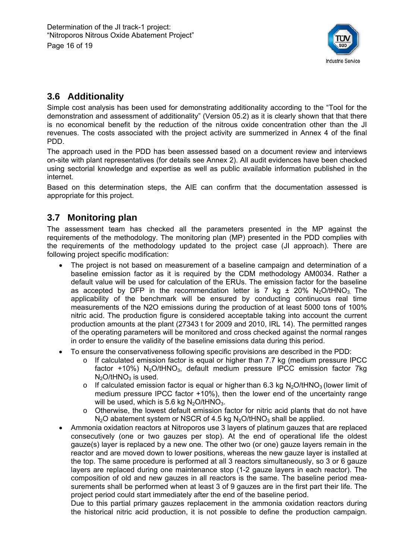

## **3.6 Additionality**

Simple cost analysis has been used for demonstrating additionality according to the "Tool for the demonstration and assessment of additionality" (Version 05.2) as it is clearly shown that that there is no economical benefit by the reduction of the nitrous oxide concentration other than the JI revenues. The costs associated with the project activity are summerized in Annex 4 of the final PDD.

The approach used in the PDD has been assessed based on a document review and interviews on-site with plant representatives (for details see Annex 2). All audit evidences have been checked using sectorial knowledge and expertise as well as public available information published in the internet.

Based on this determination steps, the AIE can confirm that the documentation assessed is appropriate for this project.

## **3.7 Monitoring plan**

The assessment team has checked all the parameters presented in the MP against the requirements of the methodology. The monitoring plan (MP) presented in the PDD complies with the requirements of the methodology updated to the project case (JI approach). There are following project specific modification:

- The project is not based on measurement of a baseline campaign and determination of a baseline emission factor as it is required by the CDM methodology AM0034. Rather a default value will be used for calculation of the ERUs. The emission factor for the baseline as accepted by DFP in the recommendation letter is 7 kg  $\pm$  20% N<sub>2</sub>O/tHNO<sub>3</sub> The applicability of the benchmark will be ensured by conducting continuous real time measurements of the N2O emissions during the production of at least 5000 tons of 100% nitric acid. The production figure is considered acceptable taking into account the current production amounts at the plant (27343 t for 2009 and 2010, IRL 14). The permitted ranges of the operating parameters will be monitored and cross checked against the normal ranges in order to ensure the validity of the baseline emissions data during this period.
- To ensure the conservativeness following specific provisions are described in the PDD:
	- o If calculated emission factor is equal or higher than 7.7 kg (medium pressure IPCC factor +10%)  $N_2$ O/tHNO<sub>3</sub>, default medium pressure IPCC emission factor 7kg  $N<sub>2</sub>O/tHNO<sub>3</sub>$  is used.
	- $\circ$  If calculated emission factor is equal or higher than 6.3 kg N<sub>2</sub>O/tHNO<sub>3</sub> (lower limit of medium pressure IPCC factor +10%), then the lower end of the uncertainty range will be used, which is 5.6 kg  $N_2O/tHNO_3$ .
	- $\circ$  Otherwise, the lowest default emission factor for nitric acid plants that do not have  $N<sub>2</sub>O$  abatement system or NSCR of 4.5 kg  $N<sub>2</sub>O$ /tHNO<sub>3</sub> shall be applied.
- Ammonia oxidation reactors at Nitroporos use 3 layers of platinum gauzes that are replaced consecutively (one or two gauzes per stop). At the end of operational life the oldest gauze(s) layer is replaced by a new one. The other two (or one) gauze layers remain in the reactor and are moved down to lower positions, whereas the new gauze layer is installed at the top. The same procedure is performed at all 3 reactors simultaneously, so 3 or 6 gauze layers are replaced during one maintenance stop (1-2 gauze layers in each reactor). The composition of old and new gauzes in all reactors is the same. The baseline period measurements shall be performed when at least 3 of 9 gauzes are in the first part their life. The project period could start immediately after the end of the baseline period.

Due to this partial primary gauzes replacement in the ammonia oxidation reactors during the historical nitric acid production, it is not possible to define the production campaign.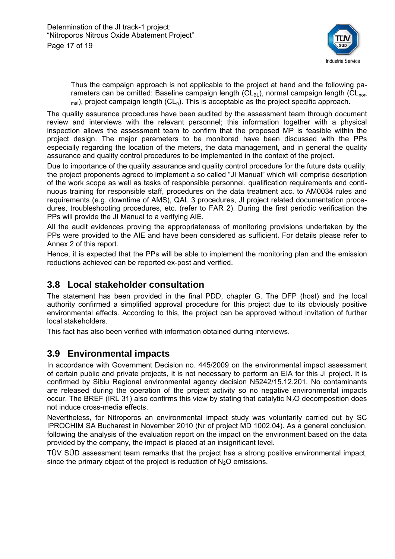

Thus the campaign approach is not applicable to the project at hand and the following parameters can be omitted: Baseline campaign length ( $CL_{BI}$ ), normal campaign length ( $CL_{nor}$  $_{\text{mal}}$ ), project campaign length (CL<sub>n</sub>). This is acceptable as the project specific approach.

The quality assurance procedures have been audited by the assessment team through document review and interviews with the relevant personnel; this information together with a physical inspection allows the assessment team to confirm that the proposed MP is feasible within the project design. The major parameters to be monitored have been discussed with the PPs especially regarding the location of the meters, the data management, and in general the quality assurance and quality control procedures to be implemented in the context of the project.

Due to importance of the quality assurance and quality control procedure for the future data quality, the project proponents agreed to implement a so called "JI Manual" which will comprise description of the work scope as well as tasks of responsible personnel, qualification requirements and continuous training for responsible staff, procedures on the data treatment acc. to AM0034 rules and requirements (e.g. downtime of AMS), QAL 3 procedures, JI project related documentation procedures, troubleshooting procedures, etc. (refer to FAR 2). During the first periodic verification the PPs will provide the JI Manual to a verifying AIE.

All the audit evidences proving the appropriateness of monitoring provisions undertaken by the PPs were provided to the AIE and have been considered as sufficient. For details please refer to Annex 2 of this report.

Hence, it is expected that the PPs will be able to implement the monitoring plan and the emission reductions achieved can be reported ex-post and verified.

## **3.8 Local stakeholder consultation**

The statement has been provided in the final PDD, chapter G. The DFP (host) and the local authority confirmed a simplified approval procedure for this project due to its obviously positive environmental effects. According to this, the project can be approved without invitation of further local stakeholders.

This fact has also been verified with information obtained during interviews.

## **3.9 Environmental impacts**

In accordance with Government Decision no. 445/2009 on the environmental impact assessment of certain public and private projects, it is not necessary to perform an EIA for this JI project. It is confirmed by Sibiu Regional environmental agency decision N5242/15.12.201. No contaminants are released during the operation of the project activity so no negative environmental impacts occur. The BREF (IRL 31) also confirms this view by stating that catalytic  $N_2O$  decomposition does not induce cross-media effects.

Nevertheless, for Nitroporos an environmental impact study was voluntarily carried out by SC IPROCHIM SA Bucharest in November 2010 (Nr of project MD 1002.04). As a general conclusion, following the analysis of the evaluation report on the impact on the environment based on the data provided by the company, the impact is placed at an insignificant level.

TÜV SÜD assessment team remarks that the project has a strong positive environmental impact, since the primary object of the project is reduction of  $N<sub>2</sub>O$  emissions.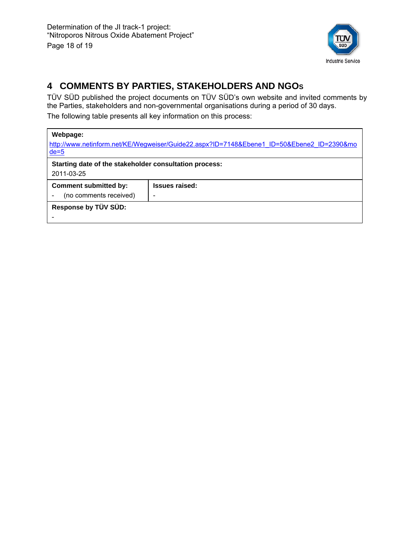

## **4 COMMENTS BY PARTIES, STAKEHOLDERS AND NGOS**

TÜV SÜD published the project documents on TÜV SÜD's own website and invited comments by the Parties, stakeholders and non-governmental organisations during a period of 30 days. The following table presents all key information on this process:

#### **Webpage:**

| http://www.netinform.net/KE/Wegweiser/Guide22.aspx?ID=7148&Ebene1_ID=50&Ebene2_ID=2390&mo<br>$de=5$ |                       |  |  |  |  |
|-----------------------------------------------------------------------------------------------------|-----------------------|--|--|--|--|
| Starting date of the stakeholder consultation process:                                              |                       |  |  |  |  |
| 2011-03-25                                                                                          |                       |  |  |  |  |
| <b>Comment submitted by:</b>                                                                        | <b>Issues raised:</b> |  |  |  |  |
| (no comments received)                                                                              |                       |  |  |  |  |
| Response by TÜV SÜD:                                                                                |                       |  |  |  |  |
|                                                                                                     |                       |  |  |  |  |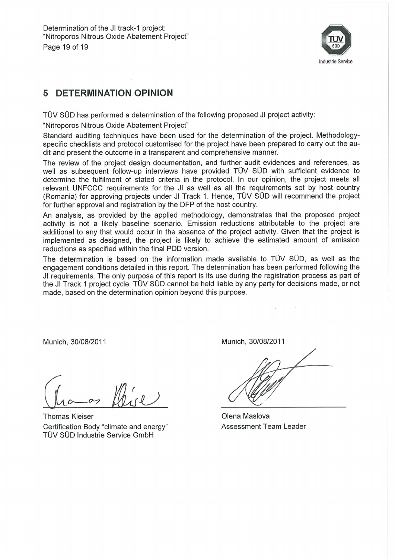

#### **DETERMINATION OPINION** 5

TÜV SÜD has performed a determination of the following proposed JI project activity:

"Nitroporos Nitrous Oxide Abatement Project"

Standard auditing techniques have been used for the determination of the project. Methodologyspecific checklists and protocol customised for the project have been prepared to carry out the audit and present the outcome in a transparent and comprehensive manner.

The review of the project design documentation, and further audit evidences and references, as well as subsequent follow-up interviews have provided TÜV SÜD with sufficient evidence to determine the fulfilment of stated criteria in the protocol. In our opinion, the project meets all relevant UNFCCC requirements for the JI as well as all the requirements set by host country (Romania) for approving projects under JI Track 1. Hence, TÜV SÜD will recommend the project for further approval and registration by the DFP of the host country.

An analysis, as provided by the applied methodology, demonstrates that the proposed project activity is not a likely baseline scenario. Emission reductions attributable to the project are additional to any that would occur in the absence of the project activity. Given that the project is implemented as designed, the project is likely to achieve the estimated amount of emission reductions as specified within the final PDD version.

The determination is based on the information made available to TÜV SÜD, as well as the engagement conditions detailed in this report. The determination has been performed following the JI requirements. The only purpose of this report is its use during the registration process as part of the JI Track 1 project cycle. TÜV SÜD cannot be held liable by any party for decisions made, or not made, based on the determination opinion beyond this purpose.

Munich, 30/08/2011

**Thomas Kleiser** Certification Body "climate and energy" TÜV SÜD Industrie Service GmbH

Munich, 30/08/2011

Olena Maslova Assessment Team Leader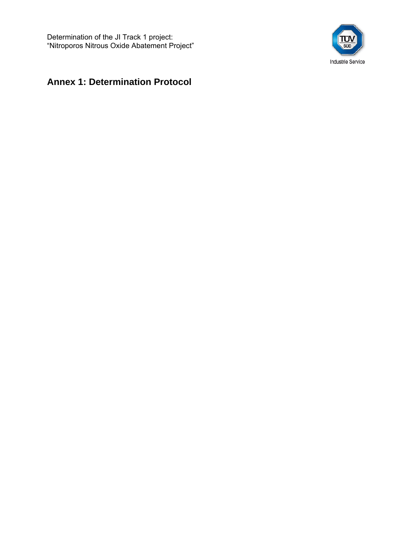Determination of the JI Track 1 project: "Nitroporos Nitrous Oxide Abatement Project"



## **Annex 1: Determination Protocol**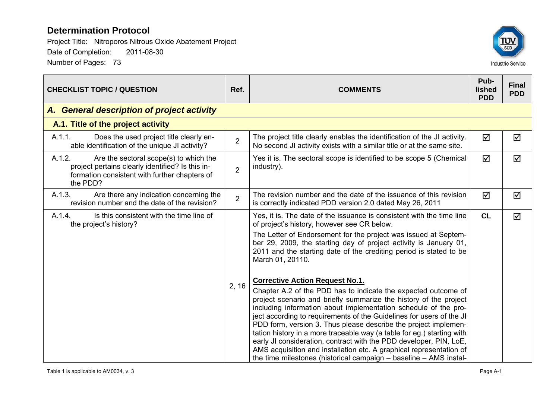

| <b>CHECKLIST TOPIC / QUESTION</b>                                                                                                                                 |                | <b>COMMENTS</b>                                                                                                                                                                                                                                                                                                                                                                                                                                                                                                                                                                                                                                                                                                                                                                                                                                                                                                                                                                                                                                       | Pub-<br>lished<br><b>PDD</b> | <b>Final</b><br><b>PDD</b> |
|-------------------------------------------------------------------------------------------------------------------------------------------------------------------|----------------|-------------------------------------------------------------------------------------------------------------------------------------------------------------------------------------------------------------------------------------------------------------------------------------------------------------------------------------------------------------------------------------------------------------------------------------------------------------------------------------------------------------------------------------------------------------------------------------------------------------------------------------------------------------------------------------------------------------------------------------------------------------------------------------------------------------------------------------------------------------------------------------------------------------------------------------------------------------------------------------------------------------------------------------------------------|------------------------------|----------------------------|
| A. General description of project activity                                                                                                                        |                |                                                                                                                                                                                                                                                                                                                                                                                                                                                                                                                                                                                                                                                                                                                                                                                                                                                                                                                                                                                                                                                       |                              |                            |
| A.1. Title of the project activity                                                                                                                                |                |                                                                                                                                                                                                                                                                                                                                                                                                                                                                                                                                                                                                                                                                                                                                                                                                                                                                                                                                                                                                                                                       |                              |                            |
| A.1.1.<br>Does the used project title clearly en-<br>able identification of the unique JI activity?                                                               | $\overline{2}$ | The project title clearly enables the identification of the JI activity.<br>No second JI activity exists with a similar title or at the same site.                                                                                                                                                                                                                                                                                                                                                                                                                                                                                                                                                                                                                                                                                                                                                                                                                                                                                                    | ☑                            | ☑                          |
| A.1.2.<br>Are the sectoral scope(s) to which the<br>project pertains clearly identified? Is this in-<br>formation consistent with further chapters of<br>the PDD? | $\overline{2}$ | Yes it is. The sectoral scope is identified to be scope 5 (Chemical<br>industry).                                                                                                                                                                                                                                                                                                                                                                                                                                                                                                                                                                                                                                                                                                                                                                                                                                                                                                                                                                     | ☑                            | ☑                          |
| A.1.3.<br>Are there any indication concerning the<br>revision number and the date of the revision?                                                                | $\overline{2}$ | The revision number and the date of the issuance of this revision<br>is correctly indicated PDD version 2.0 dated May 26, 2011                                                                                                                                                                                                                                                                                                                                                                                                                                                                                                                                                                                                                                                                                                                                                                                                                                                                                                                        | ☑                            | ☑                          |
| A.1.4.<br>Is this consistent with the time line of<br>the project's history?                                                                                      | 2, 16          | Yes, it is. The date of the issuance is consistent with the time line<br>of project's history, however see CR below.<br>The Letter of Endorsement for the project was issued at Septem-<br>ber 29, 2009, the starting day of project activity is January 01,<br>2011 and the starting date of the crediting period is stated to be<br>March 01, 20110.<br><b>Corrective Action Request No.1.</b><br>Chapter A.2 of the PDD has to indicate the expected outcome of<br>project scenario and briefly summarize the history of the project<br>including information about implementation schedule of the pro-<br>ject according to requirements of the Guidelines for users of the JI<br>PDD form, version 3. Thus please describe the project implemen-<br>tation history in a more traceable way (a table for eg.) starting with<br>early JI consideration, contract with the PDD developer, PIN, LoE,<br>AMS acquisition and installation etc. A graphical representation of<br>the time milestones (historical campaign $-$ baseline $-$ AMS instal- | CL                           | ☑                          |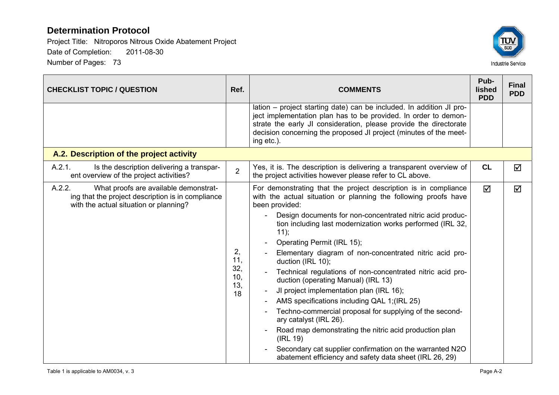

| <b>CHECKLIST TOPIC / QUESTION</b>                                                                                                              | Ref.                                 | <b>COMMENTS</b>                                                                                                                                                                                                                                                                                                                                                                                                                                                                                                                                                                                                                                                                                                                                                                                                                                                                          | Pub-<br>lished<br><b>PDD</b> | <b>Final</b><br><b>PDD</b> |
|------------------------------------------------------------------------------------------------------------------------------------------------|--------------------------------------|------------------------------------------------------------------------------------------------------------------------------------------------------------------------------------------------------------------------------------------------------------------------------------------------------------------------------------------------------------------------------------------------------------------------------------------------------------------------------------------------------------------------------------------------------------------------------------------------------------------------------------------------------------------------------------------------------------------------------------------------------------------------------------------------------------------------------------------------------------------------------------------|------------------------------|----------------------------|
|                                                                                                                                                |                                      | lation – project starting date) can be included. In addition JI pro-<br>ject implementation plan has to be provided. In order to demon-<br>strate the early JI consideration, please provide the directorate<br>decision concerning the proposed JI project (minutes of the meet-<br>ing etc.).                                                                                                                                                                                                                                                                                                                                                                                                                                                                                                                                                                                          |                              |                            |
| A.2. Description of the project activity                                                                                                       |                                      |                                                                                                                                                                                                                                                                                                                                                                                                                                                                                                                                                                                                                                                                                                                                                                                                                                                                                          |                              |                            |
| A.2.1.<br>Is the description delivering a transpar-<br>ent overview of the project activities?                                                 | $\overline{2}$                       | Yes, it is. The description is delivering a transparent overview of<br>the project activities however please refer to CL above.                                                                                                                                                                                                                                                                                                                                                                                                                                                                                                                                                                                                                                                                                                                                                          | CL                           | ☑                          |
| A.2.2.<br>What proofs are available demonstrat-<br>ing that the project description is in compliance<br>with the actual situation or planning? | 2,<br>11,<br>32,<br>10,<br>13,<br>18 | For demonstrating that the project description is in compliance<br>with the actual situation or planning the following proofs have<br>been provided:<br>Design documents for non-concentrated nitric acid produc-<br>tion including last modernization works performed (IRL 32,<br>11);<br>Operating Permit (IRL 15);<br>Elementary diagram of non-concentrated nitric acid pro-<br>duction (IRL 10);<br>Technical regulations of non-concentrated nitric acid pro-<br>duction (operating Manual) (IRL 13)<br>JI project implementation plan (IRL 16);<br>AMS specifications including QAL 1; (IRL 25)<br>Techno-commercial proposal for supplying of the second-<br>ary catalyst (IRL 26).<br>Road map demonstrating the nitric acid production plan<br>(IRL 19)<br>Secondary cat supplier confirmation on the warranted N2O<br>abatement efficiency and safety data sheet (IRL 26, 29) | ☑                            | ☑                          |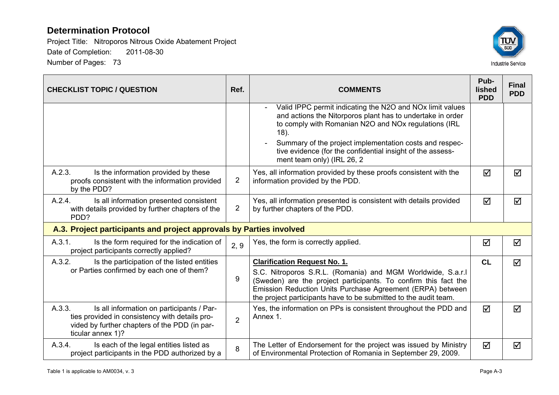

| <b>CHECKLIST TOPIC / QUESTION</b>                                                                                                                                           |                                                                                                                         | <b>COMMENTS</b>                                                                                                                                                                                                                                                                                                                                               | Pub-<br>lished<br><b>PDD</b> | <b>Final</b><br><b>PDD</b> |
|-----------------------------------------------------------------------------------------------------------------------------------------------------------------------------|-------------------------------------------------------------------------------------------------------------------------|---------------------------------------------------------------------------------------------------------------------------------------------------------------------------------------------------------------------------------------------------------------------------------------------------------------------------------------------------------------|------------------------------|----------------------------|
|                                                                                                                                                                             |                                                                                                                         | Valid IPPC permit indicating the N2O and NO <sub>x</sub> limit values<br>and actions the Nitorporos plant has to undertake in order<br>to comply with Romanian N2O and NOx regulations (IRL<br>$18$ ).<br>Summary of the project implementation costs and respec-<br>tive evidence (for the confidential insight of the assess-<br>ment team only) (IRL 26, 2 |                              |                            |
| A.2.3.<br>Is the information provided by these<br>proofs consistent with the information provided<br>by the PDD?                                                            | $\overline{2}$                                                                                                          | Yes, all information provided by these proofs consistent with the<br>information provided by the PDD.                                                                                                                                                                                                                                                         |                              | $\blacktriangledown$       |
| A.2.4.<br>Is all information presented consistent<br>with details provided by further chapters of the<br>PDD?                                                               | Yes, all information presented is consistent with details provided<br>$\overline{2}$<br>by further chapters of the PDD. |                                                                                                                                                                                                                                                                                                                                                               | ☑                            | ☑                          |
| A.3. Project participants and project approvals by Parties involved                                                                                                         |                                                                                                                         |                                                                                                                                                                                                                                                                                                                                                               |                              |                            |
| A.3.1.<br>Is the form required for the indication of<br>project participants correctly applied?                                                                             | 2, 9                                                                                                                    | Yes, the form is correctly applied.                                                                                                                                                                                                                                                                                                                           | ☑                            | ☑                          |
| A.3.2.<br>Is the participation of the listed entities<br>or Parties confirmed by each one of them?                                                                          | 9                                                                                                                       | <b>Clarification Request No. 1.</b><br>S.C. Nitroporos S.R.L. (Romania) and MGM Worldwide, S.a.r.l<br>(Sweden) are the project participants. To confirm this fact the<br>Emission Reduction Units Purchase Agreement (ERPA) between<br>the project participants have to be submitted to the audit team.                                                       | CL                           | ☑                          |
| A.3.3.<br>Is all information on participants / Par-<br>ties provided in consistency with details pro-<br>vided by further chapters of the PDD (in par-<br>ticular annex 1)? | $\overline{2}$                                                                                                          | Yes, the information on PPs is consistent throughout the PDD and<br>Annex 1.                                                                                                                                                                                                                                                                                  | $\blacktriangledown$         | ☑                          |
| A.3.4.<br>Is each of the legal entities listed as<br>project participants in the PDD authorized by a                                                                        | 8                                                                                                                       | The Letter of Endorsement for the project was issued by Ministry<br>of Environmental Protection of Romania in September 29, 2009.                                                                                                                                                                                                                             | $\blacktriangledown$         | ☑                          |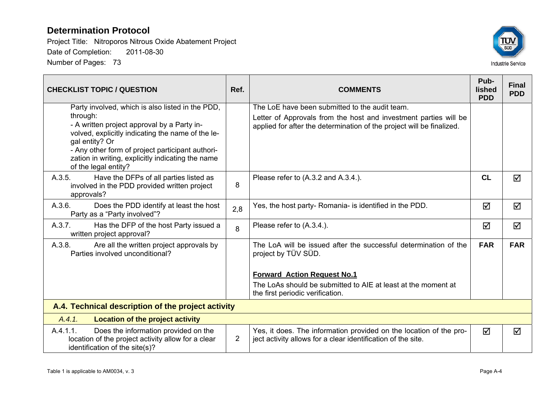

| <b>CHECKLIST TOPIC / QUESTION</b>                                                                                                                                                                                                                               |                                          | <b>COMMENTS</b>                                                                                                                           | Pub-<br><b>lished</b><br><b>PDD</b> | <b>Final</b><br><b>PDD</b> |
|-----------------------------------------------------------------------------------------------------------------------------------------------------------------------------------------------------------------------------------------------------------------|------------------------------------------|-------------------------------------------------------------------------------------------------------------------------------------------|-------------------------------------|----------------------------|
| Party involved, which is also listed in the PDD,                                                                                                                                                                                                                |                                          | The LoE have been submitted to the audit team.                                                                                            |                                     |                            |
| through:<br>- A written project approval by a Party in-<br>volved, explicitly indicating the name of the le-<br>gal entity? Or<br>- Any other form of project participant authori-<br>zation in writing, explicitly indicating the name<br>of the legal entity? |                                          | Letter of Approvals from the host and investment parties will be<br>applied for after the determination of the project will be finalized. |                                     |                            |
| Have the DFPs of all parties listed as<br>A.3.5.<br>involved in the PDD provided written project<br>approvals?                                                                                                                                                  | Please refer to (A.3.2 and A.3.4.).<br>8 |                                                                                                                                           | CL                                  | ☑                          |
| A.3.6.<br>Does the PDD identify at least the host<br>Party as a "Party involved"?                                                                                                                                                                               | 2,8                                      | Yes, the host party- Romania- is identified in the PDD.                                                                                   |                                     | $\Delta$                   |
| A.3.7.<br>Has the DFP of the host Party issued a<br>written project approval?                                                                                                                                                                                   | 8                                        | Please refer to (A.3.4.).                                                                                                                 | ☑                                   | ☑                          |
| A.3.8.<br>Are all the written project approvals by<br>Parties involved unconditional?                                                                                                                                                                           |                                          | The LoA will be issued after the successful determination of the<br>project by TÜV SÜD.                                                   | <b>FAR</b>                          | <b>FAR</b>                 |
|                                                                                                                                                                                                                                                                 |                                          | <b>Forward Action Request No.1</b>                                                                                                        |                                     |                            |
|                                                                                                                                                                                                                                                                 |                                          | The LoAs should be submitted to AIE at least at the moment at<br>the first periodic verification.                                         |                                     |                            |
| A.4. Technical description of the project activity                                                                                                                                                                                                              |                                          |                                                                                                                                           |                                     |                            |
| A.4.1.<br><b>Location of the project activity</b>                                                                                                                                                                                                               |                                          |                                                                                                                                           |                                     |                            |
| A.4.1.1.<br>Does the information provided on the<br>location of the project activity allow for a clear<br>identification of the site(s)?                                                                                                                        | $\overline{2}$                           | Yes, it does. The information provided on the location of the pro-<br>ject activity allows for a clear identification of the site.        | $\Delta$                            | ☑                          |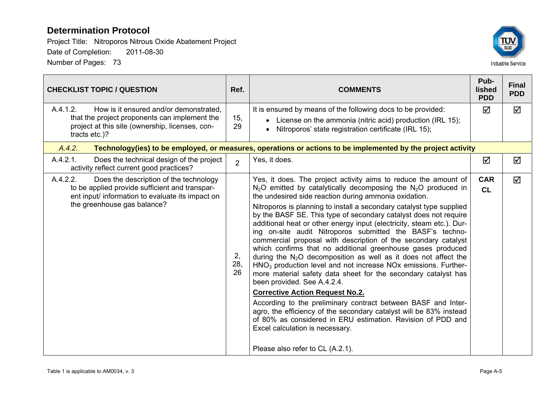

| <b>CHECKLIST TOPIC / QUESTION</b>                                                                                                                                                       |                | <b>COMMENTS</b>                                                                                                                                                                                                                                                                                                                                                                                                                                                                                                                                                                                                                                                                                                                                                                                                                                                                                                                                                                                                                                                                                                                                                                    | Pub-<br><b>lished</b><br><b>PDD</b> | <b>Final</b><br><b>PDD</b> |
|-----------------------------------------------------------------------------------------------------------------------------------------------------------------------------------------|----------------|------------------------------------------------------------------------------------------------------------------------------------------------------------------------------------------------------------------------------------------------------------------------------------------------------------------------------------------------------------------------------------------------------------------------------------------------------------------------------------------------------------------------------------------------------------------------------------------------------------------------------------------------------------------------------------------------------------------------------------------------------------------------------------------------------------------------------------------------------------------------------------------------------------------------------------------------------------------------------------------------------------------------------------------------------------------------------------------------------------------------------------------------------------------------------------|-------------------------------------|----------------------------|
| A.4.1.2.<br>How is it ensured and/or demonstrated,<br>that the project proponents can implement the<br>project at this site (ownership, licenses, con-<br>tracts etc.)?                 | 15,<br>29      | It is ensured by means of the following docs to be provided:<br>• License on the ammonia (nitric acid) production (IRL 15);<br>Nitroporos' state registration certificate (IRL 15);                                                                                                                                                                                                                                                                                                                                                                                                                                                                                                                                                                                                                                                                                                                                                                                                                                                                                                                                                                                                | ☑                                   | ☑                          |
| A.4.2.                                                                                                                                                                                  |                | Technology(ies) to be employed, or measures, operations or actions to be implemented by the project activity                                                                                                                                                                                                                                                                                                                                                                                                                                                                                                                                                                                                                                                                                                                                                                                                                                                                                                                                                                                                                                                                       |                                     |                            |
| A.4.2.1.<br>Does the technical design of the project<br>activity reflect current good practices?                                                                                        | $\overline{2}$ | Yes, it does.                                                                                                                                                                                                                                                                                                                                                                                                                                                                                                                                                                                                                                                                                                                                                                                                                                                                                                                                                                                                                                                                                                                                                                      | ☑                                   | ☑                          |
| A.4.2.2.<br>Does the description of the technology<br>to be applied provide sufficient and transpar-<br>ent input/ information to evaluate its impact on<br>the greenhouse gas balance? |                | Yes, it does. The project activity aims to reduce the amount of<br>$N_2O$ emitted by catalytically decomposing the $N_2O$ produced in<br>the undesired side reaction during ammonia oxidation.<br>Nitroporos is planning to install a secondary catalyst type supplied<br>by the BASF SE. This type of secondary catalyst does not require<br>additional heat or other energy input (electricity, steam etc.). Dur-<br>ing on-site audit Nitroporos submitted the BASF's techno-<br>commercial proposal with description of the secondary catalyst<br>which confirms that no additional greenhouse gases produced<br>during the $N_2O$ decomposition as well as it does not affect the<br>$HNO3$ production level and not increase NOx emissions. Further-<br>more material safety data sheet for the secondary catalyst has<br>been provided. See A.4.2.4.<br><b>Corrective Action Request No.2.</b><br>According to the preliminary contract between BASF and Inter-<br>agro, the efficiency of the secondary catalyst will be 83% instead<br>of 80% as considered in ERU estimation. Revision of PDD and<br>Excel calculation is necessary.<br>Please also refer to CL (A.2.1). | <b>CAR</b><br>CL                    | $\triangledown$            |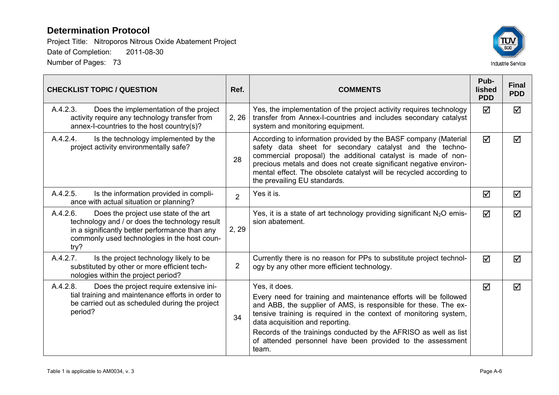

| <b>CHECKLIST TOPIC / QUESTION</b>                                                                                                                                                                             | Ref.           | <b>COMMENTS</b>                                                                                                                                                                                                                                                                                                                                                        |                      | <b>Final</b><br><b>PDD</b> |
|---------------------------------------------------------------------------------------------------------------------------------------------------------------------------------------------------------------|----------------|------------------------------------------------------------------------------------------------------------------------------------------------------------------------------------------------------------------------------------------------------------------------------------------------------------------------------------------------------------------------|----------------------|----------------------------|
| A.4.2.3.<br>Does the implementation of the project<br>activity require any technology transfer from<br>annex-I-countries to the host country(s)?                                                              | 2, 26          | Yes, the implementation of the project activity requires technology<br>transfer from Annex-I-countries and includes secondary catalyst<br>system and monitoring equipment.                                                                                                                                                                                             | ⊠                    | ⊠                          |
| A.4.2.4.<br>Is the technology implemented by the<br>project activity environmentally safe?                                                                                                                    | 28             | According to information provided by the BASF company (Material<br>safety data sheet for secondary catalyst and the techno-<br>commercial proposal) the additional catalyst is made of non-<br>precious metals and does not create significant negative environ-<br>mental effect. The obsolete catalyst will be recycled according to<br>the prevailing EU standards. |                      | ☑                          |
| A.4.2.5.<br>Is the information provided in compli-<br>ance with actual situation or planning?                                                                                                                 | $\overline{2}$ | Yes it is.                                                                                                                                                                                                                                                                                                                                                             |                      | ☑                          |
| A.4.2.6.<br>Does the project use state of the art<br>technology and / or does the technology result<br>in a significantly better performance than any<br>commonly used technologies in the host coun-<br>try? |                | Yes, it is a state of art technology providing significant $N_2O$ emis-<br>sion abatement.                                                                                                                                                                                                                                                                             | $\blacktriangledown$ | ☑                          |
| A.4.2.7.<br>Is the project technology likely to be<br>substituted by other or more efficient tech-<br>nologies within the project period?                                                                     | $\overline{2}$ | Currently there is no reason for PPs to substitute project technol-<br>ogy by any other more efficient technology.                                                                                                                                                                                                                                                     | ☑                    | ⊠                          |
| A.4.2.8.<br>Does the project require extensive ini-                                                                                                                                                           |                | Yes, it does.                                                                                                                                                                                                                                                                                                                                                          | $\blacktriangledown$ | ☑                          |
| tial training and maintenance efforts in order to<br>be carried out as scheduled during the project<br>period?                                                                                                | 34             | Every need for training and maintenance efforts will be followed<br>and ABB, the supplier of AMS, is responsible for these. The ex-<br>tensive training is required in the context of monitoring system,<br>data acquisition and reporting.                                                                                                                            |                      |                            |
|                                                                                                                                                                                                               |                | Records of the trainings conducted by the AFRISO as well as list<br>of attended personnel have been provided to the assessment<br>team.                                                                                                                                                                                                                                |                      |                            |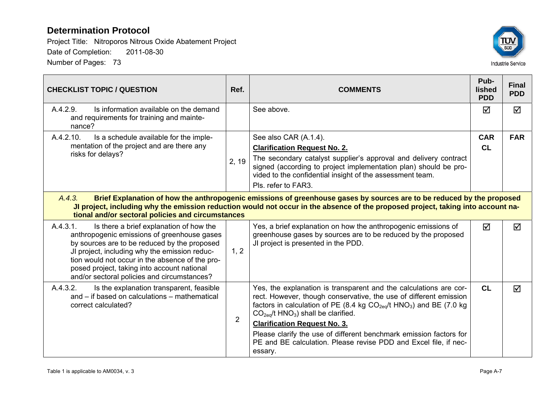

| <b>CHECKLIST TOPIC / QUESTION</b>                                                                                                                                                                                                                                                                                                                    | Ref.           | <b>COMMENTS</b>                                                                                                                                                                                                                                                              |                 | <b>Final</b><br><b>PDD</b> |  |
|------------------------------------------------------------------------------------------------------------------------------------------------------------------------------------------------------------------------------------------------------------------------------------------------------------------------------------------------------|----------------|------------------------------------------------------------------------------------------------------------------------------------------------------------------------------------------------------------------------------------------------------------------------------|-----------------|----------------------------|--|
| A.4.2.9.<br>Is information available on the demand<br>and requirements for training and mainte-<br>nance?                                                                                                                                                                                                                                            |                | See above.                                                                                                                                                                                                                                                                   | ☑               | ☑                          |  |
| A.4.2.10.<br>Is a schedule available for the imple-<br>mentation of the project and are there any<br>risks for delays?                                                                                                                                                                                                                               |                | See also CAR (A.1.4).                                                                                                                                                                                                                                                        | <b>CAR</b>      | <b>FAR</b>                 |  |
|                                                                                                                                                                                                                                                                                                                                                      |                | <b>Clarification Request No. 2.</b>                                                                                                                                                                                                                                          | <b>CL</b>       |                            |  |
|                                                                                                                                                                                                                                                                                                                                                      | 2, 19          | The secondary catalyst supplier's approval and delivery contract<br>signed (according to project implementation plan) should be pro-<br>vided to the confidential insight of the assessment team.                                                                            |                 |                            |  |
|                                                                                                                                                                                                                                                                                                                                                      |                | Pls. refer to FAR3.                                                                                                                                                                                                                                                          |                 |                            |  |
| A.4.3.<br>Brief Explanation of how the anthropogenic emissions of greenhouse gases by sources are to be reduced by the proposed<br>JI project, including why the emission reduction would not occur in the absence of the proposed project, taking into account na-<br>tional and/or sectoral policies and circumstances                             |                |                                                                                                                                                                                                                                                                              |                 |                            |  |
| A.4.3.1.<br>Is there a brief explanation of how the<br>anthropogenic emissions of greenhouse gases<br>by sources are to be reduced by the proposed<br>JI project, including why the emission reduc-<br>tion would not occur in the absence of the pro-<br>posed project, taking into account national<br>and/or sectoral policies and circumstances? | 1, 2           | Yes, a brief explanation on how the anthropogenic emissions of<br>greenhouse gases by sources are to be reduced by the proposed<br>JI project is presented in the PDD.                                                                                                       | $\triangledown$ | ☑                          |  |
| A.4.3.2.<br>Is the explanation transparent, feasible<br>and - if based on calculations - mathematical<br>correct calculated?                                                                                                                                                                                                                         |                | Yes, the explanation is transparent and the calculations are cor-<br>rect. However, though conservative, the use of different emission<br>factors in calculation of PE (8.4 kg CO <sub>2eq</sub> /t HNO <sub>3</sub> ) and BE (7.0 kg<br>$CO2eq/t HNO3)$ shall be clarified. | CL              | $\blacktriangledown$       |  |
|                                                                                                                                                                                                                                                                                                                                                      | $\overline{2}$ | <b>Clarification Request No. 3.</b>                                                                                                                                                                                                                                          |                 |                            |  |
|                                                                                                                                                                                                                                                                                                                                                      |                | Please clarify the use of different benchmark emission factors for<br>PE and BE calculation. Please revise PDD and Excel file, if nec-<br>essary.                                                                                                                            |                 |                            |  |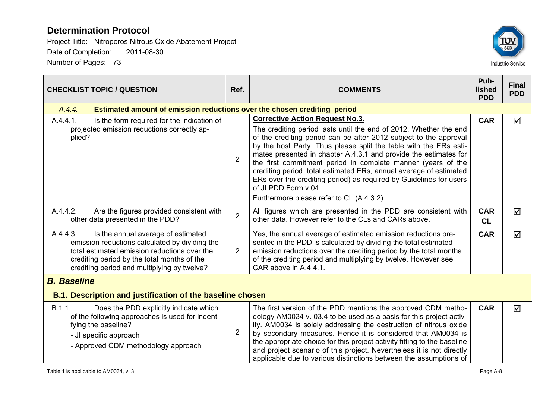

| <b>CHECKLIST TOPIC / QUESTION</b>                                                                                                                                                                                                              |                | <b>COMMENTS</b>                                                                                                                                                                                                                                                                                                                                                                                                                                                                                                                                                                                            | Pub-<br>lished<br><b>PDD</b> | <b>Final</b><br><b>PDD</b> |
|------------------------------------------------------------------------------------------------------------------------------------------------------------------------------------------------------------------------------------------------|----------------|------------------------------------------------------------------------------------------------------------------------------------------------------------------------------------------------------------------------------------------------------------------------------------------------------------------------------------------------------------------------------------------------------------------------------------------------------------------------------------------------------------------------------------------------------------------------------------------------------------|------------------------------|----------------------------|
| A.4.4.<br><b>Estimated amount of emission reductions over the chosen crediting period</b>                                                                                                                                                      |                |                                                                                                                                                                                                                                                                                                                                                                                                                                                                                                                                                                                                            |                              |                            |
| A.4.4.1.<br>Is the form required for the indication of<br>projected emission reductions correctly ap-<br>plied?                                                                                                                                | $\overline{2}$ | <b>Corrective Action Request No.3.</b><br>The crediting period lasts until the end of 2012. Whether the end<br>of the crediting period can be after 2012 subject to the approval<br>by the host Party. Thus please split the table with the ERs esti-<br>mates presented in chapter A.4.3.1 and provide the estimates for<br>the first commitment period in complete manner (years of the<br>crediting period, total estimated ERs, annual average of estimated<br>ERs over the crediting period) as required by Guidelines for users<br>of JI PDD Form v.04.<br>Furthermore please refer to CL (A.4.3.2). | <b>CAR</b>                   | ☑                          |
| A.4.4.2.<br>Are the figures provided consistent with<br>other data presented in the PDD?                                                                                                                                                       |                | All figures which are presented in the PDD are consistent with<br>other data. However refer to the CLs and CARs above.                                                                                                                                                                                                                                                                                                                                                                                                                                                                                     |                              | ☑                          |
| A.4.4.3.<br>Is the annual average of estimated<br>emission reductions calculated by dividing the<br>total estimated emission reductions over the<br>crediting period by the total months of the<br>crediting period and multiplying by twelve? | $\overline{2}$ | Yes, the annual average of estimated emission reductions pre-<br>sented in the PDD is calculated by dividing the total estimated<br>emission reductions over the crediting period by the total months<br>of the crediting period and multiplying by twelve. However see<br>CAR above in A.4.4.1.                                                                                                                                                                                                                                                                                                           | <b>CAR</b>                   | ☑                          |
| <b>B.</b> Baseline                                                                                                                                                                                                                             |                |                                                                                                                                                                                                                                                                                                                                                                                                                                                                                                                                                                                                            |                              |                            |
| <b>B.1. Description and justification of the baseline chosen</b>                                                                                                                                                                               |                |                                                                                                                                                                                                                                                                                                                                                                                                                                                                                                                                                                                                            |                              |                            |
| B.1.1.<br>Does the PDD explicitly indicate which<br>of the following approaches is used for indenti-<br>fying the baseline?<br>- JI specific approach<br>- Approved CDM methodology approach                                                   | $\overline{2}$ | The first version of the PDD mentions the approved CDM metho-<br>dology AM0034 v. 03.4 to be used as a basis for this project activ-<br>ity. AM0034 is solely addressing the destruction of nitrous oxide<br>by secondary measures. Hence it is considered that AM0034 is<br>the appropriate choice for this project activity fitting to the baseline<br>and project scenario of this project. Nevertheless it is not directly<br>applicable due to various distinctions between the assumptions of                                                                                                        | <b>CAR</b>                   | $\triangledown$            |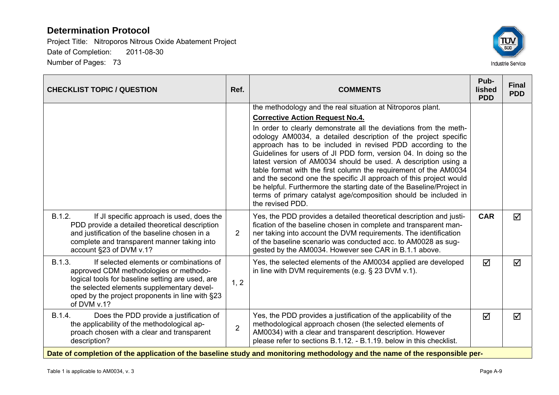

| <b>CHECKLIST TOPIC / QUESTION</b>                                                                                                                                                                                                                               | Ref.           | <b>COMMENTS</b>                                                                                                                                                                                                                                                                                                                                                                                                                                                                                                                                                                                                                                  | Pub-<br>lished<br><b>PDD</b> | <b>Final</b><br><b>PDD</b> |
|-----------------------------------------------------------------------------------------------------------------------------------------------------------------------------------------------------------------------------------------------------------------|----------------|--------------------------------------------------------------------------------------------------------------------------------------------------------------------------------------------------------------------------------------------------------------------------------------------------------------------------------------------------------------------------------------------------------------------------------------------------------------------------------------------------------------------------------------------------------------------------------------------------------------------------------------------------|------------------------------|----------------------------|
|                                                                                                                                                                                                                                                                 |                | the methodology and the real situation at Nitroporos plant.<br><b>Corrective Action Request No.4.</b>                                                                                                                                                                                                                                                                                                                                                                                                                                                                                                                                            |                              |                            |
|                                                                                                                                                                                                                                                                 |                | In order to clearly demonstrate all the deviations from the meth-<br>odology AM0034, a detailed description of the project specific<br>approach has to be included in revised PDD according to the<br>Guidelines for users of JI PDD form, version 04. In doing so the<br>latest version of AM0034 should be used. A description using a<br>table format with the first column the requirement of the AM0034<br>and the second one the specific JI approach of this project would<br>be helpful. Furthermore the starting date of the Baseline/Project in<br>terms of primary catalyst age/composition should be included in<br>the revised PDD. |                              |                            |
| B.1.2.<br>If JI specific approach is used, does the<br>PDD provide a detailed theoretical description<br>and justification of the baseline chosen in a<br>complete and transparent manner taking into<br>account §23 of DVM v.1?                                | $\overline{2}$ | Yes, the PDD provides a detailed theoretical description and justi-<br>fication of the baseline chosen in complete and transparent man-<br>ner taking into account the DVM requirements. The identification<br>of the baseline scenario was conducted acc. to AM0028 as sug-<br>gested by the AM0034. However see CAR in B.1.1 above.                                                                                                                                                                                                                                                                                                            | <b>CAR</b>                   | ☑                          |
| B.1.3.<br>If selected elements or combinations of<br>approved CDM methodologies or methodo-<br>logical tools for baseline setting are used, are<br>the selected elements supplementary devel-<br>oped by the project proponents in line with §23<br>of DVM v.1? | 1, 2           | Yes, the selected elements of the AM0034 applied are developed<br>in line with DVM requirements (e.g. $\S$ 23 DVM v.1).                                                                                                                                                                                                                                                                                                                                                                                                                                                                                                                          | ☑                            | ☑                          |
| B.1.4.<br>Does the PDD provide a justification of<br>the applicability of the methodological ap-<br>proach chosen with a clear and transparent<br>description?                                                                                                  | $\overline{2}$ | Yes, the PDD provides a justification of the applicability of the<br>methodological approach chosen (the selected elements of<br>AM0034) with a clear and transparent description. However<br>please refer to sections B.1.12. - B.1.19. below in this checklist.                                                                                                                                                                                                                                                                                                                                                                                | ☑                            | ☑                          |
|                                                                                                                                                                                                                                                                 |                | Date of completion of the application of the baseline study and monitoring methodology and the name of the responsible per-                                                                                                                                                                                                                                                                                                                                                                                                                                                                                                                      |                              |                            |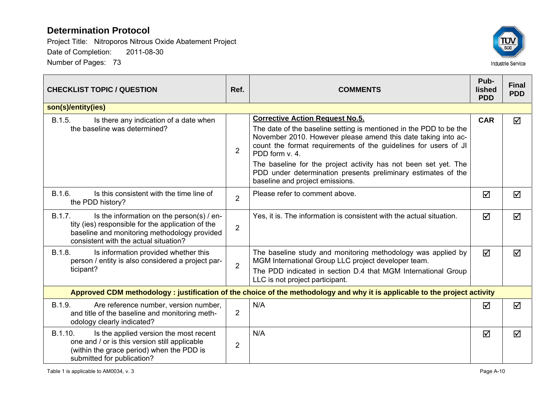

| <b>CHECKLIST TOPIC / QUESTION</b>                                                                                                                                                                 | Ref.           | <b>COMMENTS</b>                                                                                                                                                                                                                                                                                                                                                                                                                           |            | <b>Final</b><br><b>PDD</b> |
|---------------------------------------------------------------------------------------------------------------------------------------------------------------------------------------------------|----------------|-------------------------------------------------------------------------------------------------------------------------------------------------------------------------------------------------------------------------------------------------------------------------------------------------------------------------------------------------------------------------------------------------------------------------------------------|------------|----------------------------|
| son(s)/entity(ies)                                                                                                                                                                                |                |                                                                                                                                                                                                                                                                                                                                                                                                                                           |            |                            |
| B.1.5.<br>Is there any indication of a date when<br>the baseline was determined?                                                                                                                  | $\overline{2}$ | <b>Corrective Action Request No.5.</b><br>The date of the baseline setting is mentioned in the PDD to be the<br>November 2010. However please amend this date taking into ac-<br>count the format requirements of the guidelines for users of JI<br>PDD form v. 4.<br>The baseline for the project activity has not been set yet. The<br>PDD under determination presents preliminary estimates of the<br>baseline and project emissions. | <b>CAR</b> | ☑                          |
| B.1.6.<br>Is this consistent with the time line of<br>the PDD history?                                                                                                                            | $\overline{2}$ | Please refer to comment above.                                                                                                                                                                                                                                                                                                                                                                                                            | ☑          | ☑                          |
| B.1.7.<br>Is the information on the person(s) / en-<br>tity (ies) responsible for the application of the<br>baseline and monitoring methodology provided<br>consistent with the actual situation? | $\overline{2}$ | Yes, it is. The information is consistent with the actual situation.                                                                                                                                                                                                                                                                                                                                                                      | ☑          | ☑                          |
| B.1.8.<br>Is information provided whether this<br>person / entity is also considered a project par-<br>ticipant?                                                                                  | $\overline{2}$ | The baseline study and monitoring methodology was applied by<br>MGM International Group LLC project developer team.<br>The PDD indicated in section D.4 that MGM International Group<br>LLC is not project participant.                                                                                                                                                                                                                   | ☑          | ☑                          |
|                                                                                                                                                                                                   |                | Approved CDM methodology: justification of the choice of the methodology and why it is applicable to the project activity                                                                                                                                                                                                                                                                                                                 |            |                            |
| B.1.9.<br>Are reference number, version number,<br>and title of the baseline and monitoring meth-<br>odology clearly indicated?                                                                   | $\overline{2}$ | N/A                                                                                                                                                                                                                                                                                                                                                                                                                                       | ☑          | ☑                          |
| B.1.10.<br>Is the applied version the most recent<br>one and / or is this version still applicable<br>(within the grace period) when the PDD is<br>submitted for publication?                     | $\overline{2}$ | N/A                                                                                                                                                                                                                                                                                                                                                                                                                                       | ☑          | ☑                          |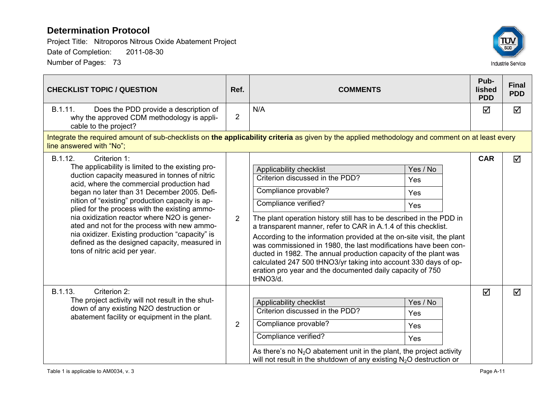

| <b>CHECKLIST TOPIC / QUESTION</b>                                                                                                                                                                                                                                                                                                                                                                                                                                                                                                                                | Ref.           | <b>COMMENTS</b>                                                                                                                                                                                                                                                                                                                                                                                                                                                                                                                                                                                                                                 |            | <b>Final</b><br><b>PDD</b> |  |
|------------------------------------------------------------------------------------------------------------------------------------------------------------------------------------------------------------------------------------------------------------------------------------------------------------------------------------------------------------------------------------------------------------------------------------------------------------------------------------------------------------------------------------------------------------------|----------------|-------------------------------------------------------------------------------------------------------------------------------------------------------------------------------------------------------------------------------------------------------------------------------------------------------------------------------------------------------------------------------------------------------------------------------------------------------------------------------------------------------------------------------------------------------------------------------------------------------------------------------------------------|------------|----------------------------|--|
| B.1.11.<br>Does the PDD provide a description of<br>why the approved CDM methodology is appli-<br>cable to the project?                                                                                                                                                                                                                                                                                                                                                                                                                                          | $\overline{2}$ | N/A                                                                                                                                                                                                                                                                                                                                                                                                                                                                                                                                                                                                                                             | ☑          | $\Delta$                   |  |
| Integrate the required amount of sub-checklists on the applicability criteria as given by the applied methodology and comment on at least every<br>line answered with "No";                                                                                                                                                                                                                                                                                                                                                                                      |                |                                                                                                                                                                                                                                                                                                                                                                                                                                                                                                                                                                                                                                                 |            |                            |  |
| B.1.12.<br>Criterion 1:<br>The applicability is limited to the existing pro-<br>duction capacity measured in tonnes of nitric<br>acid, where the commercial production had<br>began no later than 31 December 2005. Defi-<br>nition of "existing" production capacity is ap-<br>plied for the process with the existing ammo-<br>nia oxidization reactor where N2O is gener-<br>ated and not for the process with new ammo-<br>nia oxidizer. Existing production "capacity" is<br>defined as the designed capacity, measured in<br>tons of nitric acid per year. | 2              | Applicability checklist<br>Yes / No<br>Criterion discussed in the PDD?<br>Yes<br>Compliance provable?<br>Yes<br>Compliance verified?<br>Yes<br>The plant operation history still has to be described in the PDD in<br>a transparent manner, refer to CAR in A.1.4 of this checklist.<br>According to the information provided at the on-site visit, the plant<br>was commissioned in 1980, the last modifications have been con-<br>ducted in 1982. The annual production capacity of the plant was<br>calculated 247 500 tHNO3/yr taking into account 330 days of op-<br>eration pro year and the documented daily capacity of 750<br>tHNO3/d. | <b>CAR</b> | ☑                          |  |
| Criterion 2:<br>B.1.13.<br>The project activity will not result in the shut-<br>down of any existing N2O destruction or<br>abatement facility or equipment in the plant.                                                                                                                                                                                                                                                                                                                                                                                         | $\overline{2}$ | Applicability checklist<br>Yes / No<br>Criterion discussed in the PDD?<br>Yes<br>Compliance provable?<br>Yes<br>Compliance verified?<br>Yes<br>As there's no $N_2O$ abatement unit in the plant, the project activity<br>will not result in the shutdown of any existing $N2O$ destruction or                                                                                                                                                                                                                                                                                                                                                   | ☑          | ☑                          |  |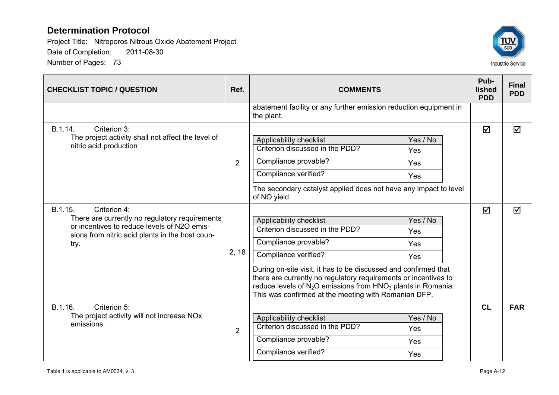

| <b>CHECKLIST TOPIC / QUESTION</b>                                                                                                                                                   | Ref.           | <b>COMMENTS</b>                                                                                                                                                                                                                                                                                                                                                                                                | Pub-<br>lished<br><b>PDD</b> | <b>Final</b><br><b>PDD</b> |
|-------------------------------------------------------------------------------------------------------------------------------------------------------------------------------------|----------------|----------------------------------------------------------------------------------------------------------------------------------------------------------------------------------------------------------------------------------------------------------------------------------------------------------------------------------------------------------------------------------------------------------------|------------------------------|----------------------------|
|                                                                                                                                                                                     |                | abatement facility or any further emission reduction equipment in<br>the plant.                                                                                                                                                                                                                                                                                                                                |                              |                            |
| B.1.14.<br>Criterion 3:<br>The project activity shall not affect the level of<br>nitric acid production                                                                             | $\overline{2}$ | Yes / No<br>Applicability checklist<br>Criterion discussed in the PDD?<br>Yes<br>Compliance provable?<br>Yes                                                                                                                                                                                                                                                                                                   | $\triangledown$              | ☑                          |
|                                                                                                                                                                                     |                | Compliance verified?<br>Yes<br>The secondary catalyst applied does not have any impact to level<br>of NO yield.                                                                                                                                                                                                                                                                                                |                              |                            |
| B.1.15.<br>Criterion 4:<br>There are currently no regulatory requirements<br>or incentives to reduce levels of N2O emis-<br>sions from nitric acid plants in the host coun-<br>try. | 2, 18          | Yes / No<br>Applicability checklist<br>Criterion discussed in the PDD?<br>Yes<br>Compliance provable?<br>Yes<br>Compliance verified?<br>Yes<br>During on-site visit, it has to be discussed and confirmed that<br>there are currently no regulatory requirements or incentives to<br>reduce levels of $N_2O$ emissions from $HNO_3$ plants in Romania.<br>This was confirmed at the meeting with Romanian DFP. | ☑                            | ☑                          |
| B.1.16.<br>Criterion 5:<br>The project activity will not increase NOx<br>emissions.                                                                                                 | 2              | Applicability checklist<br>Yes / No<br>Criterion discussed in the PDD?<br>Yes<br>Compliance provable?<br>Yes<br>Compliance verified?<br>Yes                                                                                                                                                                                                                                                                    | CL                           | <b>FAR</b>                 |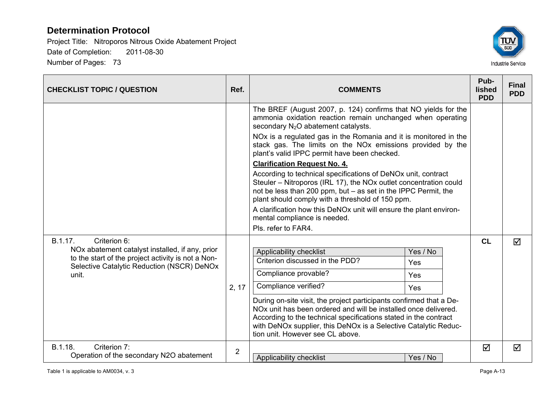

| <b>CHECKLIST TOPIC / QUESTION</b>                                                                     | Ref.           | <b>COMMENTS</b>                                                                                                                                                                                                                                                                                                               |          | Pub-<br>lished<br><b>PDD</b> | <b>Final</b><br><b>PDD</b> |
|-------------------------------------------------------------------------------------------------------|----------------|-------------------------------------------------------------------------------------------------------------------------------------------------------------------------------------------------------------------------------------------------------------------------------------------------------------------------------|----------|------------------------------|----------------------------|
|                                                                                                       |                | The BREF (August 2007, p. 124) confirms that NO yields for the<br>ammonia oxidation reaction remain unchanged when operating<br>secondary N <sub>2</sub> O abatement catalysts.                                                                                                                                               |          |                              |                            |
|                                                                                                       |                | NOx is a regulated gas in the Romania and it is monitored in the<br>stack gas. The limits on the NOx emissions provided by the<br>plant's valid IPPC permit have been checked.                                                                                                                                                |          |                              |                            |
|                                                                                                       |                | <b>Clarification Request No. 4.</b>                                                                                                                                                                                                                                                                                           |          |                              |                            |
|                                                                                                       |                | According to technical specifications of DeNOx unit, contract<br>Steuler - Nitroporos (IRL 17), the NOx outlet concentration could<br>not be less than 200 ppm, but - as set in the IPPC Permit, the<br>plant should comply with a threshold of 150 ppm.                                                                      |          |                              |                            |
|                                                                                                       |                | A clarification how this DeNOx unit will ensure the plant environ-<br>mental compliance is needed.                                                                                                                                                                                                                            |          |                              |                            |
|                                                                                                       |                | Pls. refer to FAR4.                                                                                                                                                                                                                                                                                                           |          |                              |                            |
| B.1.17.<br>Criterion 6:                                                                               |                |                                                                                                                                                                                                                                                                                                                               |          | <b>CL</b>                    | ☑                          |
| NOx abatement catalyst installed, if any, prior<br>to the start of the project activity is not a Non- |                | Applicability checklist                                                                                                                                                                                                                                                                                                       | Yes / No |                              |                            |
| Selective Catalytic Reduction (NSCR) DeNOx                                                            |                | Criterion discussed in the PDD?                                                                                                                                                                                                                                                                                               | Yes      |                              |                            |
| unit.                                                                                                 |                | Compliance provable?                                                                                                                                                                                                                                                                                                          | Yes      |                              |                            |
|                                                                                                       | 2, 17          | Compliance verified?                                                                                                                                                                                                                                                                                                          | Yes      |                              |                            |
|                                                                                                       |                | During on-site visit, the project participants confirmed that a De-<br>NO <sub>x</sub> unit has been ordered and will be installed once delivered.<br>According to the technical specifications stated in the contract<br>with DeNOx supplier, this DeNOx is a Selective Catalytic Reduc-<br>tion unit. However see CL above. |          |                              |                            |
| B.1.18.<br>Criterion 7:<br>Operation of the secondary N2O abatement                                   | $\overline{2}$ | Applicability checklist                                                                                                                                                                                                                                                                                                       | Yes / No | ☑                            | ☑                          |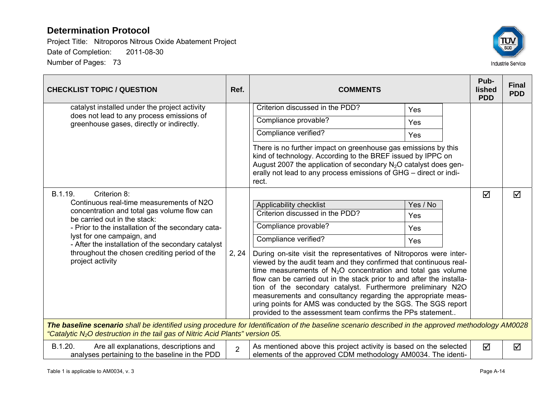

| <b>CHECKLIST TOPIC / QUESTION</b>                                                                                                                                                                                                                                                                                                                                 | Ref.           | <b>COMMENTS</b>                                                                                                                                                                                                                                                                                                                                                                                                                                                                                                                                                                                                                                                                                 | Pub-<br>lished<br><b>PDD</b> | <b>Final</b><br><b>PDD</b> |  |  |  |  |
|-------------------------------------------------------------------------------------------------------------------------------------------------------------------------------------------------------------------------------------------------------------------------------------------------------------------------------------------------------------------|----------------|-------------------------------------------------------------------------------------------------------------------------------------------------------------------------------------------------------------------------------------------------------------------------------------------------------------------------------------------------------------------------------------------------------------------------------------------------------------------------------------------------------------------------------------------------------------------------------------------------------------------------------------------------------------------------------------------------|------------------------------|----------------------------|--|--|--|--|
| catalyst installed under the project activity<br>does not lead to any process emissions of<br>greenhouse gases, directly or indirectly.                                                                                                                                                                                                                           |                | Criterion discussed in the PDD?<br>Yes                                                                                                                                                                                                                                                                                                                                                                                                                                                                                                                                                                                                                                                          |                              |                            |  |  |  |  |
|                                                                                                                                                                                                                                                                                                                                                                   |                | Compliance provable?<br>Yes                                                                                                                                                                                                                                                                                                                                                                                                                                                                                                                                                                                                                                                                     |                              |                            |  |  |  |  |
|                                                                                                                                                                                                                                                                                                                                                                   |                | Compliance verified?<br>Yes                                                                                                                                                                                                                                                                                                                                                                                                                                                                                                                                                                                                                                                                     |                              |                            |  |  |  |  |
|                                                                                                                                                                                                                                                                                                                                                                   |                | There is no further impact on greenhouse gas emissions by this<br>kind of technology. According to the BREF issued by IPPC on<br>August 2007 the application of secondary N <sub>2</sub> O catalyst does gen-<br>erally not lead to any process emissions of GHG - direct or indi-<br>rect.                                                                                                                                                                                                                                                                                                                                                                                                     |                              |                            |  |  |  |  |
| B.1.19.<br>Criterion 8:<br>Continuous real-time measurements of N2O<br>concentration and total gas volume flow can<br>be carried out in the stack:<br>- Prior to the installation of the secondary cata-<br>lyst for one campaign, and<br>- After the installation of the secondary catalyst<br>throughout the chosen crediting period of the<br>project activity | 2, 24          | Applicability checklist<br>Yes / No<br>Criterion discussed in the PDD?<br>Yes<br>Compliance provable?<br>Yes<br>Compliance verified?<br>Yes<br>During on-site visit the representatives of Nitroporos were inter-<br>viewed by the audit team and they confirmed that continuous real-<br>time measurements of $N_2O$ concentration and total gas volume<br>flow can be carried out in the stack prior to and after the installa-<br>tion of the secondary catalyst. Furthermore preliminary N2O<br>measurements and consultancy regarding the appropriate meas-<br>uring points for AMS was conducted by the SGS. The SGS report<br>provided to the assessment team confirms the PPs statement | ☑                            | ☑                          |  |  |  |  |
| The baseline scenario shall be identified using procedure for Identification of the baseline scenario described in the approved methodology AM0028<br>"Catalytic N <sub>2</sub> O destruction in the tail gas of Nitric Acid Plants" version 05.                                                                                                                  |                |                                                                                                                                                                                                                                                                                                                                                                                                                                                                                                                                                                                                                                                                                                 |                              |                            |  |  |  |  |
| B.1.20.<br>Are all explanations, descriptions and<br>analyses pertaining to the baseline in the PDD                                                                                                                                                                                                                                                               | $\overline{2}$ | As mentioned above this project activity is based on the selected<br>elements of the approved CDM methodology AM0034. The identi-                                                                                                                                                                                                                                                                                                                                                                                                                                                                                                                                                               | ☑                            | ☑                          |  |  |  |  |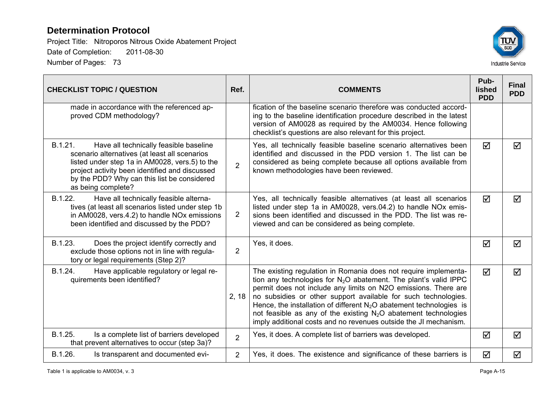

| <b>CHECKLIST TOPIC / QUESTION</b>                                                                                                                                                                                                                                           | Ref.           | <b>COMMENTS</b>                                                                                                                                                                                                                                                                                                                                                                                                                                                                             | Pub-<br>lished<br><b>PDD</b> | <b>Final</b><br><b>PDD</b> |
|-----------------------------------------------------------------------------------------------------------------------------------------------------------------------------------------------------------------------------------------------------------------------------|----------------|---------------------------------------------------------------------------------------------------------------------------------------------------------------------------------------------------------------------------------------------------------------------------------------------------------------------------------------------------------------------------------------------------------------------------------------------------------------------------------------------|------------------------------|----------------------------|
| made in accordance with the referenced ap-<br>proved CDM methodology?                                                                                                                                                                                                       |                | fication of the baseline scenario therefore was conducted accord-<br>ing to the baseline identification procedure described in the latest<br>version of AM0028 as required by the AM0034. Hence following<br>checklist's questions are also relevant for this project.                                                                                                                                                                                                                      |                              |                            |
| B.1.21.<br>Have all technically feasible baseline<br>scenario alternatives (at least all scenarios<br>listed under step 1a in AM0028, vers.5) to the<br>project activity been identified and discussed<br>by the PDD? Why can this list be considered<br>as being complete? | $\overline{2}$ | Yes, all technically feasible baseline scenario alternatives been<br>identified and discussed in the PDD version 1. The list can be<br>considered as being complete because all options available from<br>known methodologies have been reviewed.                                                                                                                                                                                                                                           | ☑                            | ☑                          |
| B.1.22.<br>Have all technically feasible alterna-<br>tives (at least all scenarios listed under step 1b<br>in AM0028, vers.4.2) to handle NO <sub>x</sub> emissions<br>been identified and discussed by the PDD?                                                            | $\overline{2}$ | Yes, all technically feasible alternatives (at least all scenarios<br>listed under step 1a in AM0028, vers.04.2) to handle NO <sub>x</sub> emis-<br>sions been identified and discussed in the PDD. The list was re-<br>viewed and can be considered as being complete.                                                                                                                                                                                                                     | $\triangledown$              | $\blacktriangledown$       |
| B.1.23.<br>Does the project identify correctly and<br>exclude those options not in line with regula-<br>tory or legal requirements (Step 2)?                                                                                                                                | 2              | Yes, it does.                                                                                                                                                                                                                                                                                                                                                                                                                                                                               | ☑                            | $\blacktriangledown$       |
| B.1.24.<br>Have applicable regulatory or legal re-<br>quirements been identified?                                                                                                                                                                                           | 2, 18          | The existing regulation in Romania does not require implementa-<br>tion any technologies for $N_2O$ abatement. The plant's valid IPPC<br>permit does not include any limits on N2O emissions. There are<br>no subsidies or other support available for such technologies.<br>Hence, the installation of different $N_2O$ abatement technologies is<br>not feasible as any of the existing $N_2O$ abatement technologies<br>imply additional costs and no revenues outside the JI mechanism. | $\triangledown$              | $\blacktriangledown$       |
| B.1.25.<br>Is a complete list of barriers developed<br>that prevent alternatives to occur (step 3a)?                                                                                                                                                                        | $\overline{2}$ | Yes, it does. A complete list of barriers was developed.                                                                                                                                                                                                                                                                                                                                                                                                                                    | ☑                            | $\blacktriangledown$       |
| B.1.26.<br>Is transparent and documented evi-                                                                                                                                                                                                                               | $\overline{2}$ | Yes, it does. The existence and significance of these barriers is                                                                                                                                                                                                                                                                                                                                                                                                                           | ☑                            | ☑                          |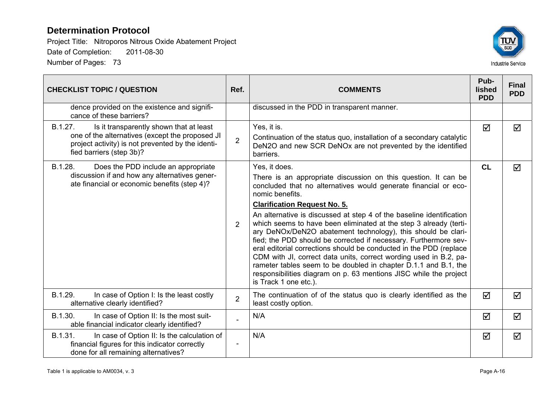

| <b>CHECKLIST TOPIC / QUESTION</b>                                                                                                                                                      | Ref.           | <b>COMMENTS</b>                                                                                                                                                                                                                                                                                                                                                                                                                                                                                                                                                                                                                                                                                                                                                                                           | Pub-<br><b>lished</b><br><b>PDD</b> | <b>Final</b><br><b>PDD</b> |
|----------------------------------------------------------------------------------------------------------------------------------------------------------------------------------------|----------------|-----------------------------------------------------------------------------------------------------------------------------------------------------------------------------------------------------------------------------------------------------------------------------------------------------------------------------------------------------------------------------------------------------------------------------------------------------------------------------------------------------------------------------------------------------------------------------------------------------------------------------------------------------------------------------------------------------------------------------------------------------------------------------------------------------------|-------------------------------------|----------------------------|
| dence provided on the existence and signifi-<br>cance of these barriers?                                                                                                               |                | discussed in the PDD in transparent manner.                                                                                                                                                                                                                                                                                                                                                                                                                                                                                                                                                                                                                                                                                                                                                               |                                     |                            |
| Is it transparently shown that at least<br>B.1.27.<br>one of the alternatives (except the proposed JI<br>project activity) is not prevented by the identi-<br>fied barriers (step 3b)? | $\overline{2}$ | Yes, it is.<br>Continuation of the status quo, installation of a secondary catalytic<br>DeN2O and new SCR DeNOx are not prevented by the identified<br>barriers.                                                                                                                                                                                                                                                                                                                                                                                                                                                                                                                                                                                                                                          | $\overline{\mathbf{M}}$             | ☑                          |
| B.1.28.<br>Does the PDD include an appropriate<br>discussion if and how any alternatives gener-<br>ate financial or economic benefits (step 4)?                                        | $\overline{2}$ | Yes, it does.<br>There is an appropriate discussion on this question. It can be<br>concluded that no alternatives would generate financial or eco-<br>nomic benefits.<br><b>Clarification Request No. 5.</b><br>An alternative is discussed at step 4 of the baseline identification<br>which seems to have been eliminated at the step 3 already (terti-<br>ary DeNOx/DeN2O abatement technology), this should be clari-<br>fied; the PDD should be corrected if necessary. Furthermore sev-<br>eral editorial corrections should be conducted in the PDD (replace<br>CDM with JI, correct data units, correct wording used in B.2, pa-<br>rameter tables seem to be doubled in chapter D.1.1 and B.1, the<br>responsibilities diagram on p. 63 mentions JISC while the project<br>is Track 1 one etc.). | <b>CL</b>                           | ☑                          |
| B.1.29.<br>In case of Option I: Is the least costly<br>alternative clearly identified?                                                                                                 | $\overline{2}$ | The continuation of of the status quo is clearly identified as the<br>least costly option.                                                                                                                                                                                                                                                                                                                                                                                                                                                                                                                                                                                                                                                                                                                | ☑                                   | ☑                          |
| B.1.30.<br>In case of Option II: Is the most suit-<br>able financial indicator clearly identified?                                                                                     |                | N/A                                                                                                                                                                                                                                                                                                                                                                                                                                                                                                                                                                                                                                                                                                                                                                                                       | ☑                                   | ☑                          |
| B.1.31.<br>In case of Option II: Is the calculation of<br>financial figures for this indicator correctly<br>done for all remaining alternatives?                                       | $\overline{a}$ | N/A                                                                                                                                                                                                                                                                                                                                                                                                                                                                                                                                                                                                                                                                                                                                                                                                       | ☑                                   | ☑                          |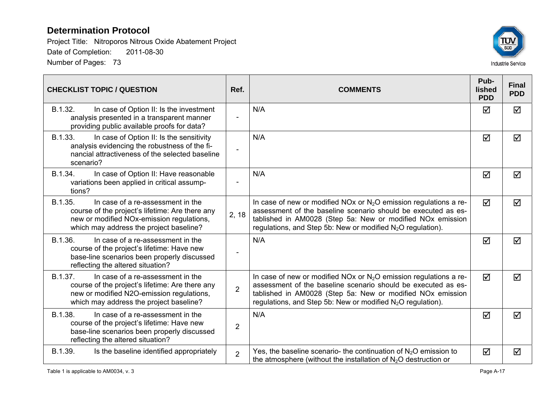

| <b>CHECKLIST TOPIC / QUESTION</b>                                                                                                                                                       | Ref.           | <b>COMMENTS</b>                                                                                                                                                                                                                                                                           | Pub-<br>lished<br><b>PDD</b> | <b>Final</b><br><b>PDD</b> |
|-----------------------------------------------------------------------------------------------------------------------------------------------------------------------------------------|----------------|-------------------------------------------------------------------------------------------------------------------------------------------------------------------------------------------------------------------------------------------------------------------------------------------|------------------------------|----------------------------|
| B.1.32.<br>In case of Option II: Is the investment<br>analysis presented in a transparent manner<br>providing public available proofs for data?                                         |                | N/A                                                                                                                                                                                                                                                                                       | ☑                            | ☑                          |
| B.1.33.<br>In case of Option II: Is the sensitivity<br>analysis evidencing the robustness of the fi-<br>nancial attractiveness of the selected baseline<br>scenario?                    |                | N/A                                                                                                                                                                                                                                                                                       | ☑                            | ☑                          |
| B.1.34.<br>In case of Option II: Have reasonable<br>variations been applied in critical assump-<br>tions?                                                                               |                | N/A                                                                                                                                                                                                                                                                                       | ☑                            | ☑                          |
| B.1.35.<br>In case of a re-assessment in the<br>course of the project's lifetime: Are there any<br>new or modified NOx-emission regulations,<br>which may address the project baseline? | 2, 18          | In case of new or modified NOx or $N_2O$ emission regulations a re-<br>assessment of the baseline scenario should be executed as es-<br>tablished in AM0028 (Step 5a: New or modified NOx emission<br>regulations, and Step 5b: New or modified $N_2O$ regulation).                       | $\blacktriangledown$         | $\blacktriangledown$       |
| B.1.36.<br>In case of a re-assessment in the<br>course of the project's lifetime: Have new<br>base-line scenarios been properly discussed<br>reflecting the altered situation?          |                | N/A                                                                                                                                                                                                                                                                                       | ☑                            | ☑                          |
| B.1.37.<br>In case of a re-assessment in the<br>course of the project's lifetime: Are there any<br>new or modified N2O-emission regulations,<br>which may address the project baseline? | $\overline{2}$ | In case of new or modified NOx or $N_2O$ emission regulations a re-<br>assessment of the baseline scenario should be executed as es-<br>tablished in AM0028 (Step 5a: New or modified NO <sub>x</sub> emission<br>regulations, and Step 5b: New or modified N <sub>2</sub> O regulation). | ☑                            | $\blacktriangledown$       |
| B.1.38.<br>In case of a re-assessment in the<br>course of the project's lifetime: Have new<br>base-line scenarios been properly discussed<br>reflecting the altered situation?          | $\overline{2}$ | N/A                                                                                                                                                                                                                                                                                       | $\blacktriangledown$         | $\blacktriangledown$       |
| Is the baseline identified appropriately<br>B.1.39.                                                                                                                                     | $\overline{2}$ | Yes, the baseline scenario- the continuation of $N_2O$ emission to<br>the atmosphere (without the installation of $N_2O$ destruction or                                                                                                                                                   | ☑                            | ☑                          |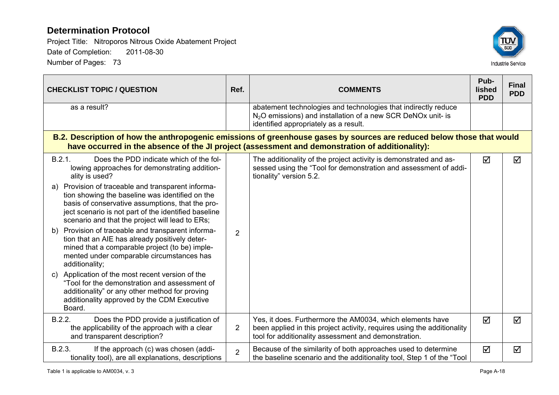

| <b>CHECKLIST TOPIC / QUESTION</b>                                                                                                                                                                                                                                                                                                                                                                                                                                                                                                                                                                                                                                                                                                                                                                                                                        | Ref.           | <b>COMMENTS</b>                                                                                                                                                                              | Pub-<br>lished<br><b>PDD</b> | <b>Final</b><br><b>PDD</b> |
|----------------------------------------------------------------------------------------------------------------------------------------------------------------------------------------------------------------------------------------------------------------------------------------------------------------------------------------------------------------------------------------------------------------------------------------------------------------------------------------------------------------------------------------------------------------------------------------------------------------------------------------------------------------------------------------------------------------------------------------------------------------------------------------------------------------------------------------------------------|----------------|----------------------------------------------------------------------------------------------------------------------------------------------------------------------------------------------|------------------------------|----------------------------|
| as a result?                                                                                                                                                                                                                                                                                                                                                                                                                                                                                                                                                                                                                                                                                                                                                                                                                                             |                | abatement technologies and technologies that indirectly reduce<br>N <sub>2</sub> O emissions) and installation of a new SCR DeNOx unit- is<br>identified appropriately as a result.          |                              |                            |
| B.2. Description of how the anthropogenic emissions of greenhouse gases by sources are reduced below those that would<br>have occurred in the absence of the JI project (assessment and demonstration of additionality):                                                                                                                                                                                                                                                                                                                                                                                                                                                                                                                                                                                                                                 |                |                                                                                                                                                                                              |                              |                            |
| B.2.1.<br>Does the PDD indicate which of the fol-<br>lowing approaches for demonstrating addition-<br>ality is used?<br>Provision of traceable and transparent informa-<br>a)<br>tion showing the baseline was identified on the<br>basis of conservative assumptions, that the pro-<br>ject scenario is not part of the identified baseline<br>scenario and that the project will lead to ERs;<br>Provision of traceable and transparent informa-<br>b)<br>tion that an AIE has already positively deter-<br>mined that a comparable project (to be) imple-<br>mented under comparable circumstances has<br>additionality;<br>Application of the most recent version of the<br>$\mathbf{C}$<br>"Tool for the demonstration and assessment of<br>additionality" or any other method for proving<br>additionality approved by the CDM Executive<br>Board. | 2              | The additionality of the project activity is demonstrated and as-<br>sessed using the "Tool for demonstration and assessment of addi-<br>tionality" version 5.2.                             | ☑                            | ☑                          |
| B.2.2.<br>Does the PDD provide a justification of<br>the applicability of the approach with a clear<br>and transparent description?                                                                                                                                                                                                                                                                                                                                                                                                                                                                                                                                                                                                                                                                                                                      | $\overline{2}$ | Yes, it does. Furthermore the AM0034, which elements have<br>been applied in this project activity, requires using the additionality<br>tool for additionality assessment and demonstration. | ☑                            | ☑                          |
| B.2.3.<br>If the approach (c) was chosen (addi-<br>tionality tool), are all explanations, descriptions                                                                                                                                                                                                                                                                                                                                                                                                                                                                                                                                                                                                                                                                                                                                                   | $\overline{2}$ | Because of the similarity of both approaches used to determine<br>the baseline scenario and the additionality tool, Step 1 of the "Tool                                                      | ☑                            | ☑                          |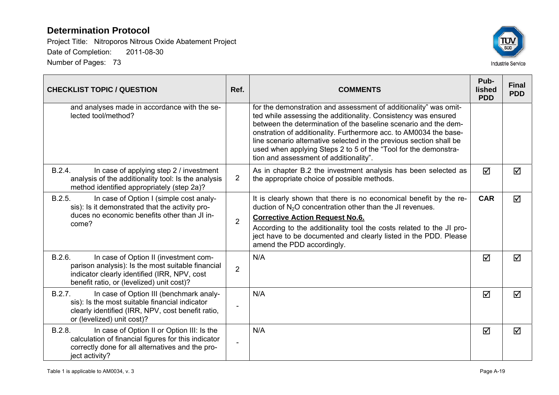

| <b>CHECKLIST TOPIC / QUESTION</b>                                                                                                                                                                 | Ref.           | <b>COMMENTS</b>                                                                                                                                                                                                                                                                                                                                                                                                                                                | Pub-<br><b>lished</b><br><b>PDD</b> | <b>Final</b><br><b>PDD</b> |
|---------------------------------------------------------------------------------------------------------------------------------------------------------------------------------------------------|----------------|----------------------------------------------------------------------------------------------------------------------------------------------------------------------------------------------------------------------------------------------------------------------------------------------------------------------------------------------------------------------------------------------------------------------------------------------------------------|-------------------------------------|----------------------------|
| and analyses made in accordance with the se-<br>lected tool/method?                                                                                                                               |                | for the demonstration and assessment of additionality" was omit-<br>ted while assessing the additionality. Consistency was ensured<br>between the determination of the baseline scenario and the dem-<br>onstration of additionality. Furthermore acc. to AM0034 the base-<br>line scenario alternative selected in the previous section shall be<br>used when applying Steps 2 to 5 of the "Tool for the demonstra-<br>tion and assessment of additionality". |                                     |                            |
| B.2.4.<br>In case of applying step 2 / investment<br>analysis of the additionality tool: Is the analysis<br>method identified appropriately (step 2a)?                                            | $\overline{2}$ | As in chapter B.2 the investment analysis has been selected as<br>the appropriate choice of possible methods.                                                                                                                                                                                                                                                                                                                                                  | ☑                                   | ☑                          |
| B.2.5.<br>In case of Option I (simple cost analy-<br>sis): Is it demonstrated that the activity pro-<br>duces no economic benefits other than JI in-<br>come?                                     | $\overline{2}$ | It is clearly shown that there is no economical benefit by the re-<br>duction of N <sub>2</sub> O concentration other than the JI revenues.<br><b>Corrective Action Request No.6.</b><br>According to the additionality tool the costs related to the JI pro-<br>ject have to be documented and clearly listed in the PDD. Please<br>amend the PDD accordingly.                                                                                                | <b>CAR</b>                          | ☑                          |
| B.2.6.<br>In case of Option II (investment com-<br>parison analysis): Is the most suitable financial<br>indicator clearly identified (IRR, NPV, cost<br>benefit ratio, or (levelized) unit cost)? | $\overline{2}$ | N/A                                                                                                                                                                                                                                                                                                                                                                                                                                                            | ☑                                   | ☑                          |
| B.2.7.<br>In case of Option III (benchmark analy-<br>sis): Is the most suitable financial indicator<br>clearly identified (IRR, NPV, cost benefit ratio,<br>or (levelized) unit cost)?            |                | N/A                                                                                                                                                                                                                                                                                                                                                                                                                                                            | ☑                                   | $\triangledown$            |
| B.2.8.<br>In case of Option II or Option III: Is the<br>calculation of financial figures for this indicator<br>correctly done for all alternatives and the pro-<br>ject activity?                 |                | N/A                                                                                                                                                                                                                                                                                                                                                                                                                                                            | ☑                                   | ☑                          |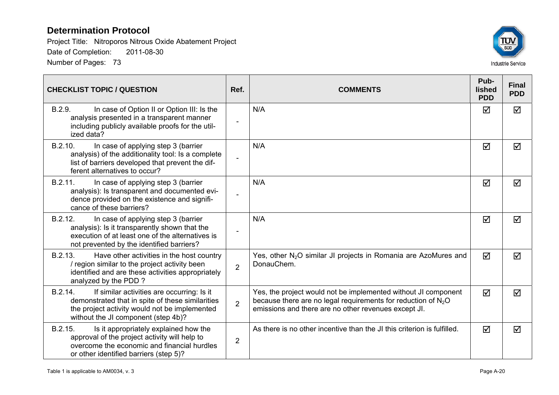

| <b>CHECKLIST TOPIC / QUESTION</b>                                                                                                                                                                 | Ref.                     | <b>COMMENTS</b>                                                                                                                                                                           | Pub-<br>lished<br><b>PDD</b> | <b>Final</b><br><b>PDD</b> |
|---------------------------------------------------------------------------------------------------------------------------------------------------------------------------------------------------|--------------------------|-------------------------------------------------------------------------------------------------------------------------------------------------------------------------------------------|------------------------------|----------------------------|
| B.2.9.<br>In case of Option II or Option III: Is the<br>analysis presented in a transparent manner<br>including publicly available proofs for the util-<br>ized data?                             | $\overline{\phantom{a}}$ | N/A                                                                                                                                                                                       | ☑                            | ☑                          |
| B.2.10.<br>In case of applying step 3 (barrier<br>analysis) of the additionality tool: Is a complete<br>list of barriers developed that prevent the dif-<br>ferent alternatives to occur?         | $\overline{a}$           | N/A                                                                                                                                                                                       | ☑                            | $\blacktriangledown$       |
| B.2.11.<br>In case of applying step 3 (barrier<br>analysis): Is transparent and documented evi-<br>dence provided on the existence and signifi-<br>cance of these barriers?                       | $\overline{a}$           | N/A                                                                                                                                                                                       | ☑                            | ☑                          |
| B.2.12.<br>In case of applying step 3 (barrier<br>analysis): Is it transparently shown that the<br>execution of at least one of the alternatives is<br>not prevented by the identified barriers?  | $\overline{\phantom{a}}$ | N/A                                                                                                                                                                                       | ☑                            | ☑                          |
| B.2.13.<br>Have other activities in the host country<br>/ region similar to the project activity been<br>identified and are these activities appropriately<br>analyzed by the PDD?                | $\overline{2}$           | Yes, other N <sub>2</sub> O similar JI projects in Romania are AzoMures and<br>DonauChem.                                                                                                 | ☑                            | ☑                          |
| If similar activities are occurring: Is it<br>B.2.14.<br>demonstrated that in spite of these similarities<br>the project activity would not be implemented<br>without the JI component (step 4b)? | $\overline{2}$           | Yes, the project would not be implemented without JI component<br>because there are no legal requirements for reduction of $N_2O$<br>emissions and there are no other revenues except JI. | ☑                            | ☑                          |
| B.2.15.<br>Is it appropriately explained how the<br>approval of the project activity will help to<br>overcome the economic and financial hurdles<br>or other identified barriers (step 5)?        | $\overline{2}$           | As there is no other incentive than the JI this criterion is fulfilled.                                                                                                                   | ☑                            | ☑                          |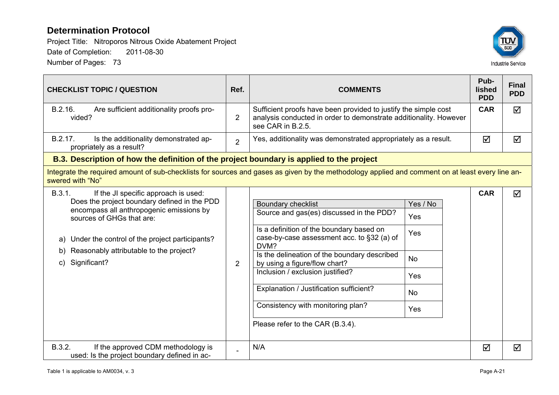

| <b>CHECKLIST TOPIC / QUESTION</b>                                                                                                                                                                                                                                                                      | Ref.           | <b>COMMENTS</b>                                                                                                                                                                                                                                                                                                                                                                                                  |                                                                | Pub-<br>lished<br><b>PDD</b> | <b>Final</b><br><b>PDD</b> |  |  |
|--------------------------------------------------------------------------------------------------------------------------------------------------------------------------------------------------------------------------------------------------------------------------------------------------------|----------------|------------------------------------------------------------------------------------------------------------------------------------------------------------------------------------------------------------------------------------------------------------------------------------------------------------------------------------------------------------------------------------------------------------------|----------------------------------------------------------------|------------------------------|----------------------------|--|--|
| Are sufficient additionality proofs pro-<br>B.2.16.<br>vided?                                                                                                                                                                                                                                          | $\overline{2}$ | Sufficient proofs have been provided to justify the simple cost<br>analysis conducted in order to demonstrate additionality. However<br>see CAR in B.2.5.                                                                                                                                                                                                                                                        |                                                                | <b>CAR</b>                   | ☑                          |  |  |
| B.2.17.<br>Is the additionality demonstrated ap-<br>propriately as a result?                                                                                                                                                                                                                           | $\overline{2}$ | Yes, additionality was demonstrated appropriately as a result.                                                                                                                                                                                                                                                                                                                                                   |                                                                | ☑                            | ☑                          |  |  |
| B.3. Description of how the definition of the project boundary is applied to the project                                                                                                                                                                                                               |                |                                                                                                                                                                                                                                                                                                                                                                                                                  |                                                                |                              |                            |  |  |
| Integrate the required amount of sub-checklists for sources and gases as given by the methodology applied and comment on at least every line an-<br>swered with "No"                                                                                                                                   |                |                                                                                                                                                                                                                                                                                                                                                                                                                  |                                                                |                              |                            |  |  |
| B.3.1.<br>If the JI specific approach is used:<br>Does the project boundary defined in the PDD<br>encompass all anthropogenic emissions by<br>sources of GHGs that are:<br>Under the control of the project participants?<br>a)<br>Reasonably attributable to the project?<br>b)<br>Significant?<br>C) | $\overline{2}$ | <b>Boundary checklist</b><br>Source and gas(es) discussed in the PDD?<br>Is a definition of the boundary based on<br>case-by-case assessment acc. to §32 (a) of<br>DVM?<br>Is the delineation of the boundary described<br>by using a figure/flow chart?<br>Inclusion / exclusion justified?<br>Explanation / Justification sufficient?<br>Consistency with monitoring plan?<br>Please refer to the CAR (B.3.4). | Yes / No<br>Yes<br>Yes<br><b>No</b><br>Yes<br><b>No</b><br>Yes | <b>CAR</b>                   | ☑                          |  |  |
| B.3.2.<br>If the approved CDM methodology is<br>used: Is the project boundary defined in ac-                                                                                                                                                                                                           |                | N/A                                                                                                                                                                                                                                                                                                                                                                                                              |                                                                | ☑                            | ☑                          |  |  |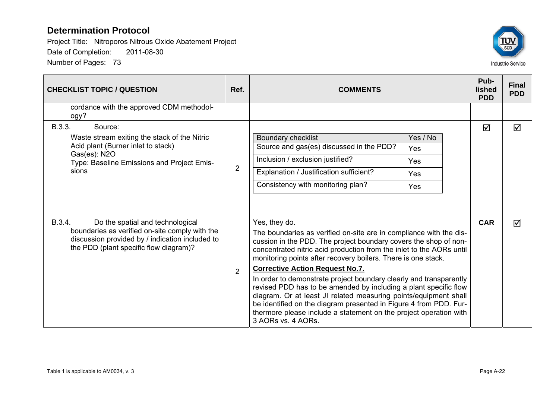

| <b>CHECKLIST TOPIC / QUESTION</b>                                                                                                                                                         | Ref.           | <b>COMMENTS</b>                                                                                                                                                                                                                                                                                                                                                                                                                                                                                                                                                                                                                                                                                                          | Pub-<br><b>lished</b><br><b>PDD</b> | <b>Final</b><br><b>PDD</b> |
|-------------------------------------------------------------------------------------------------------------------------------------------------------------------------------------------|----------------|--------------------------------------------------------------------------------------------------------------------------------------------------------------------------------------------------------------------------------------------------------------------------------------------------------------------------------------------------------------------------------------------------------------------------------------------------------------------------------------------------------------------------------------------------------------------------------------------------------------------------------------------------------------------------------------------------------------------------|-------------------------------------|----------------------------|
| cordance with the approved CDM methodol-<br>ogy?                                                                                                                                          |                |                                                                                                                                                                                                                                                                                                                                                                                                                                                                                                                                                                                                                                                                                                                          |                                     |                            |
| B.3.3.<br>Source:<br>Waste stream exiting the stack of the Nitric<br>Acid plant (Burner inlet to stack)<br>Gas(es): N2O<br>Type: Baseline Emissions and Project Emis-<br>sions            | $\overline{2}$ | Yes / No<br><b>Boundary checklist</b><br>Source and gas(es) discussed in the PDD?<br>Yes<br>Inclusion / exclusion justified?<br>Yes<br>Explanation / Justification sufficient?<br>Yes<br>Consistency with monitoring plan?<br>Yes                                                                                                                                                                                                                                                                                                                                                                                                                                                                                        | ☑                                   | ☑                          |
| B.3.4.<br>Do the spatial and technological<br>boundaries as verified on-site comply with the<br>discussion provided by / indication included to<br>the PDD (plant specific flow diagram)? | 2              | Yes, they do.<br>The boundaries as verified on-site are in compliance with the dis-<br>cussion in the PDD. The project boundary covers the shop of non-<br>concentrated nitric acid production from the inlet to the AORs until<br>monitoring points after recovery boilers. There is one stack.<br><b>Corrective Action Request No.7.</b><br>In order to demonstrate project boundary clearly and transparently<br>revised PDD has to be amended by including a plant specific flow<br>diagram. Or at least JI related measuring points/equipment shall<br>be identified on the diagram presented in Figure 4 from PDD. Fur-<br>thermore please include a statement on the project operation with<br>3 AORs vs. 4 AORs. | <b>CAR</b>                          | ☑                          |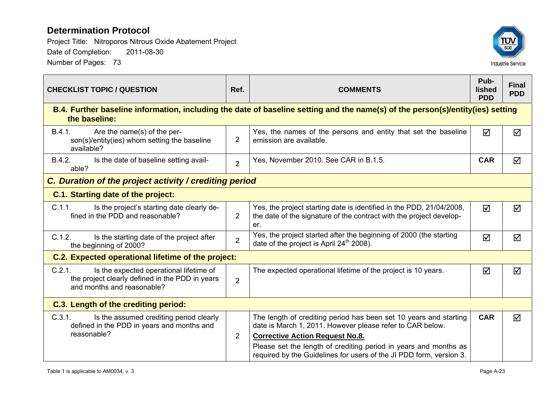

| <b>CHECKLIST TOPIC / QUESTION</b>                                                                                                  | Ref.           | <b>COMMENTS</b>                                                                                                                                    | Pub-<br>lished<br><b>PDD</b> | <b>Final</b><br><b>PDD</b> |  |  |
|------------------------------------------------------------------------------------------------------------------------------------|----------------|----------------------------------------------------------------------------------------------------------------------------------------------------|------------------------------|----------------------------|--|--|
| the baseline:                                                                                                                      |                | B.4. Further baseline information, including the date of baseline setting and the name(s) of the person(s)/entity(ies) setting                     |                              |                            |  |  |
| B.4.1.<br>Are the name(s) of the per-<br>son(s)/entity(ies) whom setting the baseline<br>available?                                | $\overline{2}$ | Yes, the names of the persons and entity that set the baseline<br>emission are available.                                                          | $\blacktriangledown$         | ☑                          |  |  |
| B.4.2.<br>Is the date of baseline setting avail-<br>able?                                                                          | $\overline{2}$ | Yes, November 2010. See CAR in B.1.5.                                                                                                              | <b>CAR</b>                   | ☑                          |  |  |
| C. Duration of the project activity / crediting period                                                                             |                |                                                                                                                                                    |                              |                            |  |  |
| <b>C.1. Starting date of the project:</b>                                                                                          |                |                                                                                                                                                    |                              |                            |  |  |
| C.1.1.<br>Is the project's starting date clearly de-<br>fined in the PDD and reasonable?                                           | $\overline{2}$ | Yes, the project starting date is identified in the PDD, 21/04/2008,<br>the date of the signature of the contract with the project develop-<br>er. | $\blacktriangledown$         | ☑                          |  |  |
| C.1.2.<br>Is the starting date of the project after<br>the beginning of 2000?                                                      | $\overline{2}$ | Yes, the project started after the beginning of 2000 (the starting<br>date of the project is April 24 <sup>th</sup> 2008).                         | ☑                            | ☑                          |  |  |
| C.2. Expected operational lifetime of the project:                                                                                 |                |                                                                                                                                                    |                              |                            |  |  |
| C.2.1.<br>Is the expected operational lifetime of<br>the project clearly defined in the PDD in years<br>and months and reasonable? | $\overline{2}$ | The expected operational lifetime of the project is 10 years.                                                                                      | ☑                            | ☑                          |  |  |
| <b>C.3. Length of the crediting period:</b>                                                                                        |                |                                                                                                                                                    |                              |                            |  |  |
| C.3.1.<br>Is the assumed crediting period clearly<br>defined in the PDD in years and months and                                    |                | The length of crediting period has been set 10 years and starting<br>date is March 1, 2011. However please refer to CAR below.                     | <b>CAR</b>                   | ☑                          |  |  |
| reasonable?                                                                                                                        | $\overline{2}$ | <b>Corrective Action Request No.8.</b>                                                                                                             |                              |                            |  |  |
|                                                                                                                                    |                | Please set the length of crediting period in years and months as<br>required by the Guidelines for users of the JI PDD form, version 3.            |                              |                            |  |  |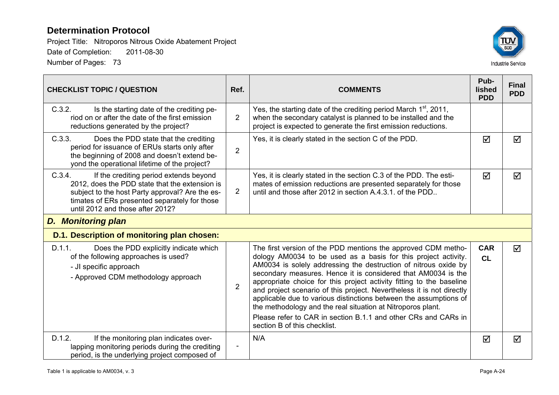

| <b>CHECKLIST TOPIC / QUESTION</b>                                                                                                                                                                                                          | Ref.                     | <b>COMMENTS</b>                                                                                                                                                                                                                                                                                                                                                                                                                                                                                                                                                                                                                                            | Pub-<br>lished<br><b>PDD</b> | <b>Final</b><br><b>PDD</b> |
|--------------------------------------------------------------------------------------------------------------------------------------------------------------------------------------------------------------------------------------------|--------------------------|------------------------------------------------------------------------------------------------------------------------------------------------------------------------------------------------------------------------------------------------------------------------------------------------------------------------------------------------------------------------------------------------------------------------------------------------------------------------------------------------------------------------------------------------------------------------------------------------------------------------------------------------------------|------------------------------|----------------------------|
| C.3.2.<br>Is the starting date of the crediting pe-<br>riod on or after the date of the first emission<br>reductions generated by the project?                                                                                             | $\overline{2}$           | Yes, the starting date of the crediting period March $1st$ , 2011,<br>when the secondary catalyst is planned to be installed and the<br>project is expected to generate the first emission reductions.                                                                                                                                                                                                                                                                                                                                                                                                                                                     |                              |                            |
| C.3.3.<br>Does the PDD state that the crediting<br>period for issuance of ERUs starts only after<br>the beginning of 2008 and doesn't extend be-<br>yond the operational lifetime of the project?                                          | $\overline{2}$           | Yes, it is clearly stated in the section C of the PDD.                                                                                                                                                                                                                                                                                                                                                                                                                                                                                                                                                                                                     | ☑                            | ☑                          |
| C.3.4.<br>If the crediting period extends beyond<br>2012, does the PDD state that the extension is<br>subject to the host Party approval? Are the es-<br>timates of ERs presented separately for those<br>until 2012 and those after 2012? | $\overline{2}$           | Yes, it is clearly stated in the section C.3 of the PDD. The esti-<br>mates of emission reductions are presented separately for those<br>until and those after 2012 in section A.4.3.1, of the PDD.                                                                                                                                                                                                                                                                                                                                                                                                                                                        | ☑                            | ☑                          |
| <b>D.</b> Monitoring plan                                                                                                                                                                                                                  |                          |                                                                                                                                                                                                                                                                                                                                                                                                                                                                                                                                                                                                                                                            |                              |                            |
| D.1. Description of monitoring plan chosen:                                                                                                                                                                                                |                          |                                                                                                                                                                                                                                                                                                                                                                                                                                                                                                                                                                                                                                                            |                              |                            |
| D.1.1.<br>Does the PDD explicitly indicate which<br>of the following approaches is used?<br>- JI specific approach<br>- Approved CDM methodology approach                                                                                  | $\overline{2}$           | The first version of the PDD mentions the approved CDM metho-<br>dology AM0034 to be used as a basis for this project activity.<br>AM0034 is solely addressing the destruction of nitrous oxide by<br>secondary measures. Hence it is considered that AM0034 is the<br>appropriate choice for this project activity fitting to the baseline<br>and project scenario of this project. Nevertheless it is not directly<br>applicable due to various distinctions between the assumptions of<br>the methodology and the real situation at Nitroporos plant.<br>Please refer to CAR in section B.1.1 and other CRs and CARs in<br>section B of this checklist. | <b>CAR</b><br><b>CL</b>      | ☑                          |
| D.1.2.<br>If the monitoring plan indicates over-<br>lapping monitoring periods during the crediting<br>period, is the underlying project composed of                                                                                       | $\overline{\phantom{a}}$ | N/A                                                                                                                                                                                                                                                                                                                                                                                                                                                                                                                                                                                                                                                        | ☑                            | ☑                          |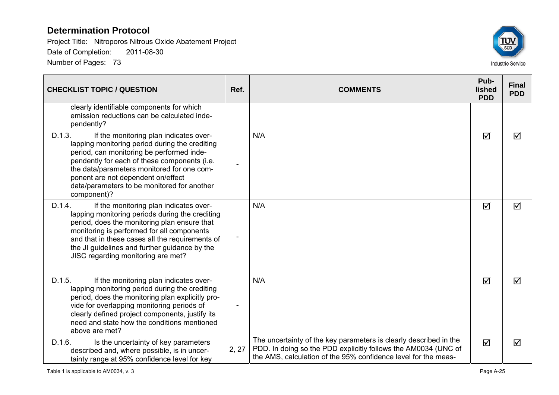

| <b>CHECKLIST TOPIC / QUESTION</b>                                                                                                                                                                                                                                                                                                                 | Ref.  | <b>COMMENTS</b>                                                                                                                                                                                       | Pub-<br>lished<br><b>PDD</b> | <b>Final</b><br><b>PDD</b> |
|---------------------------------------------------------------------------------------------------------------------------------------------------------------------------------------------------------------------------------------------------------------------------------------------------------------------------------------------------|-------|-------------------------------------------------------------------------------------------------------------------------------------------------------------------------------------------------------|------------------------------|----------------------------|
| clearly identifiable components for which<br>emission reductions can be calculated inde-<br>pendently?                                                                                                                                                                                                                                            |       |                                                                                                                                                                                                       |                              |                            |
| D.1.3.<br>If the monitoring plan indicates over-<br>lapping monitoring period during the crediting<br>period, can monitoring be performed inde-<br>pendently for each of these components (i.e.<br>the data/parameters monitored for one com-<br>ponent are not dependent on/effect<br>data/parameters to be monitored for another<br>component)? |       | N/A                                                                                                                                                                                                   | ☑                            | ☑                          |
| D.1.4.<br>If the monitoring plan indicates over-<br>lapping monitoring periods during the crediting<br>period, does the monitoring plan ensure that<br>monitoring is performed for all components<br>and that in these cases all the requirements of<br>the JI guidelines and further guidance by the<br>JISC regarding monitoring are met?       |       | N/A                                                                                                                                                                                                   | $\Delta$                     | ☑                          |
| D.1.5.<br>If the monitoring plan indicates over-<br>lapping monitoring period during the crediting<br>period, does the monitoring plan explicitly pro-<br>vide for overlapping monitoring periods of<br>clearly defined project components, justify its<br>need and state how the conditions mentioned<br>above are met?                          |       | N/A                                                                                                                                                                                                   | ☑                            | ☑                          |
| D.1.6.<br>Is the uncertainty of key parameters<br>described and, where possible, is in uncer-<br>tainty range at 95% confidence level for key                                                                                                                                                                                                     | 2, 27 | The uncertainty of the key parameters is clearly described in the<br>PDD. In doing so the PDD explicitly follows the AM0034 (UNC of<br>the AMS, calculation of the 95% confidence level for the meas- | $\Delta$                     | ☑                          |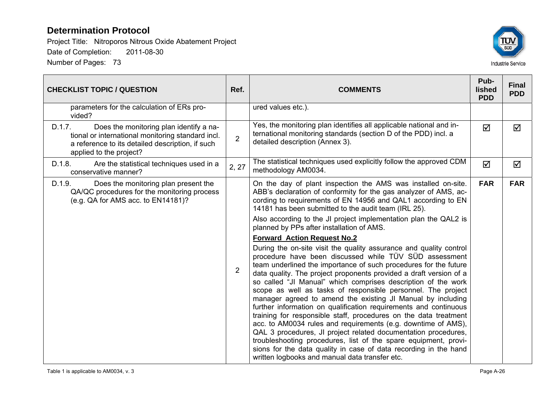

| <b>CHECKLIST TOPIC / QUESTION</b>                                                                                                                                                     | Ref.           | <b>COMMENTS</b>                                                                                                                                                                                                                                                                                                                                                                                                                                                                                                                                                                                                                                                                                                                                                                                                                                                                                                                                                                                                                    | Pub-<br>lished<br><b>PDD</b> | <b>Final</b><br><b>PDD</b> |
|---------------------------------------------------------------------------------------------------------------------------------------------------------------------------------------|----------------|------------------------------------------------------------------------------------------------------------------------------------------------------------------------------------------------------------------------------------------------------------------------------------------------------------------------------------------------------------------------------------------------------------------------------------------------------------------------------------------------------------------------------------------------------------------------------------------------------------------------------------------------------------------------------------------------------------------------------------------------------------------------------------------------------------------------------------------------------------------------------------------------------------------------------------------------------------------------------------------------------------------------------------|------------------------------|----------------------------|
| parameters for the calculation of ERs pro-<br>vided?                                                                                                                                  |                | ured values etc.).                                                                                                                                                                                                                                                                                                                                                                                                                                                                                                                                                                                                                                                                                                                                                                                                                                                                                                                                                                                                                 |                              |                            |
| Does the monitoring plan identify a na-<br>D.1.7.<br>tional or international monitoring standard incl.<br>a reference to its detailed description, if such<br>applied to the project? | $\overline{2}$ | Yes, the monitoring plan identifies all applicable national and in-<br>ternational monitoring standards (section D of the PDD) incl. a<br>detailed description (Annex 3).                                                                                                                                                                                                                                                                                                                                                                                                                                                                                                                                                                                                                                                                                                                                                                                                                                                          | ☑                            | ☑                          |
| D.1.8.<br>Are the statistical techniques used in a<br>conservative manner?                                                                                                            | 2, 27          | The statistical techniques used explicitly follow the approved CDM<br>methodology AM0034.                                                                                                                                                                                                                                                                                                                                                                                                                                                                                                                                                                                                                                                                                                                                                                                                                                                                                                                                          | $\Delta$                     | ☑                          |
| D.1.9.<br>Does the monitoring plan present the<br>QA/QC procedures for the monitoring process<br>(e.g. QA for AMS acc. to EN14181)?                                                   | $\overline{2}$ | On the day of plant inspection the AMS was installed on-site.<br>ABB's declaration of conformity for the gas analyzer of AMS, ac-<br>cording to requirements of EN 14956 and QAL1 according to EN<br>14181 has been submitted to the audit team (IRL 25).<br>Also according to the JI project implementation plan the QAL2 is<br>planned by PPs after installation of AMS.<br><b>Forward Action Request No.2</b><br>During the on-site visit the quality assurance and quality control<br>procedure have been discussed while TÜV SÜD assessment<br>team underlined the importance of such procedures for the future<br>data quality. The project proponents provided a draft version of a<br>so called "JI Manual" which comprises description of the work<br>scope as well as tasks of responsible personnel. The project<br>manager agreed to amend the existing JI Manual by including<br>further information on qualification requirements and continuous<br>training for responsible staff, procedures on the data treatment | <b>FAR</b>                   | <b>FAR</b>                 |
|                                                                                                                                                                                       |                | acc. to AM0034 rules and requirements (e.g. downtime of AMS),<br>QAL 3 procedures, JI project related documentation procedures,<br>troubleshooting procedures, list of the spare equipment, provi-<br>sions for the data quality in case of data recording in the hand<br>written logbooks and manual data transfer etc.                                                                                                                                                                                                                                                                                                                                                                                                                                                                                                                                                                                                                                                                                                           |                              |                            |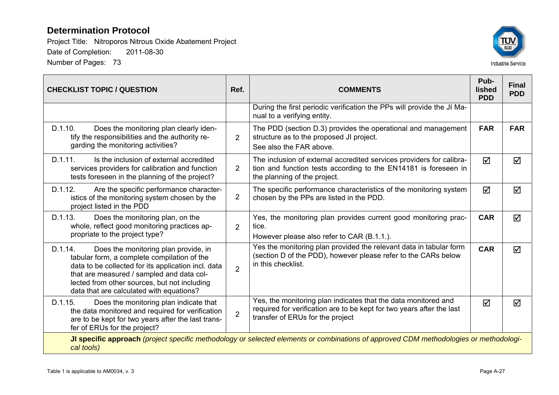

| <b>CHECKLIST TOPIC / QUESTION</b>                                                                                                                                                                                                                                                              | Ref.           | <b>COMMENTS</b>                                                                                                                                                             | Pub-<br><b>lished</b><br><b>PDD</b> | <b>Final</b><br><b>PDD</b> |
|------------------------------------------------------------------------------------------------------------------------------------------------------------------------------------------------------------------------------------------------------------------------------------------------|----------------|-----------------------------------------------------------------------------------------------------------------------------------------------------------------------------|-------------------------------------|----------------------------|
|                                                                                                                                                                                                                                                                                                |                | During the first periodic verification the PPs will provide the JI Ma-<br>nual to a verifying entity.                                                                       |                                     |                            |
| D.1.10.<br>Does the monitoring plan clearly iden-<br>tify the responsibilities and the authority re-<br>garding the monitoring activities?                                                                                                                                                     | $\overline{2}$ | The PDD (section D.3) provides the operational and management<br>structure as to the proposed JI project.<br>See also the FAR above.                                        | <b>FAR</b>                          | <b>FAR</b>                 |
| D.1.11.<br>Is the inclusion of external accredited<br>services providers for calibration and function<br>tests foreseen in the planning of the project?                                                                                                                                        | $\overline{2}$ | The inclusion of external accredited services providers for calibra-<br>tion and function tests according to the EN14181 is foreseen in<br>the planning of the project.     | ☑                                   | $\blacktriangledown$       |
| D.1.12.<br>Are the specific performance character-<br>istics of the monitoring system chosen by the<br>project listed in the PDD                                                                                                                                                               | $\overline{2}$ | The specific performance characteristics of the monitoring system<br>chosen by the PPs are listed in the PDD.                                                               | ☑                                   | ☑                          |
| D.1.13.<br>Does the monitoring plan, on the<br>whole, reflect good monitoring practices ap-<br>propriate to the project type?                                                                                                                                                                  | $\overline{2}$ | Yes, the monitoring plan provides current good monitoring prac-<br>tice.<br>However please also refer to CAR (B.1.1.).                                                      | <b>CAR</b>                          | $\blacktriangledown$       |
| D.1.14.<br>Does the monitoring plan provide, in<br>tabular form, a complete compilation of the<br>data to be collected for its application incl. data<br>that are measured / sampled and data col-<br>lected from other sources, but not including<br>data that are calculated with equations? | $\overline{2}$ | Yes the monitoring plan provided the relevant data in tabular form<br>(section D of the PDD), however please refer to the CARs below<br>in this checklist.                  | <b>CAR</b>                          | ☑                          |
| D.1.15.<br>Does the monitoring plan indicate that<br>the data monitored and required for verification<br>are to be kept for two years after the last trans-<br>fer of ERUs for the project?                                                                                                    | $\overline{2}$ | Yes, the monitoring plan indicates that the data monitored and<br>required for verification are to be kept for two years after the last<br>transfer of ERUs for the project | ☑                                   | ☑                          |
| cal tools)                                                                                                                                                                                                                                                                                     |                | JI specific approach (project specific methodology or selected elements or combinations of approved CDM methodologies or methodologi-                                       |                                     |                            |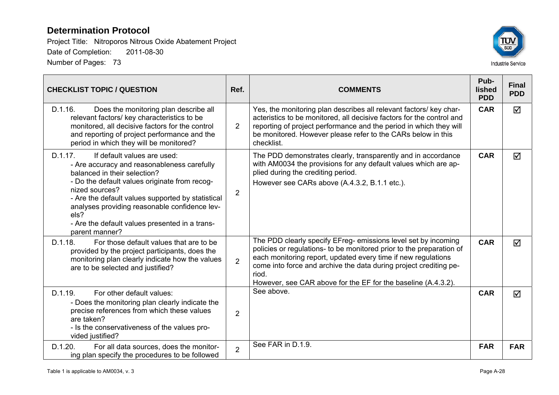

| <b>CHECKLIST TOPIC / QUESTION</b>                                                                                                                                                                                                                                                                                                                                          | Ref.           | <b>COMMENTS</b>                                                                                                                                                                                                                                                                                                                                        | Pub-<br>lished<br><b>PDD</b> | <b>Final</b><br><b>PDD</b> |
|----------------------------------------------------------------------------------------------------------------------------------------------------------------------------------------------------------------------------------------------------------------------------------------------------------------------------------------------------------------------------|----------------|--------------------------------------------------------------------------------------------------------------------------------------------------------------------------------------------------------------------------------------------------------------------------------------------------------------------------------------------------------|------------------------------|----------------------------|
| D.1.16.<br>Does the monitoring plan describe all<br>relevant factors/ key characteristics to be<br>monitored, all decisive factors for the control<br>and reporting of project performance and the<br>period in which they will be monitored?                                                                                                                              | $\overline{2}$ | Yes, the monitoring plan describes all relevant factors/ key char-<br>acteristics to be monitored, all decisive factors for the control and<br>reporting of project performance and the period in which they will<br>be monitored. However please refer to the CARs below in this<br>checklist.                                                        | <b>CAR</b>                   | $\blacktriangledown$       |
| D.1.17.<br>If default values are used:<br>- Are accuracy and reasonableness carefully<br>balanced in their selection?<br>- Do the default values originate from recog-<br>nized sources?<br>- Are the default values supported by statistical<br>analyses providing reasonable confidence lev-<br>els?<br>- Are the default values presented in a trans-<br>parent manner? | $\overline{2}$ | The PDD demonstrates clearly, transparently and in accordance<br>with AM0034 the provisions for any default values which are ap-<br>plied during the crediting period.<br>However see CARs above (A.4.3.2, B.1.1 etc.).                                                                                                                                | <b>CAR</b>                   | ☑                          |
| D.1.18.<br>For those default values that are to be<br>provided by the project participants, does the<br>monitoring plan clearly indicate how the values<br>are to be selected and justified?                                                                                                                                                                               | $\overline{2}$ | The PDD clearly specify EFreg- emissions level set by incoming<br>policies or regulations- to be monitored prior to the preparation of<br>each monitoring report, updated every time if new regulations<br>come into force and archive the data during project crediting pe-<br>riod.<br>However, see CAR above for the EF for the baseline (A.4.3.2). | <b>CAR</b>                   | ☑                          |
| D.1.19.<br>For other default values:<br>- Does the monitoring plan clearly indicate the<br>precise references from which these values<br>are taken?<br>- Is the conservativeness of the values pro-<br>vided justified?                                                                                                                                                    | $\overline{2}$ | See above.                                                                                                                                                                                                                                                                                                                                             | <b>CAR</b>                   | ☑                          |
| D.1.20.<br>For all data sources, does the monitor-<br>ing plan specify the procedures to be followed                                                                                                                                                                                                                                                                       | $\overline{2}$ | See FAR in D.1.9.                                                                                                                                                                                                                                                                                                                                      | <b>FAR</b>                   | <b>FAR</b>                 |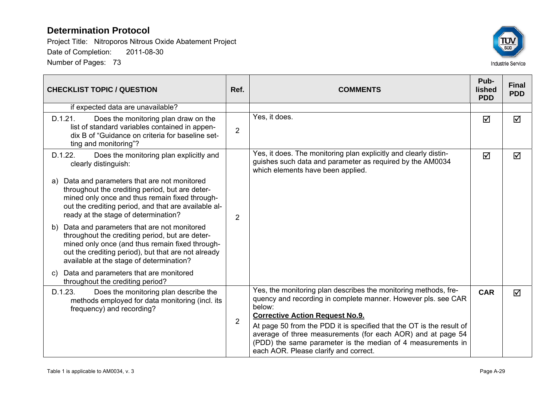

| <b>CHECKLIST TOPIC / QUESTION</b>                                                                                                                                                                                                                         | Ref.           | <b>COMMENTS</b>                                                                                                                                                                                                                                                                                                                                                                                                                     | Pub-<br><b>lished</b><br><b>PDD</b> | <b>Final</b><br><b>PDD</b> |
|-----------------------------------------------------------------------------------------------------------------------------------------------------------------------------------------------------------------------------------------------------------|----------------|-------------------------------------------------------------------------------------------------------------------------------------------------------------------------------------------------------------------------------------------------------------------------------------------------------------------------------------------------------------------------------------------------------------------------------------|-------------------------------------|----------------------------|
| if expected data are unavailable?                                                                                                                                                                                                                         |                |                                                                                                                                                                                                                                                                                                                                                                                                                                     |                                     |                            |
| Does the monitoring plan draw on the<br>D.1.21.<br>list of standard variables contained in appen-<br>dix B of "Guidance on criteria for baseline set-<br>ting and monitoring"?                                                                            | 2              | Yes, it does.                                                                                                                                                                                                                                                                                                                                                                                                                       | ☑                                   | ☑                          |
| D.1.22.<br>Does the monitoring plan explicitly and<br>clearly distinguish:                                                                                                                                                                                |                | Yes, it does. The monitoring plan explicitly and clearly distin-<br>guishes such data and parameter as required by the AM0034<br>which elements have been applied.                                                                                                                                                                                                                                                                  | ☑                                   | ☑                          |
| Data and parameters that are not monitored<br>a)<br>throughout the crediting period, but are deter-<br>mined only once and thus remain fixed through-<br>out the crediting period, and that are available al-<br>ready at the stage of determination?     | 2              |                                                                                                                                                                                                                                                                                                                                                                                                                                     |                                     |                            |
| Data and parameters that are not monitored<br>b)<br>throughout the crediting period, but are deter-<br>mined only once (and thus remain fixed through-<br>out the crediting period), but that are not already<br>available at the stage of determination? |                |                                                                                                                                                                                                                                                                                                                                                                                                                                     |                                     |                            |
| Data and parameters that are monitored<br>$\mathbf{C}$<br>throughout the crediting period?                                                                                                                                                                |                |                                                                                                                                                                                                                                                                                                                                                                                                                                     |                                     |                            |
| Does the monitoring plan describe the<br>D.1.23.<br>methods employed for data monitoring (incl. its<br>frequency) and recording?                                                                                                                          | $\overline{2}$ | Yes, the monitoring plan describes the monitoring methods, fre-<br>quency and recording in complete manner. However pls. see CAR<br>below:<br><b>Corrective Action Request No.9.</b><br>At page 50 from the PDD it is specified that the OT is the result of<br>average of three measurements (for each AOR) and at page 54<br>(PDD) the same parameter is the median of 4 measurements in<br>each AOR. Please clarify and correct. | <b>CAR</b>                          | $\blacktriangledown$       |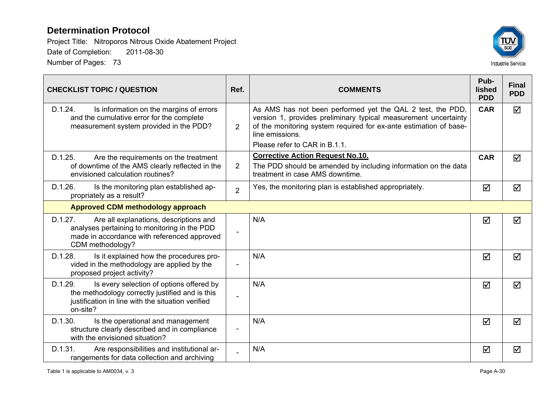

| <b>CHECKLIST TOPIC / QUESTION</b>                                                                                                                                       | Ref.           | <b>COMMENTS</b>                                                                                                                                                                                                                                        | Pub-<br>lished<br><b>PDD</b> | <b>Final</b><br><b>PDD</b> |
|-------------------------------------------------------------------------------------------------------------------------------------------------------------------------|----------------|--------------------------------------------------------------------------------------------------------------------------------------------------------------------------------------------------------------------------------------------------------|------------------------------|----------------------------|
| D.1.24.<br>Is information on the margins of errors<br>and the cumulative error for the complete<br>measurement system provided in the PDD?                              | $\overline{2}$ | As AMS has not been performed yet the QAL 2 test, the PDD,<br>version 1, provides preliminary typical measurement uncertainty<br>of the monitoring system required for ex-ante estimation of base-<br>line emissions.<br>Please refer to CAR in B.1.1. | <b>CAR</b>                   | $\triangledown$            |
| D.1.25.<br>Are the requirements on the treatment<br>of downtime of the AMS clearly reflected in the<br>envisioned calculation routines?                                 | $\overline{2}$ | <b>Corrective Action Request No.10.</b><br>The PDD should be amended by including information on the data<br>treatment in case AMS downtime.                                                                                                           | <b>CAR</b>                   | $\blacktriangledown$       |
| D.1.26.<br>Is the monitoring plan established ap-<br>propriately as a result?                                                                                           | $\overline{2}$ | Yes, the monitoring plan is established appropriately.                                                                                                                                                                                                 | ☑                            | ☑                          |
| <b>Approved CDM methodology approach</b>                                                                                                                                |                |                                                                                                                                                                                                                                                        |                              |                            |
| D.1.27.<br>Are all explanations, descriptions and<br>analyses pertaining to monitoring in the PDD<br>made in accordance with referenced approved<br>CDM methodology?    |                | N/A                                                                                                                                                                                                                                                    | ☑                            | ☑                          |
| D.1.28.<br>Is it explained how the procedures pro-<br>vided in the methodology are applied by the<br>proposed project activity?                                         |                | N/A                                                                                                                                                                                                                                                    | ☑                            | $\blacktriangledown$       |
| D.1.29.<br>Is every selection of options offered by<br>the methodology correctly justified and is this<br>justification in line with the situation verified<br>on-site? |                | N/A                                                                                                                                                                                                                                                    | ☑                            | $\blacktriangledown$       |
| D.1.30.<br>Is the operational and management<br>structure clearly described and in compliance<br>with the envisioned situation?                                         |                | N/A                                                                                                                                                                                                                                                    | ☑                            | $\blacktriangledown$       |
| D.1.31.<br>Are responsibilities and institutional ar-<br>rangements for data collection and archiving                                                                   |                | N/A                                                                                                                                                                                                                                                    | ☑                            | ☑                          |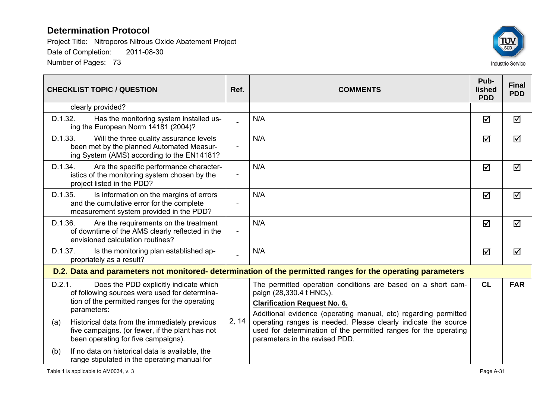

| <b>CHECKLIST TOPIC / QUESTION</b>                                                                                                                                  | Ref.           | <b>COMMENTS</b>                                                                                                                                                                                                 | Pub-<br><b>lished</b><br><b>PDD</b> | <b>Final</b><br><b>PDD</b> |
|--------------------------------------------------------------------------------------------------------------------------------------------------------------------|----------------|-----------------------------------------------------------------------------------------------------------------------------------------------------------------------------------------------------------------|-------------------------------------|----------------------------|
| clearly provided?                                                                                                                                                  |                |                                                                                                                                                                                                                 |                                     |                            |
| D.1.32.<br>Has the monitoring system installed us-<br>ing the European Norm 14181 (2004)?                                                                          |                | N/A                                                                                                                                                                                                             | ☑                                   | ☑                          |
| D.1.33.<br>Will the three quality assurance levels<br>been met by the planned Automated Measur-<br>ing System (AMS) according to the EN14181?                      | $\blacksquare$ | N/A                                                                                                                                                                                                             | ☑                                   | ☑                          |
| D.1.34.<br>Are the specific performance character-<br>istics of the monitoring system chosen by the<br>project listed in the PDD?                                  |                | N/A                                                                                                                                                                                                             | $\Delta$                            | ☑                          |
| D.1.35.<br>Is information on the margins of errors<br>and the cumulative error for the complete<br>measurement system provided in the PDD?                         |                | N/A                                                                                                                                                                                                             | $\Delta$                            | ☑                          |
| D.1.36.<br>Are the requirements on the treatment<br>of downtime of the AMS clearly reflected in the<br>envisioned calculation routines?                            | $\overline{a}$ | N/A                                                                                                                                                                                                             | ☑                                   | ☑                          |
| Is the monitoring plan established ap-<br>D.1.37.<br>propriately as a result?                                                                                      |                | N/A                                                                                                                                                                                                             | $\Delta$                            | ☑                          |
|                                                                                                                                                                    |                | D.2. Data and parameters not monitored- determination of the permitted ranges for the operating parameters                                                                                                      |                                     |                            |
| D.2.1.<br>Does the PDD explicitly indicate which<br>of following sources were used for determina-<br>tion of the permitted ranges for the operating<br>parameters: | 2, 14          | The permitted operation conditions are based on a short cam-<br>paign (28,330.4 t HNO <sub>3</sub> ).<br><b>Clarification Request No. 6.</b><br>Additional evidence (operating manual, etc) regarding permitted | CL                                  | <b>FAR</b>                 |
| Historical data from the immediately previous<br>(a)<br>five campaigns. (or fewer, if the plant has not<br>been operating for five campaigns).                     |                | operating ranges is needed. Please clearly indicate the source<br>used for determination of the permitted ranges for the operating<br>parameters in the revised PDD.                                            |                                     |                            |
| If no data on historical data is available, the<br>(b)<br>range stipulated in the operating manual for                                                             |                |                                                                                                                                                                                                                 |                                     |                            |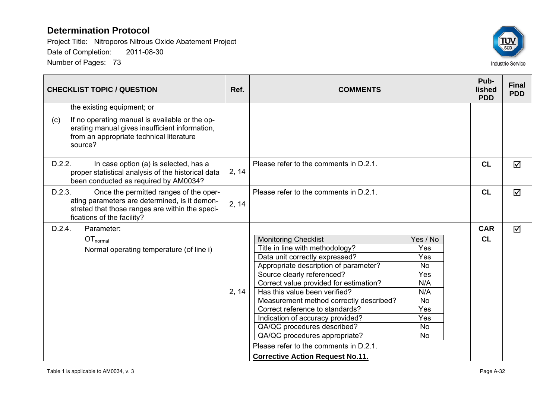

| <b>CHECKLIST TOPIC / QUESTION</b>                                                                                                                                                  | Ref.  | <b>COMMENTS</b>                                                 |            | Pub-<br><b>lished</b><br><b>PDD</b> | <b>Final</b><br><b>PDD</b> |
|------------------------------------------------------------------------------------------------------------------------------------------------------------------------------------|-------|-----------------------------------------------------------------|------------|-------------------------------------|----------------------------|
| the existing equipment; or                                                                                                                                                         |       |                                                                 |            |                                     |                            |
| If no operating manual is available or the op-<br>(c)<br>erating manual gives insufficient information,<br>from an appropriate technical literature<br>source?                     |       |                                                                 |            |                                     |                            |
| D.2.2.<br>In case option (a) is selected, has a<br>proper statistical analysis of the historical data<br>been conducted as required by AM0034?                                     | 2, 14 | Please refer to the comments in D.2.1.                          |            | CL                                  | $\blacktriangledown$       |
| D.2.3.<br>Once the permitted ranges of the oper-<br>ating parameters are determined, is it demon-<br>strated that those ranges are within the speci-<br>fications of the facility? | 2, 14 | Please refer to the comments in D.2.1.                          |            | CL                                  | ☑                          |
| D.2.4.<br>Parameter:                                                                                                                                                               |       |                                                                 |            | <b>CAR</b>                          | ☑                          |
| OT <sub>normal</sub>                                                                                                                                                               |       | <b>Monitoring Checklist</b>                                     | Yes / No   | <b>CL</b>                           |                            |
| Normal operating temperature (of line i)                                                                                                                                           |       | Title in line with methodology?                                 | Yes        |                                     |                            |
|                                                                                                                                                                                    |       | Data unit correctly expressed?                                  | Yes        |                                     |                            |
|                                                                                                                                                                                    |       | Appropriate description of parameter?                           | <b>No</b>  |                                     |                            |
|                                                                                                                                                                                    |       | Source clearly referenced?                                      | Yes        |                                     |                            |
|                                                                                                                                                                                    |       | Correct value provided for estimation?                          | N/A        |                                     |                            |
|                                                                                                                                                                                    | 2, 14 | Has this value been verified?                                   | N/A        |                                     |                            |
|                                                                                                                                                                                    |       | Measurement method correctly described?                         | <b>No</b>  |                                     |                            |
|                                                                                                                                                                                    |       | Correct reference to standards?                                 | Yes<br>Yes |                                     |                            |
|                                                                                                                                                                                    |       | Indication of accuracy provided?<br>QA/QC procedures described? | <b>No</b>  |                                     |                            |
|                                                                                                                                                                                    |       | QA/QC procedures appropriate?                                   | No         |                                     |                            |
|                                                                                                                                                                                    |       | Please refer to the comments in D.2.1.                          |            |                                     |                            |
|                                                                                                                                                                                    |       | <b>Corrective Action Request No.11.</b>                         |            |                                     |                            |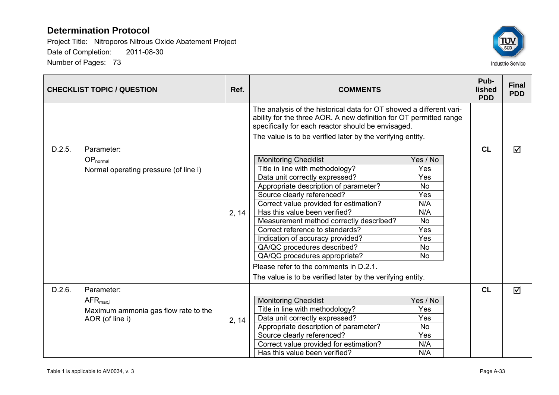

|        | <b>CHECKLIST TOPIC / QUESTION</b>                                                             | Ref.  | <b>COMMENTS</b>                                                                                                                                                                                                                                                                                                                                                                                                                                                                                                                              |                                                                                                               | Pub-<br>lished<br><b>PDD</b> | <b>Final</b><br><b>PDD</b> |
|--------|-----------------------------------------------------------------------------------------------|-------|----------------------------------------------------------------------------------------------------------------------------------------------------------------------------------------------------------------------------------------------------------------------------------------------------------------------------------------------------------------------------------------------------------------------------------------------------------------------------------------------------------------------------------------------|---------------------------------------------------------------------------------------------------------------|------------------------------|----------------------------|
|        |                                                                                               |       | The analysis of the historical data for OT showed a different vari-<br>ability for the three AOR. A new definition for OT permitted range<br>specifically for each reactor should be envisaged.<br>The value is to be verified later by the verifying entity.                                                                                                                                                                                                                                                                                |                                                                                                               |                              |                            |
| D.2.5. | Parameter:<br>$OP_{normal}$<br>Normal operating pressure (of line i)                          | 2, 14 | <b>Monitoring Checklist</b><br>Title in line with methodology?<br>Data unit correctly expressed?<br>Appropriate description of parameter?<br>Source clearly referenced?<br>Correct value provided for estimation?<br>Has this value been verified?<br>Measurement method correctly described?<br>Correct reference to standards?<br>Indication of accuracy provided?<br>QA/QC procedures described?<br>QA/QC procedures appropriate?<br>Please refer to the comments in D.2.1.<br>The value is to be verified later by the verifying entity. | Yes / No<br>Yes<br>Yes<br><b>No</b><br>Yes<br>N/A<br>N/A<br><b>No</b><br>Yes<br>Yes<br><b>No</b><br><b>No</b> | <b>CL</b>                    | ☑                          |
| D.2.6. | Parameter:<br>$AFR_{\text{max,i}}$<br>Maximum ammonia gas flow rate to the<br>AOR (of line i) | 2, 14 | <b>Monitoring Checklist</b><br>Title in line with methodology?<br>Data unit correctly expressed?<br>Appropriate description of parameter?<br>Source clearly referenced?<br>Correct value provided for estimation?<br>Has this value been verified?                                                                                                                                                                                                                                                                                           | Yes / No<br>Yes<br>Yes<br><b>No</b><br>Yes<br>N/A<br>N/A                                                      | CL                           | ☑                          |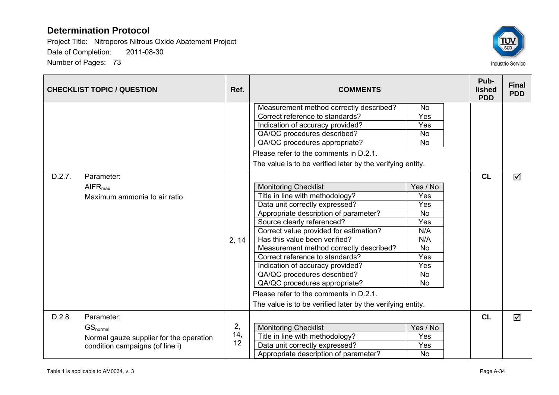

|        | <b>CHECKLIST TOPIC / QUESTION</b>       | Ref.  | <b>COMMENTS</b>                                            |           |  | Pub-<br>lished<br><b>PDD</b> | <b>Final</b><br><b>PDD</b> |
|--------|-----------------------------------------|-------|------------------------------------------------------------|-----------|--|------------------------------|----------------------------|
|        |                                         |       | Measurement method correctly described?                    | <b>No</b> |  |                              |                            |
|        |                                         |       | Correct reference to standards?                            | Yes       |  |                              |                            |
|        |                                         |       | Indication of accuracy provided?                           | Yes       |  |                              |                            |
|        |                                         |       | QA/QC procedures described?                                | <b>No</b> |  |                              |                            |
|        |                                         |       | QA/QC procedures appropriate?                              | <b>No</b> |  |                              |                            |
|        |                                         |       | Please refer to the comments in D.2.1.                     |           |  |                              |                            |
|        |                                         |       | The value is to be verified later by the verifying entity. |           |  |                              |                            |
| D.2.7. | Parameter:                              |       |                                                            |           |  | CL                           | ☑                          |
|        | AIFR <sub>max</sub>                     |       | <b>Monitoring Checklist</b>                                | Yes / No  |  |                              |                            |
|        | Maximum ammonia to air ratio            |       | Title in line with methodology?                            | Yes       |  |                              |                            |
|        |                                         |       | Data unit correctly expressed?                             | Yes       |  |                              |                            |
|        |                                         |       | Appropriate description of parameter?                      | No        |  |                              |                            |
|        |                                         |       | Source clearly referenced?                                 | Yes       |  |                              |                            |
|        |                                         |       | Correct value provided for estimation?                     | N/A       |  |                              |                            |
|        |                                         | 2, 14 | Has this value been verified?                              | N/A       |  |                              |                            |
|        |                                         |       | Measurement method correctly described?                    | <b>No</b> |  |                              |                            |
|        |                                         |       | Correct reference to standards?                            | Yes       |  |                              |                            |
|        |                                         |       | Indication of accuracy provided?                           | Yes       |  |                              |                            |
|        |                                         |       | QA/QC procedures described?                                | <b>No</b> |  |                              |                            |
|        |                                         |       | QA/QC procedures appropriate?                              | <b>No</b> |  |                              |                            |
|        |                                         |       | Please refer to the comments in D.2.1.                     |           |  |                              |                            |
|        |                                         |       | The value is to be verified later by the verifying entity. |           |  |                              |                            |
| D.2.8. | Parameter:                              |       |                                                            |           |  | CL                           | ☑                          |
|        | GS <sub>normal</sub>                    | 2,    | <b>Monitoring Checklist</b>                                | Yes / No  |  |                              |                            |
|        | Normal gauze supplier for the operation | 14,   | Title in line with methodology?                            | Yes       |  |                              |                            |
|        | condition campaigns (of line i)         | 12    | Data unit correctly expressed?                             | Yes       |  |                              |                            |
|        |                                         |       | Appropriate description of parameter?                      | <b>No</b> |  |                              |                            |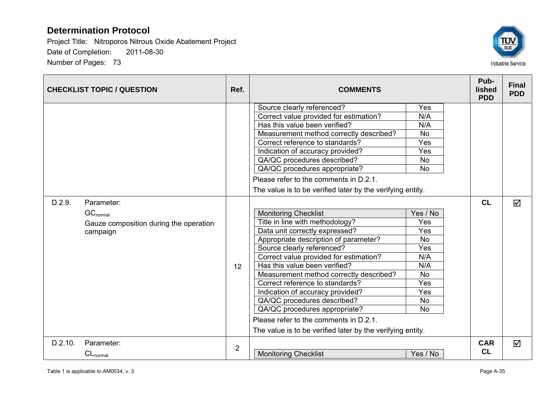

|         | <b>CHECKLIST TOPIC / QUESTION</b>                                                 | Ref.           | <b>COMMENTS</b>                                                                                                                                                                                                                                                                                                                                                                                                                                                                                                                              |                                                                                                               | Pub-<br>lished<br><b>PDD</b> | <b>Final</b><br><b>PDD</b> |
|---------|-----------------------------------------------------------------------------------|----------------|----------------------------------------------------------------------------------------------------------------------------------------------------------------------------------------------------------------------------------------------------------------------------------------------------------------------------------------------------------------------------------------------------------------------------------------------------------------------------------------------------------------------------------------------|---------------------------------------------------------------------------------------------------------------|------------------------------|----------------------------|
|         |                                                                                   |                | Source clearly referenced?<br>Correct value provided for estimation?<br>Has this value been verified?<br>Measurement method correctly described?<br>Correct reference to standards?<br>Indication of accuracy provided?<br>QA/QC procedures described?<br>QA/QC procedures appropriate?<br>Please refer to the comments in D.2.1.<br>The value is to be verified later by the verifying entity.                                                                                                                                              | Yes<br>N/A<br>N/A<br><b>No</b><br>Yes<br>Yes<br><b>No</b><br><b>No</b>                                        |                              |                            |
| D.2.9.  | Parameter:<br>$GC_{normal}$<br>Gauze composition during the operation<br>campaign | 12             | <b>Monitoring Checklist</b><br>Title in line with methodology?<br>Data unit correctly expressed?<br>Appropriate description of parameter?<br>Source clearly referenced?<br>Correct value provided for estimation?<br>Has this value been verified?<br>Measurement method correctly described?<br>Correct reference to standards?<br>Indication of accuracy provided?<br>QA/QC procedures described?<br>QA/QC procedures appropriate?<br>Please refer to the comments in D.2.1.<br>The value is to be verified later by the verifying entity. | Yes / No<br>Yes<br>Yes<br><b>No</b><br>Yes<br>N/A<br>N/A<br><b>No</b><br>Yes<br>Yes<br><b>No</b><br><b>No</b> | <b>CL</b>                    | $\triangledown$            |
| D.2.10. | Parameter:<br>$CL_{normal}$                                                       | $\overline{2}$ | <b>Monitoring Checklist</b>                                                                                                                                                                                                                                                                                                                                                                                                                                                                                                                  | Yes / No                                                                                                      | <b>CAR</b><br><b>CL</b>      | $\overline{\mathsf{M}}$    |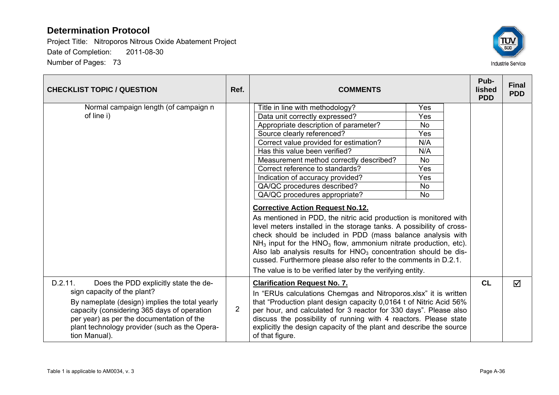

| <b>CHECKLIST TOPIC / QUESTION</b>                                                                                                                                                                                                           | Ref.           | <b>COMMENTS</b>                                                                                                                                                                                                                                                                                                                                                                                                                                                                                 |            |  |           |   |
|---------------------------------------------------------------------------------------------------------------------------------------------------------------------------------------------------------------------------------------------|----------------|-------------------------------------------------------------------------------------------------------------------------------------------------------------------------------------------------------------------------------------------------------------------------------------------------------------------------------------------------------------------------------------------------------------------------------------------------------------------------------------------------|------------|--|-----------|---|
| Normal campaign length (of campaign n<br>of line i)                                                                                                                                                                                         |                | Title in line with methodology?<br>Data unit correctly expressed?                                                                                                                                                                                                                                                                                                                                                                                                                               | Yes<br>Yes |  |           |   |
|                                                                                                                                                                                                                                             |                | Appropriate description of parameter?                                                                                                                                                                                                                                                                                                                                                                                                                                                           | No.        |  |           |   |
|                                                                                                                                                                                                                                             |                | Source clearly referenced?                                                                                                                                                                                                                                                                                                                                                                                                                                                                      | Yes        |  |           |   |
|                                                                                                                                                                                                                                             |                | Correct value provided for estimation?                                                                                                                                                                                                                                                                                                                                                                                                                                                          | N/A        |  |           |   |
|                                                                                                                                                                                                                                             |                | Has this value been verified?                                                                                                                                                                                                                                                                                                                                                                                                                                                                   | N/A        |  |           |   |
|                                                                                                                                                                                                                                             |                | Measurement method correctly described?                                                                                                                                                                                                                                                                                                                                                                                                                                                         | <b>No</b>  |  |           |   |
|                                                                                                                                                                                                                                             |                | Correct reference to standards?                                                                                                                                                                                                                                                                                                                                                                                                                                                                 | Yes        |  |           |   |
|                                                                                                                                                                                                                                             |                | Indication of accuracy provided?                                                                                                                                                                                                                                                                                                                                                                                                                                                                | Yes        |  |           |   |
|                                                                                                                                                                                                                                             |                | QA/QC procedures described?                                                                                                                                                                                                                                                                                                                                                                                                                                                                     | <b>No</b>  |  |           |   |
|                                                                                                                                                                                                                                             |                | QA/QC procedures appropriate?                                                                                                                                                                                                                                                                                                                                                                                                                                                                   | <b>No</b>  |  |           |   |
|                                                                                                                                                                                                                                             |                | <b>Corrective Action Request No.12.</b>                                                                                                                                                                                                                                                                                                                                                                                                                                                         |            |  |           |   |
|                                                                                                                                                                                                                                             |                | As mentioned in PDD, the nitric acid production is monitored with<br>level meters installed in the storage tanks. A possibility of cross-<br>check should be included in PDD (mass balance analysis with<br>$NH3$ input for the HNO <sub>3</sub> flow, ammonium nitrate production, etc).<br>Also lab analysis results for $HNO3$ concentration should be dis-<br>cussed. Furthermore please also refer to the comments in D.2.1.<br>The value is to be verified later by the verifying entity. |            |  |           |   |
| D.2.11.<br>Does the PDD explicitly state the de-                                                                                                                                                                                            |                | <b>Clarification Request No. 7.</b>                                                                                                                                                                                                                                                                                                                                                                                                                                                             |            |  | <b>CL</b> | ☑ |
| sign capacity of the plant?<br>By nameplate (design) implies the total yearly<br>capacity (considering 365 days of operation<br>per year) as per the documentation of the<br>plant technology provider (such as the Opera-<br>tion Manual). | $\overline{2}$ | In "ERUs calculations Chemgas and Nitroporos.xlsx" it is written<br>that "Production plant design capacity 0,0164 t of Nitric Acid 56%<br>per hour, and calculated for 3 reactor for 330 days". Please also<br>discuss the possibility of running with 4 reactors. Please state<br>explicitly the design capacity of the plant and describe the source<br>of that figure.                                                                                                                       |            |  |           |   |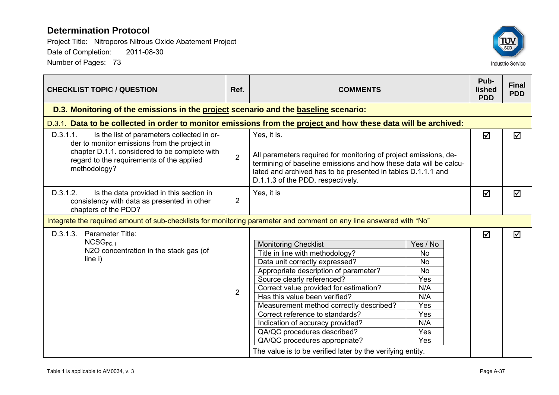

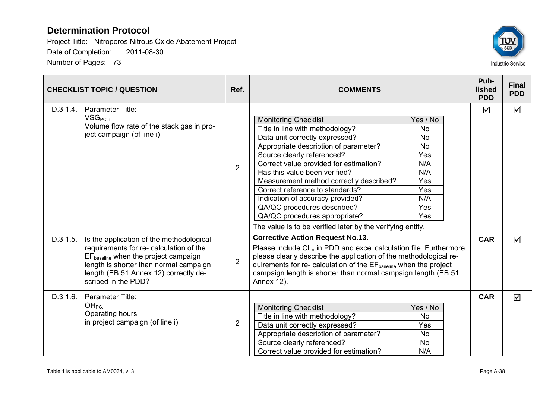

|          | <b>CHECKLIST TOPIC / QUESTION</b>                                                                                                                                                                                                                 | Ref.           | <b>COMMENTS</b>                                                                                                                                                                                                                                                                                                                                                                                                                                                                                                                                                                                                      |            | <b>Final</b><br><b>PDD</b> |
|----------|---------------------------------------------------------------------------------------------------------------------------------------------------------------------------------------------------------------------------------------------------|----------------|----------------------------------------------------------------------------------------------------------------------------------------------------------------------------------------------------------------------------------------------------------------------------------------------------------------------------------------------------------------------------------------------------------------------------------------------------------------------------------------------------------------------------------------------------------------------------------------------------------------------|------------|----------------------------|
| D.3.1.4. | Parameter Title:<br>VSG <sub>PC. i</sub><br>Volume flow rate of the stack gas in pro-<br>ject campaign (of line i)                                                                                                                                | $\overline{2}$ | <b>Monitoring Checklist</b><br>Yes / No<br>Title in line with methodology?<br><b>No</b><br>Data unit correctly expressed?<br><b>No</b><br>Appropriate description of parameter?<br><b>No</b><br>Source clearly referenced?<br><b>Yes</b><br>Correct value provided for estimation?<br>N/A<br>Has this value been verified?<br>N/A<br>Measurement method correctly described?<br>Yes<br>Correct reference to standards?<br>Yes<br>N/A<br>Indication of accuracy provided?<br>QA/QC procedures described?<br>Yes<br>QA/QC procedures appropriate?<br>Yes<br>The value is to be verified later by the verifying entity. | ☑          | ☑                          |
| D.3.1.5. | Is the application of the methodological<br>requirements for re- calculation of the<br>$EF_{\text{baseline}}$ when the project campaign<br>length is shorter than normal campaign<br>length (EB 51 Annex 12) correctly de-<br>scribed in the PDD? | $\overline{2}$ | <b>Corrective Action Request No.13.</b><br>Please include $CL_n$ in PDD and excel calculation file. Furthermore<br>please clearly describe the application of the methodological re-<br>quirements for re- calculation of the EF <sub>baseline</sub> when the project<br>campaign length is shorter than normal campaign length (EB 51)<br>Annex 12).                                                                                                                                                                                                                                                                | <b>CAR</b> | ☑                          |
| D.3.1.6. | Parameter Title:<br>OH <sub>PC, i</sub><br>Operating hours<br>in project campaign (of line i)                                                                                                                                                     | $\overline{2}$ | <b>Monitoring Checklist</b><br>Yes / No<br>Title in line with methodology?<br><b>No</b><br>Data unit correctly expressed?<br>Yes<br><b>No</b><br>Appropriate description of parameter?<br>Source clearly referenced?<br><b>No</b><br>N/A<br>Correct value provided for estimation?                                                                                                                                                                                                                                                                                                                                   | <b>CAR</b> | $\triangledown$            |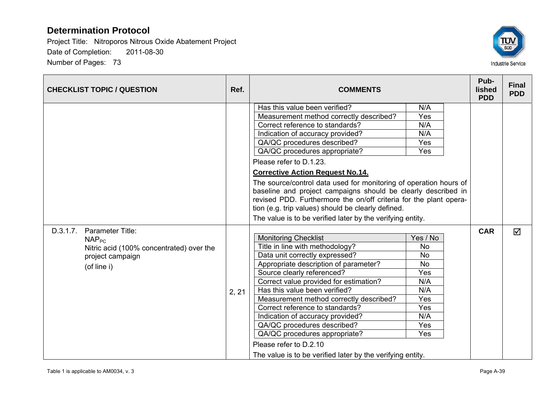

| <b>CHECKLIST TOPIC / QUESTION</b>                                                                                                | Ref.  | <b>COMMENTS</b>                                                                                                                                                                                                                                                                                                                                                                                                                                                                                                              |                                                                                                                | Pub-<br><b>lished</b><br><b>PDD</b> | <b>Final</b><br><b>PDD</b> |
|----------------------------------------------------------------------------------------------------------------------------------|-------|------------------------------------------------------------------------------------------------------------------------------------------------------------------------------------------------------------------------------------------------------------------------------------------------------------------------------------------------------------------------------------------------------------------------------------------------------------------------------------------------------------------------------|----------------------------------------------------------------------------------------------------------------|-------------------------------------|----------------------------|
|                                                                                                                                  |       | Has this value been verified?<br>Measurement method correctly described?<br>Correct reference to standards?<br>Indication of accuracy provided?<br>QA/QC procedures described?<br>QA/QC procedures appropriate?<br>Please refer to D.1.23.<br><b>Corrective Action Request No.14.</b>                                                                                                                                                                                                                                        | N/A<br>Yes<br>N/A<br>N/A<br>Yes<br>Yes                                                                         |                                     |                            |
|                                                                                                                                  |       | The source/control data used for monitoring of operation hours of<br>baseline and project campaigns should be clearly described in<br>revised PDD. Furthermore the on/off criteria for the plant opera-<br>tion (e.g. trip values) should be clearly defined.<br>The value is to be verified later by the verifying entity.                                                                                                                                                                                                  |                                                                                                                |                                     |                            |
| D.3.1.7.<br>Parameter Title:<br>NAP <sub>PC</sub><br>Nitric acid (100% concentrated) over the<br>project campaign<br>(of line i) | 2, 21 | <b>Monitoring Checklist</b><br>Title in line with methodology?<br>Data unit correctly expressed?<br>Appropriate description of parameter?<br>Source clearly referenced?<br>Correct value provided for estimation?<br>Has this value been verified?<br>Measurement method correctly described?<br>Correct reference to standards?<br>Indication of accuracy provided?<br>QA/QC procedures described?<br>QA/QC procedures appropriate?<br>Please refer to D.2.10<br>The value is to be verified later by the verifying entity. | Yes / No<br><b>No</b><br><b>No</b><br><b>No</b><br>Yes<br>N/A<br>N/A<br><b>Yes</b><br>Yes<br>N/A<br>Yes<br>Yes | <b>CAR</b>                          | ☑                          |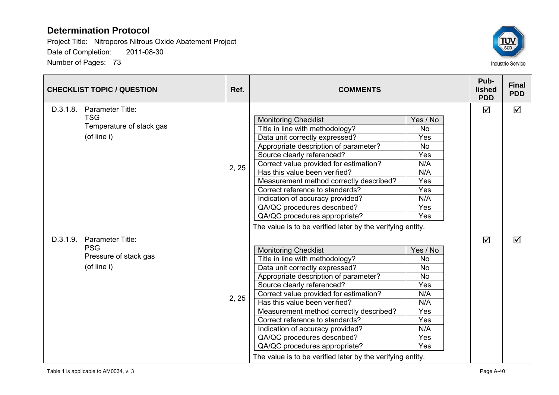

| <b>CHECKLIST TOPIC / QUESTION</b> |                                                                           | Ref.  | <b>COMMENTS</b>                                                                                                                                                                                                                                                                                                                                                                                                                                                                                    |                                                                                                   |   | <b>Final</b><br><b>PDD</b> |
|-----------------------------------|---------------------------------------------------------------------------|-------|----------------------------------------------------------------------------------------------------------------------------------------------------------------------------------------------------------------------------------------------------------------------------------------------------------------------------------------------------------------------------------------------------------------------------------------------------------------------------------------------------|---------------------------------------------------------------------------------------------------|---|----------------------------|
| D.3.1.8.                          | Parameter Title:<br><b>TSG</b><br>Temperature of stack gas<br>(of line i) | 2, 25 | <b>Monitoring Checklist</b><br>Title in line with methodology?<br>Data unit correctly expressed?<br>Appropriate description of parameter?<br>Source clearly referenced?<br>Correct value provided for estimation?<br>Has this value been verified?<br>Measurement method correctly described?<br>Correct reference to standards?<br>Indication of accuracy provided?<br>QA/QC procedures described?<br>QA/QC procedures appropriate?<br>The value is to be verified later by the verifying entity. | Yes / No<br><b>No</b><br>Yes<br><b>No</b><br>Yes<br>N/A<br>N/A<br>Yes<br>Yes<br>N/A<br>Yes<br>Yes | ☑ | ☑                          |
| D.3.1.9.                          | Parameter Title:<br><b>PSG</b><br>Pressure of stack gas<br>(of line i)    | 2, 25 | <b>Monitoring Checklist</b><br>Title in line with methodology?<br>Data unit correctly expressed?<br>Appropriate description of parameter?<br>Source clearly referenced?<br>Correct value provided for estimation?<br>Has this value been verified?<br>Measurement method correctly described?<br>Correct reference to standards?<br>Indication of accuracy provided?<br>QA/QC procedures described?<br>QA/QC procedures appropriate?<br>The value is to be verified later by the verifying entity. | Yes / No<br>No<br><b>No</b><br><b>No</b><br>Yes<br>N/A<br>N/A<br>Yes<br>Yes<br>N/A<br>Yes<br>Yes  | ☑ | ☑                          |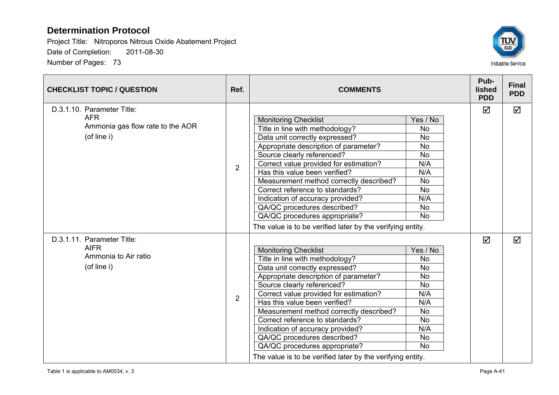

| <b>CHECKLIST TOPIC / QUESTION</b>                                                           | Ref.           | <b>COMMENTS</b>                                                                                                                                                                                                                                                                                                                                                                                                                                                                                    |                                                                                                                                | Pub-<br><b>lished</b><br><b>PDD</b> | <b>Final</b><br><b>PDD</b> |
|---------------------------------------------------------------------------------------------|----------------|----------------------------------------------------------------------------------------------------------------------------------------------------------------------------------------------------------------------------------------------------------------------------------------------------------------------------------------------------------------------------------------------------------------------------------------------------------------------------------------------------|--------------------------------------------------------------------------------------------------------------------------------|-------------------------------------|----------------------------|
| D.3.1.10. Parameter Title:<br><b>AFR</b><br>Ammonia gas flow rate to the AOR<br>(of line i) | $\overline{2}$ | <b>Monitoring Checklist</b><br>Title in line with methodology?<br>Data unit correctly expressed?<br>Appropriate description of parameter?<br>Source clearly referenced?<br>Correct value provided for estimation?<br>Has this value been verified?<br>Measurement method correctly described?<br>Correct reference to standards?<br>Indication of accuracy provided?<br>QA/QC procedures described?<br>QA/QC procedures appropriate?<br>The value is to be verified later by the verifying entity. | Yes / No<br><b>No</b><br><b>No</b><br>No<br><b>No</b><br>N/A<br>N/A<br><b>No</b><br><b>No</b><br>N/A<br><b>No</b><br><b>No</b> | ☑                                   | ☑                          |
| D.3.1.11. Parameter Title:<br><b>AIFR</b><br>Ammonia to Air ratio<br>(of line i)            | $\overline{2}$ | <b>Monitoring Checklist</b><br>Title in line with methodology?<br>Data unit correctly expressed?<br>Appropriate description of parameter?<br>Source clearly referenced?<br>Correct value provided for estimation?<br>Has this value been verified?<br>Measurement method correctly described?<br>Correct reference to standards?<br>Indication of accuracy provided?<br>QA/QC procedures described?<br>QA/QC procedures appropriate?<br>The value is to be verified later by the verifying entity. | Yes / No<br><b>No</b><br><b>No</b><br><b>No</b><br><b>No</b><br>N/A<br>N/A<br><b>No</b><br>No<br>N/A<br><b>No</b><br><b>No</b> | ☑                                   | ☑                          |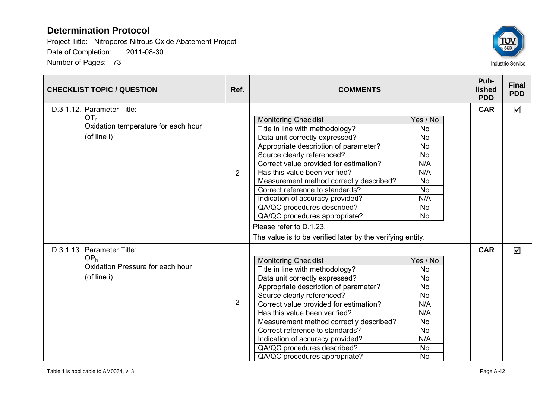

| <b>CHECKLIST TOPIC / QUESTION</b>                                                                   | Ref.           | <b>COMMENTS</b>                                                                                                                                                                                                                                                                                                                                                                                                                                                                                                               |                                                                                                                                       | Pub-<br>lished<br><b>PDD</b> | <b>Final</b><br><b>PDD</b> |
|-----------------------------------------------------------------------------------------------------|----------------|-------------------------------------------------------------------------------------------------------------------------------------------------------------------------------------------------------------------------------------------------------------------------------------------------------------------------------------------------------------------------------------------------------------------------------------------------------------------------------------------------------------------------------|---------------------------------------------------------------------------------------------------------------------------------------|------------------------------|----------------------------|
| D.3.1.12. Parameter Title:<br>OT <sub>h</sub><br>Oxidation temperature for each hour<br>(of line i) | 2              | <b>Monitoring Checklist</b><br>Title in line with methodology?<br>Data unit correctly expressed?<br>Appropriate description of parameter?<br>Source clearly referenced?<br>Correct value provided for estimation?<br>Has this value been verified?<br>Measurement method correctly described?<br>Correct reference to standards?<br>Indication of accuracy provided?<br>QA/QC procedures described?<br>QA/QC procedures appropriate?<br>Please refer to D.1.23.<br>The value is to be verified later by the verifying entity. | Yes / No<br><b>No</b><br><b>No</b><br><b>No</b><br><b>No</b><br>N/A<br>N/A<br><b>No</b><br><b>No</b><br>N/A<br><b>No</b><br><b>No</b> | <b>CAR</b>                   | ☑                          |
| D.3.1.13. Parameter Title:<br>OP <sub>h</sub><br>Oxidation Pressure for each hour<br>(of line i)    | $\overline{2}$ | <b>Monitoring Checklist</b><br>Title in line with methodology?<br>Data unit correctly expressed?<br>Appropriate description of parameter?<br>Source clearly referenced?<br>Correct value provided for estimation?<br>Has this value been verified?<br>Measurement method correctly described?<br>Correct reference to standards?<br>Indication of accuracy provided?<br>QA/QC procedures described?<br>QA/QC procedures appropriate?                                                                                          | Yes / No<br><b>No</b><br><b>No</b><br><b>No</b><br><b>No</b><br>N/A<br>N/A<br><b>No</b><br><b>No</b><br>N/A<br>No<br><b>No</b>        | <b>CAR</b>                   | $\overline{\mathsf{M}}$    |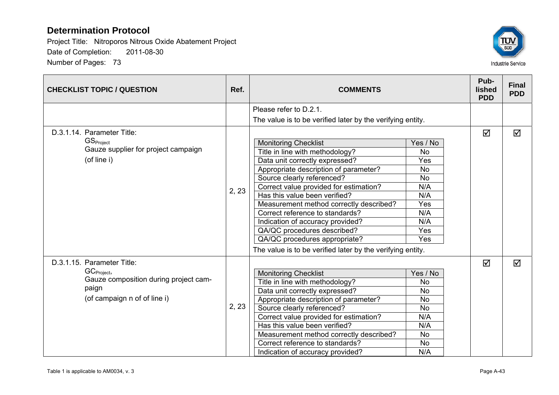

| <b>CHECKLIST TOPIC / QUESTION</b>     | Ref.  | <b>COMMENTS</b>                                            |           | Pub-<br>lished<br><b>PDD</b> | <b>Final</b><br><b>PDD</b> |
|---------------------------------------|-------|------------------------------------------------------------|-----------|------------------------------|----------------------------|
|                                       |       | Please refer to D.2.1.                                     |           |                              |                            |
|                                       |       | The value is to be verified later by the verifying entity. |           |                              |                            |
| D.3.1.14. Parameter Title:            |       |                                                            |           | ☑                            | ☑                          |
| GS <sub>Project</sub>                 |       | <b>Monitoring Checklist</b>                                | Yes / No  |                              |                            |
| Gauze supplier for project campaign   |       | Title in line with methodology?                            | <b>No</b> |                              |                            |
| (of line i)                           |       | Data unit correctly expressed?                             | Yes       |                              |                            |
|                                       |       | Appropriate description of parameter?                      | <b>No</b> |                              |                            |
|                                       |       | Source clearly referenced?                                 | <b>No</b> |                              |                            |
|                                       | 2, 23 | Correct value provided for estimation?                     | N/A       |                              |                            |
|                                       |       | Has this value been verified?                              | N/A       |                              |                            |
|                                       |       | Measurement method correctly described?                    | Yes       |                              |                            |
|                                       |       | Correct reference to standards?                            | N/A       |                              |                            |
|                                       |       | Indication of accuracy provided?                           | N/A       |                              |                            |
|                                       |       | QA/QC procedures described?                                | Yes       |                              |                            |
|                                       |       | QA/QC procedures appropriate?                              | Yes       |                              |                            |
|                                       |       | The value is to be verified later by the verifying entity. |           |                              |                            |
| D.3.1.15. Parameter Title:            |       |                                                            |           | ☑                            | ☑                          |
| GC <sub>Project</sub> ,               |       | <b>Monitoring Checklist</b>                                | Yes / No  |                              |                            |
| Gauze composition during project cam- |       | Title in line with methodology?                            | <b>No</b> |                              |                            |
| paign                                 |       | Data unit correctly expressed?                             | <b>No</b> |                              |                            |
| (of campaign n of of line i)          |       | Appropriate description of parameter?                      | <b>No</b> |                              |                            |
|                                       | 2, 23 | Source clearly referenced?                                 | No        |                              |                            |
|                                       |       | Correct value provided for estimation?                     | N/A       |                              |                            |
|                                       |       | Has this value been verified?                              | N/A       |                              |                            |
|                                       |       | Measurement method correctly described?                    | <b>No</b> |                              |                            |
|                                       |       | Correct reference to standards?                            | No        |                              |                            |
|                                       |       | Indication of accuracy provided?                           | N/A       |                              |                            |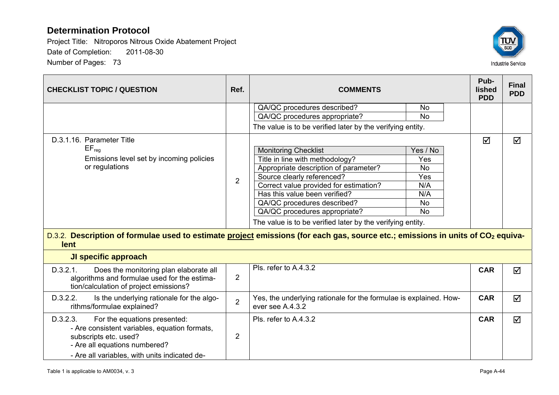

| <b>CHECKLIST TOPIC / QUESTION</b>                                                                                                                                                                    | Ref.           | <b>COMMENTS</b>                                                                                                                                                                                                                                                                                                                                                                                                                                                                                                                                                       | Pub-<br>lished<br><b>PDD</b> | <b>Final</b><br><b>PDD</b> |
|------------------------------------------------------------------------------------------------------------------------------------------------------------------------------------------------------|----------------|-----------------------------------------------------------------------------------------------------------------------------------------------------------------------------------------------------------------------------------------------------------------------------------------------------------------------------------------------------------------------------------------------------------------------------------------------------------------------------------------------------------------------------------------------------------------------|------------------------------|----------------------------|
|                                                                                                                                                                                                      |                | QA/QC procedures described?<br>No<br>QA/QC procedures appropriate?<br><b>No</b>                                                                                                                                                                                                                                                                                                                                                                                                                                                                                       |                              |                            |
|                                                                                                                                                                                                      |                | The value is to be verified later by the verifying entity.                                                                                                                                                                                                                                                                                                                                                                                                                                                                                                            |                              |                            |
| D.3.1.16. Parameter Title<br>$EF_{req}$<br>Emissions level set by incoming policies<br>or regulations<br>lent                                                                                        | $\overline{2}$ | <b>Monitoring Checklist</b><br>Yes / No<br>Title in line with methodology?<br>Yes<br>Appropriate description of parameter?<br>No<br>Source clearly referenced?<br>Yes<br>Correct value provided for estimation?<br>N/A<br>Has this value been verified?<br>N/A<br>QA/QC procedures described?<br><b>No</b><br>QA/QC procedures appropriate?<br><b>No</b><br>The value is to be verified later by the verifying entity.<br>D.3.2. Description of formulae used to estimate project emissions (for each gas, source etc.; emissions in units of CO <sub>2</sub> equiva- | ☑                            | ☑                          |
| <b>JI specific approach</b>                                                                                                                                                                          |                |                                                                                                                                                                                                                                                                                                                                                                                                                                                                                                                                                                       |                              |                            |
| D.3.2.1.<br>Does the monitoring plan elaborate all<br>algorithms and formulae used for the estima-<br>tion/calculation of project emissions?                                                         | $\overline{2}$ | Pls. refer to A.4.3.2                                                                                                                                                                                                                                                                                                                                                                                                                                                                                                                                                 | <b>CAR</b>                   | ☑                          |
| D.3.2.2.<br>Is the underlying rationale for the algo-<br>rithms/formulae explained?                                                                                                                  | $\overline{2}$ | Yes, the underlying rationale for the formulae is explained. How-<br>ever see A.4.3.2                                                                                                                                                                                                                                                                                                                                                                                                                                                                                 | <b>CAR</b>                   | ☑                          |
| D.3.2.3.<br>For the equations presented:<br>- Are consistent variables, equation formats,<br>subscripts etc. used?<br>- Are all equations numbered?<br>- Are all variables, with units indicated de- | 2              | Pls. refer to A.4.3.2                                                                                                                                                                                                                                                                                                                                                                                                                                                                                                                                                 | <b>CAR</b>                   | $\triangledown$            |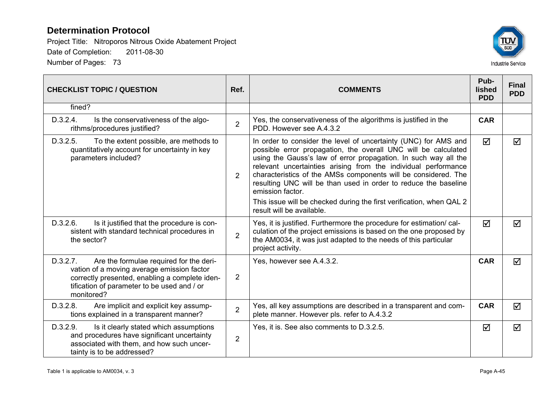

| <b>CHECKLIST TOPIC / QUESTION</b>                                                                                                                                                                                | Ref.           | <b>COMMENTS</b>                                                                                                                                                                                                                                                                                                                                                                                                                                                                                                                      | Pub-<br>lished<br><b>PDD</b> | <b>Final</b><br><b>PDD</b> |
|------------------------------------------------------------------------------------------------------------------------------------------------------------------------------------------------------------------|----------------|--------------------------------------------------------------------------------------------------------------------------------------------------------------------------------------------------------------------------------------------------------------------------------------------------------------------------------------------------------------------------------------------------------------------------------------------------------------------------------------------------------------------------------------|------------------------------|----------------------------|
| fined?                                                                                                                                                                                                           |                |                                                                                                                                                                                                                                                                                                                                                                                                                                                                                                                                      |                              |                            |
| D.3.2.4.<br>Is the conservativeness of the algo-<br>rithms/procedures justified?                                                                                                                                 | $\overline{2}$ | Yes, the conservativeness of the algorithms is justified in the<br>PDD. However see A.4.3.2                                                                                                                                                                                                                                                                                                                                                                                                                                          | <b>CAR</b>                   |                            |
| D.3.2.5.<br>To the extent possible, are methods to<br>quantitatively account for uncertainty in key<br>parameters included?                                                                                      | 2              | In order to consider the level of uncertainty (UNC) for AMS and<br>possible error propagation, the overall UNC will be calculated<br>using the Gauss's law of error propagation. In such way all the<br>relevant uncertainties arising from the individual performance<br>characteristics of the AMSs components will be considered. The<br>resulting UNC will be than used in order to reduce the baseline<br>emission factor.<br>This issue will be checked during the first verification, when QAL 2<br>result will be available. | $\triangledown$              | $\blacktriangledown$       |
| D.3.2.6.<br>Is it justified that the procedure is con-<br>sistent with standard technical procedures in<br>the sector?                                                                                           | $\overline{2}$ | Yes, it is justified. Furthermore the procedure for estimation/cal-<br>culation of the project emissions is based on the one proposed by<br>the AM0034, it was just adapted to the needs of this particular<br>project activity.                                                                                                                                                                                                                                                                                                     | $\triangledown$              | ☑                          |
| Are the formulae required for the deri-<br>D.3.2.7.<br>vation of a moving average emission factor<br>correctly presented, enabling a complete iden-<br>tification of parameter to be used and / or<br>monitored? | 2              | Yes, however see A.4.3.2.                                                                                                                                                                                                                                                                                                                                                                                                                                                                                                            | <b>CAR</b>                   | ☑                          |
| Are implicit and explicit key assump-<br>D.3.2.8.<br>tions explained in a transparent manner?                                                                                                                    | $\overline{2}$ | Yes, all key assumptions are described in a transparent and com-<br>plete manner. However pls. refer to A.4.3.2                                                                                                                                                                                                                                                                                                                                                                                                                      | <b>CAR</b>                   | $\blacktriangledown$       |
| D.3.2.9.<br>Is it clearly stated which assumptions<br>and procedures have significant uncertainty<br>associated with them, and how such uncer-<br>tainty is to be addressed?                                     | $\overline{2}$ | Yes, it is. See also comments to D.3.2.5.                                                                                                                                                                                                                                                                                                                                                                                                                                                                                            | ☑                            | $\blacktriangledown$       |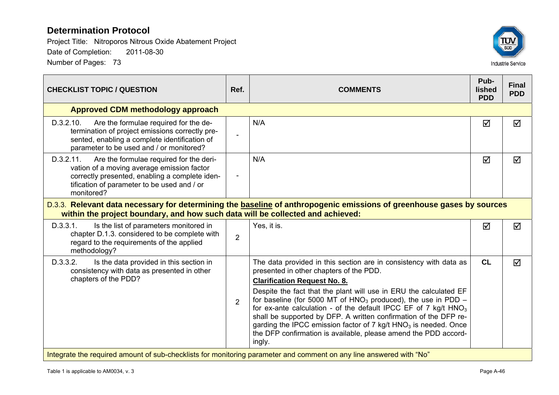

| <b>CHECKLIST TOPIC / QUESTION</b>                                                                                                                                                                                 | Ref.           | <b>COMMENTS</b>                                                                                                                                                                                                                                                                                                                                                                                                                                                                                                                                                                                  | Pub-<br><b>lished</b><br><b>PDD</b> | <b>Final</b><br><b>PDD</b> |  |  |
|-------------------------------------------------------------------------------------------------------------------------------------------------------------------------------------------------------------------|----------------|--------------------------------------------------------------------------------------------------------------------------------------------------------------------------------------------------------------------------------------------------------------------------------------------------------------------------------------------------------------------------------------------------------------------------------------------------------------------------------------------------------------------------------------------------------------------------------------------------|-------------------------------------|----------------------------|--|--|
| <b>Approved CDM methodology approach</b>                                                                                                                                                                          |                |                                                                                                                                                                                                                                                                                                                                                                                                                                                                                                                                                                                                  |                                     |                            |  |  |
| D.3.2.10.<br>Are the formulae required for the de-<br>termination of project emissions correctly pre-<br>sented, enabling a complete identification of<br>parameter to be used and / or monitored?                | $\blacksquare$ | N/A                                                                                                                                                                                                                                                                                                                                                                                                                                                                                                                                                                                              | ☑                                   | $\blacktriangledown$       |  |  |
| D.3.2.11.<br>Are the formulae required for the deri-<br>vation of a moving average emission factor<br>correctly presented, enabling a complete iden-<br>tification of parameter to be used and / or<br>monitored? | $\overline{a}$ | N/A                                                                                                                                                                                                                                                                                                                                                                                                                                                                                                                                                                                              | ☑                                   | $\blacktriangledown$       |  |  |
| D.3.3. Relevant data necessary for determining the baseline of anthropogenic emissions of greenhouse gases by sources<br>within the project boundary, and how such data will be collected and achieved:           |                |                                                                                                                                                                                                                                                                                                                                                                                                                                                                                                                                                                                                  |                                     |                            |  |  |
| D.3.3.1.<br>Is the list of parameters monitored in<br>chapter D.1.3. considered to be complete with<br>regard to the requirements of the applied<br>methodology?                                                  | $\overline{2}$ | Yes, it is.                                                                                                                                                                                                                                                                                                                                                                                                                                                                                                                                                                                      | ☑                                   | ☑                          |  |  |
| D.3.3.2.<br>Is the data provided in this section in<br>consistency with data as presented in other<br>chapters of the PDD?                                                                                        | $\overline{2}$ | The data provided in this section are in consistency with data as<br>presented in other chapters of the PDD.<br><b>Clarification Request No. 8.</b><br>Despite the fact that the plant will use in ERU the calculated EF<br>for baseline (for 5000 MT of $HNO3$ produced), the use in PDD –<br>for ex-ante calculation - of the default IPCC EF of 7 kg/t $HNO3$<br>shall be supported by DFP. A written confirmation of the DFP re-<br>garding the IPCC emission factor of 7 kg/t HNO <sub>3</sub> is needed. Once<br>the DFP confirmation is available, please amend the PDD accord-<br>ingly. | <b>CL</b>                           | ☑                          |  |  |
| Integrate the required amount of sub-checklists for monitoring parameter and comment on any line answered with "No"                                                                                               |                |                                                                                                                                                                                                                                                                                                                                                                                                                                                                                                                                                                                                  |                                     |                            |  |  |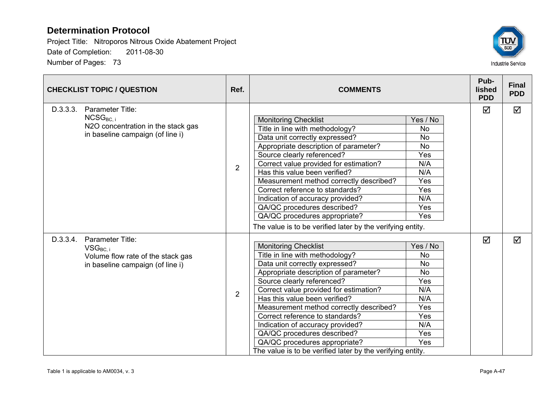

| <b>CHECKLIST TOPIC / QUESTION</b> |                                                                                                             | Ref.           | <b>COMMENTS</b>                                                                                                                                                                                                                                                                                                                                                                                                                                                                                    |                                                                                                         | Pub-<br>lished<br><b>PDD</b> | <b>Final</b><br><b>PDD</b> |
|-----------------------------------|-------------------------------------------------------------------------------------------------------------|----------------|----------------------------------------------------------------------------------------------------------------------------------------------------------------------------------------------------------------------------------------------------------------------------------------------------------------------------------------------------------------------------------------------------------------------------------------------------------------------------------------------------|---------------------------------------------------------------------------------------------------------|------------------------------|----------------------------|
| D.3.3.3.                          | Parameter Title:<br>$NCSG_{BC,i}$<br>N2O concentration in the stack gas<br>in baseline campaign (of line i) | $\overline{2}$ | <b>Monitoring Checklist</b><br>Title in line with methodology?<br>Data unit correctly expressed?<br>Appropriate description of parameter?<br>Source clearly referenced?<br>Correct value provided for estimation?<br>Has this value been verified?<br>Measurement method correctly described?<br>Correct reference to standards?<br>Indication of accuracy provided?<br>QA/QC procedures described?<br>QA/QC procedures appropriate?<br>The value is to be verified later by the verifying entity. | Yes / No<br>No<br><b>No</b><br><b>No</b><br>Yes<br>N/A<br>N/A<br>Yes<br>Yes<br>N/A<br>Yes<br>Yes        | ☑                            | ☑                          |
| D.3.3.4.                          | Parameter Title:<br>$VSG_{BC}$<br>Volume flow rate of the stack gas<br>in baseline campaign (of line i)     | $\overline{2}$ | <b>Monitoring Checklist</b><br>Title in line with methodology?<br>Data unit correctly expressed?<br>Appropriate description of parameter?<br>Source clearly referenced?<br>Correct value provided for estimation?<br>Has this value been verified?<br>Measurement method correctly described?<br>Correct reference to standards?<br>Indication of accuracy provided?<br>QA/QC procedures described?<br>QA/QC procedures appropriate?<br>The value is to be verified later by the verifying entity. | Yes / No<br><b>No</b><br><b>No</b><br><b>No</b><br>Yes<br>N/A<br>N/A<br>Yes<br>Yes<br>N/A<br>Yes<br>Yes | ☑                            | $\triangledown$            |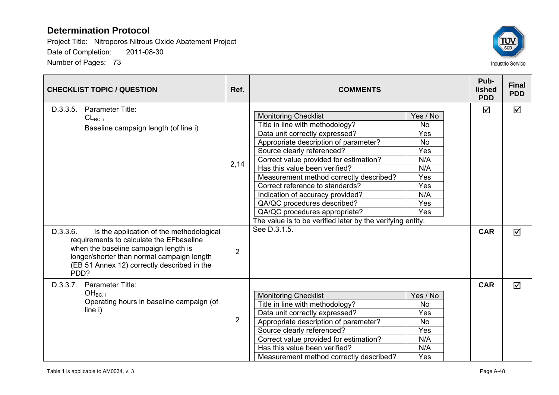

| <b>CHECKLIST TOPIC / QUESTION</b>                                                                                                                                                                                                                                                     | Ref.                   | <b>COMMENTS</b>                                                                                                                                                                                                                                                                                                                                                                                                                                                                                                    |                                                                                                          | Pub-<br><b>lished</b><br><b>PDD</b> | <b>Final</b><br><b>PDD</b> |
|---------------------------------------------------------------------------------------------------------------------------------------------------------------------------------------------------------------------------------------------------------------------------------------|------------------------|--------------------------------------------------------------------------------------------------------------------------------------------------------------------------------------------------------------------------------------------------------------------------------------------------------------------------------------------------------------------------------------------------------------------------------------------------------------------------------------------------------------------|----------------------------------------------------------------------------------------------------------|-------------------------------------|----------------------------|
| D.3.3.5.<br><b>Parameter Title:</b><br>$CL_{BC, i}$<br>Baseline campaign length (of line i)<br>D.3.3.6.<br>Is the application of the methodological<br>requirements to calculate the EFbaseline<br>when the baseline campaign length is<br>longer/shorter than normal campaign length | 2,14<br>$\overline{2}$ | <b>Monitoring Checklist</b><br>Title in line with methodology?<br>Data unit correctly expressed?<br>Appropriate description of parameter?<br>Source clearly referenced?<br>Correct value provided for estimation?<br>Has this value been verified?<br>Measurement method correctly described?<br>Correct reference to standards?<br>Indication of accuracy provided?<br>QA/QC procedures described?<br>QA/QC procedures appropriate?<br>The value is to be verified later by the verifying entity.<br>See D.3.1.5. | Yes / No<br><b>No</b><br>Yes<br><b>No</b><br>Yes<br>N/A<br>N/A<br>Yes<br>Yes<br>N/A<br>Yes<br><b>Yes</b> | ☑<br><b>CAR</b>                     | ☑<br>☑                     |
| (EB 51 Annex 12) correctly described in the<br>PDD?<br>D.3.3.7.<br>Parameter Title:                                                                                                                                                                                                   |                        |                                                                                                                                                                                                                                                                                                                                                                                                                                                                                                                    |                                                                                                          | <b>CAR</b>                          |                            |
| OH <sub>BC i</sub><br>Operating hours in baseline campaign (of<br>line i)                                                                                                                                                                                                             | $\overline{2}$         | <b>Monitoring Checklist</b><br>Title in line with methodology?<br>Data unit correctly expressed?<br>Appropriate description of parameter?<br>Source clearly referenced?<br>Correct value provided for estimation?<br>Has this value been verified?<br>Measurement method correctly described?                                                                                                                                                                                                                      | Yes / No<br><b>No</b><br>Yes<br><b>No</b><br>Yes<br>N/A<br>N/A<br>Yes                                    |                                     | $\triangledown$            |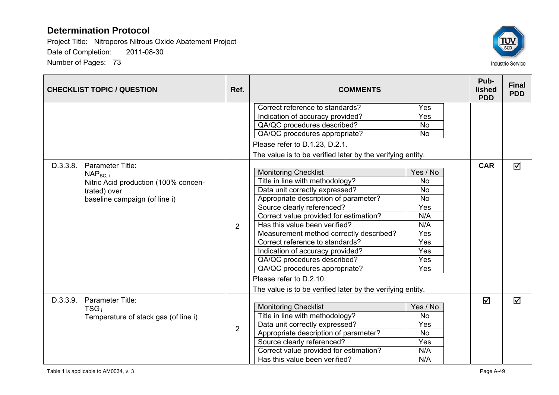

| <b>CHECKLIST TOPIC / QUESTION</b>    | Ref.           | <b>COMMENTS</b>                                            |           | Pub-<br>lished<br><b>PDD</b> | <b>Final</b><br><b>PDD</b> |
|--------------------------------------|----------------|------------------------------------------------------------|-----------|------------------------------|----------------------------|
|                                      |                | Correct reference to standards?                            | Yes       |                              |                            |
|                                      |                | Indication of accuracy provided?                           | Yes       |                              |                            |
|                                      |                | QA/QC procedures described?                                | <b>No</b> |                              |                            |
|                                      |                | QA/QC procedures appropriate?                              | <b>No</b> |                              |                            |
|                                      |                | Please refer to D.1.23, D.2.1.                             |           |                              |                            |
|                                      |                | The value is to be verified later by the verifying entity. |           |                              |                            |
| Parameter Title:<br>D.3.3.8.         |                |                                                            |           | <b>CAR</b>                   | $\triangledown$            |
| $NAP_{BC,i}$                         |                | <b>Monitoring Checklist</b>                                | Yes / No  |                              |                            |
| Nitric Acid production (100% concen- |                | Title in line with methodology?                            | <b>No</b> |                              |                            |
| trated) over                         |                | Data unit correctly expressed?                             | <b>No</b> |                              |                            |
| baseline campaign (of line i)        | $\overline{2}$ | Appropriate description of parameter?                      | <b>No</b> |                              |                            |
|                                      |                | Source clearly referenced?                                 | Yes       |                              |                            |
|                                      |                | Correct value provided for estimation?                     | N/A       |                              |                            |
|                                      |                | Has this value been verified?                              | N/A       |                              |                            |
|                                      |                | Measurement method correctly described?                    | Yes       |                              |                            |
|                                      |                | Correct reference to standards?                            | Yes       |                              |                            |
|                                      |                | Indication of accuracy provided?                           | Yes       |                              |                            |
|                                      |                | QA/QC procedures described?                                | Yes       |                              |                            |
|                                      |                | QA/QC procedures appropriate?                              | Yes       |                              |                            |
|                                      |                | Please refer to D.2.10.                                    |           |                              |                            |
|                                      |                | The value is to be verified later by the verifying entity. |           |                              |                            |
| Parameter Title:<br>D.3.3.9.         |                |                                                            |           | ☑                            | $\triangledown$            |
| $TSG_i$                              |                | <b>Monitoring Checklist</b>                                | Yes / No  |                              |                            |
| Temperature of stack gas (of line i) |                | Title in line with methodology?                            | <b>No</b> |                              |                            |
|                                      | $\overline{2}$ | Data unit correctly expressed?                             | Yes       |                              |                            |
|                                      |                | Appropriate description of parameter?                      | <b>No</b> |                              |                            |
|                                      |                | Source clearly referenced?                                 | Yes       |                              |                            |
|                                      |                | Correct value provided for estimation?                     | N/A       |                              |                            |
|                                      |                | Has this value been verified?                              | N/A       |                              |                            |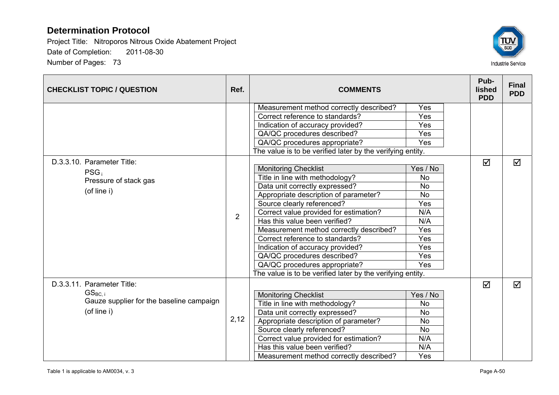

| <b>CHECKLIST TOPIC / QUESTION</b>        | Ref. | <b>COMMENTS</b>                                            |            |  | Pub-<br><b>lished</b><br><b>PDD</b> | <b>Final</b><br><b>PDD</b> |
|------------------------------------------|------|------------------------------------------------------------|------------|--|-------------------------------------|----------------------------|
|                                          |      | Measurement method correctly described?                    | Yes        |  |                                     |                            |
|                                          |      | Correct reference to standards?                            | Yes        |  |                                     |                            |
|                                          |      | Indication of accuracy provided?                           | Yes        |  |                                     |                            |
|                                          |      | QA/QC procedures described?                                | Yes        |  |                                     |                            |
|                                          |      | QA/QC procedures appropriate?                              | <b>Yes</b> |  |                                     |                            |
|                                          |      | The value is to be verified later by the verifying entity. |            |  |                                     |                            |
| D.3.3.10. Parameter Title:               |      |                                                            |            |  | $\Delta$                            | ☑                          |
| $PSG_i$                                  |      | <b>Monitoring Checklist</b>                                | Yes / No   |  |                                     |                            |
| Pressure of stack gas                    |      | Title in line with methodology?                            | No         |  |                                     |                            |
| (of line i)                              |      | Data unit correctly expressed?                             | <b>No</b>  |  |                                     |                            |
|                                          | 2    | Appropriate description of parameter?                      | <b>No</b>  |  |                                     |                            |
|                                          |      | Source clearly referenced?                                 | Yes        |  |                                     |                            |
|                                          |      | Correct value provided for estimation?                     | N/A        |  |                                     |                            |
|                                          |      | Has this value been verified?                              | N/A        |  |                                     |                            |
|                                          |      | Measurement method correctly described?                    | Yes        |  |                                     |                            |
|                                          |      | Correct reference to standards?                            | Yes        |  |                                     |                            |
|                                          |      | Indication of accuracy provided?                           | Yes        |  |                                     |                            |
|                                          |      | QA/QC procedures described?                                | Yes        |  |                                     |                            |
|                                          |      | QA/QC procedures appropriate?                              | <b>Yes</b> |  |                                     |                            |
|                                          |      | The value is to be verified later by the verifying entity. |            |  |                                     |                            |
| D.3.3.11. Parameter Title:               |      |                                                            |            |  | ☑                                   | $\triangledown$            |
| $GS_{BC,i}$                              |      | <b>Monitoring Checklist</b>                                | Yes / No   |  |                                     |                            |
| Gauze supplier for the baseline campaign |      | Title in line with methodology?                            | <b>No</b>  |  |                                     |                            |
| (of line i)                              |      | Data unit correctly expressed?                             | <b>No</b>  |  |                                     |                            |
|                                          | 2,12 | Appropriate description of parameter?                      | <b>No</b>  |  |                                     |                            |
|                                          |      | Source clearly referenced?                                 | <b>No</b>  |  |                                     |                            |
|                                          |      | Correct value provided for estimation?                     | N/A        |  |                                     |                            |
|                                          |      | Has this value been verified?                              | N/A        |  |                                     |                            |
|                                          |      | Measurement method correctly described?                    | Yes        |  |                                     |                            |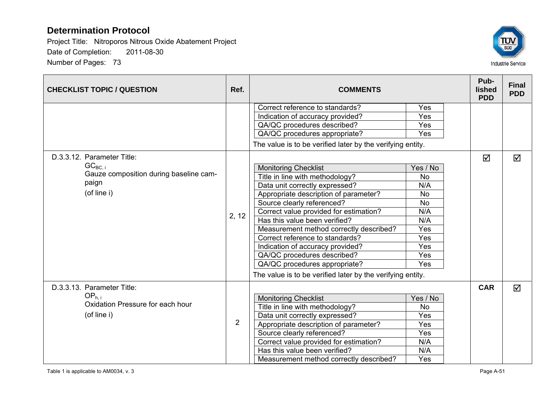

| <b>CHECKLIST TOPIC / QUESTION</b>      | Ref.           | <b>COMMENTS</b>                                            |            |  | Pub-<br><b>lished</b><br><b>PDD</b> | <b>Final</b><br><b>PDD</b> |
|----------------------------------------|----------------|------------------------------------------------------------|------------|--|-------------------------------------|----------------------------|
|                                        |                | Correct reference to standards?                            | Yes        |  |                                     |                            |
|                                        |                | Indication of accuracy provided?                           | Yes        |  |                                     |                            |
|                                        |                | QA/QC procedures described?                                | <b>Yes</b> |  |                                     |                            |
|                                        |                | QA/QC procedures appropriate?                              | <b>Yes</b> |  |                                     |                            |
|                                        |                | The value is to be verified later by the verifying entity. |            |  |                                     |                            |
| D.3.3.12. Parameter Title:             |                |                                                            |            |  | ☑                                   | ☑                          |
| $GC_{BC,i}$                            |                | <b>Monitoring Checklist</b>                                | Yes / No   |  |                                     |                            |
| Gauze composition during baseline cam- |                | Title in line with methodology?                            | <b>No</b>  |  |                                     |                            |
| paign                                  |                | Data unit correctly expressed?                             | N/A        |  |                                     |                            |
| (of line i)                            |                | Appropriate description of parameter?                      | <b>No</b>  |  |                                     |                            |
|                                        | 2, 12          | Source clearly referenced?                                 | <b>No</b>  |  |                                     |                            |
|                                        |                | Correct value provided for estimation?                     | N/A        |  |                                     |                            |
|                                        |                | Has this value been verified?                              | N/A        |  |                                     |                            |
|                                        |                | Measurement method correctly described?                    | Yes        |  |                                     |                            |
|                                        |                | Correct reference to standards?                            | Yes        |  |                                     |                            |
|                                        |                | Indication of accuracy provided?                           | Yes        |  |                                     |                            |
|                                        |                | QA/QC procedures described?                                | Yes        |  |                                     |                            |
|                                        |                | QA/QC procedures appropriate?                              | Yes        |  |                                     |                            |
|                                        |                | The value is to be verified later by the verifying entity. |            |  |                                     |                            |
| D.3.3.13. Parameter Title:             |                |                                                            |            |  | <b>CAR</b>                          | ☑                          |
| OP <sub>h.i</sub>                      |                | <b>Monitoring Checklist</b>                                | Yes / No   |  |                                     |                            |
| Oxidation Pressure for each hour       |                | Title in line with methodology?                            | <b>No</b>  |  |                                     |                            |
| (of line i)                            |                | Data unit correctly expressed?                             | Yes        |  |                                     |                            |
|                                        | $\overline{2}$ | Appropriate description of parameter?                      | Yes        |  |                                     |                            |
|                                        |                | Source clearly referenced?                                 | Yes        |  |                                     |                            |
|                                        |                | Correct value provided for estimation?                     | N/A        |  |                                     |                            |
|                                        |                | Has this value been verified?                              | N/A        |  |                                     |                            |
|                                        |                | Measurement method correctly described?                    | Yes        |  |                                     |                            |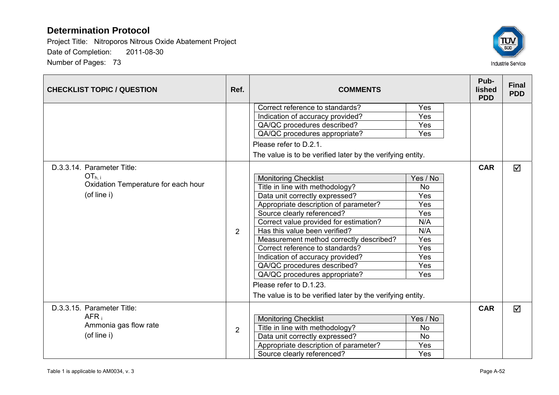

| <b>CHECKLIST TOPIC / QUESTION</b>   | Ref.           | <b>COMMENTS</b>                                                     |            |            | <b>Final</b><br><b>PDD</b> |
|-------------------------------------|----------------|---------------------------------------------------------------------|------------|------------|----------------------------|
|                                     |                | Correct reference to standards?<br>Indication of accuracy provided? | Yes<br>Yes |            |                            |
|                                     |                | QA/QC procedures described?                                         | Yes        |            |                            |
|                                     |                | QA/QC procedures appropriate?                                       | Yes        |            |                            |
|                                     |                | Please refer to D.2.1.                                              |            |            |                            |
|                                     |                |                                                                     |            |            |                            |
|                                     |                | The value is to be verified later by the verifying entity.          |            |            |                            |
| D.3.3.14. Parameter Title:          |                |                                                                     |            | <b>CAR</b> | ☑                          |
| $OT_{h.i}$                          |                | <b>Monitoring Checklist</b>                                         | Yes / No   |            |                            |
| Oxidation Temperature for each hour |                | Title in line with methodology?                                     | <b>No</b>  |            |                            |
| (of line i)                         |                | Data unit correctly expressed?                                      | Yes        |            |                            |
|                                     | $\overline{2}$ | Appropriate description of parameter?                               | Yes        |            |                            |
|                                     |                | Source clearly referenced?                                          | Yes        |            |                            |
|                                     |                | Correct value provided for estimation?                              | N/A        |            |                            |
|                                     |                | Has this value been verified?                                       | N/A        |            |                            |
|                                     |                | Measurement method correctly described?                             | Yes        |            |                            |
|                                     |                | Correct reference to standards?                                     | Yes        |            |                            |
|                                     |                | Indication of accuracy provided?                                    | Yes        |            |                            |
|                                     |                | QA/QC procedures described?                                         | Yes        |            |                            |
|                                     |                | QA/QC procedures appropriate?                                       | Yes        |            |                            |
|                                     |                | Please refer to D.1.23.                                             |            |            |                            |
|                                     |                | The value is to be verified later by the verifying entity.          |            |            |                            |
| D.3.3.15. Parameter Title:          |                |                                                                     |            | <b>CAR</b> | ☑                          |
| AFR <sub>i</sub>                    |                | <b>Monitoring Checklist</b>                                         | Yes / No   |            |                            |
| Ammonia gas flow rate               | $\overline{2}$ | Title in line with methodology?                                     | <b>No</b>  |            |                            |
| (of line i)                         |                | Data unit correctly expressed?                                      | <b>No</b>  |            |                            |
|                                     |                | Appropriate description of parameter?                               | Yes        |            |                            |
|                                     |                | Source clearly referenced?                                          | Yes        |            |                            |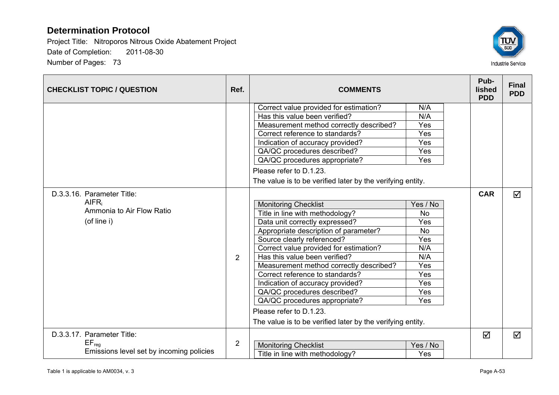

| <b>CHECKLIST TOPIC / QUESTION</b>                             | Ref.           | <b>COMMENTS</b>                                                         |            | Pub-<br>lished<br><b>PDD</b> | <b>Final</b><br><b>PDD</b> |
|---------------------------------------------------------------|----------------|-------------------------------------------------------------------------|------------|------------------------------|----------------------------|
|                                                               |                | Correct value provided for estimation?<br>Has this value been verified? | N/A<br>N/A |                              |                            |
|                                                               |                | Measurement method correctly described?                                 | Yes        |                              |                            |
|                                                               |                | Correct reference to standards?                                         | Yes        |                              |                            |
|                                                               |                | Indication of accuracy provided?                                        | Yes        |                              |                            |
|                                                               |                | QA/QC procedures described?                                             | Yes        |                              |                            |
|                                                               |                | QA/QC procedures appropriate?                                           | Yes        |                              |                            |
|                                                               |                | Please refer to D.1.23.                                                 |            |                              |                            |
|                                                               |                | The value is to be verified later by the verifying entity.              |            |                              |                            |
| D.3.3.16. Parameter Title:                                    |                |                                                                         |            | <b>CAR</b>                   | $\blacktriangledown$       |
| AIFR <sub>i</sub><br>Ammonia to Air Flow Ratio<br>(of line i) |                | <b>Monitoring Checklist</b>                                             | Yes / No   |                              |                            |
|                                                               |                | Title in line with methodology?                                         | <b>No</b>  |                              |                            |
|                                                               |                | Data unit correctly expressed?                                          | Yes        |                              |                            |
|                                                               |                | Appropriate description of parameter?                                   | <b>No</b>  |                              |                            |
|                                                               |                | Source clearly referenced?                                              | Yes        |                              |                            |
|                                                               |                | Correct value provided for estimation?                                  | N/A        |                              |                            |
|                                                               | $\overline{2}$ | Has this value been verified?                                           | N/A        |                              |                            |
|                                                               |                | Measurement method correctly described?                                 | Yes        |                              |                            |
|                                                               |                | Correct reference to standards?                                         | Yes        |                              |                            |
|                                                               |                | Indication of accuracy provided?                                        | Yes        |                              |                            |
|                                                               |                | QA/QC procedures described?                                             | Yes        |                              |                            |
|                                                               |                | QA/QC procedures appropriate?                                           | Yes        |                              |                            |
|                                                               |                | Please refer to D.1.23.                                                 |            |                              |                            |
|                                                               |                | The value is to be verified later by the verifying entity.              |            |                              |                            |
| D.3.3.17. Parameter Title:                                    |                |                                                                         |            | ☑                            | $\blacktriangledown$       |
| $EF_{req}$                                                    | $\overline{2}$ | <b>Monitoring Checklist</b>                                             | Yes / No   |                              |                            |
| Emissions level set by incoming policies                      |                | Title in line with methodology?                                         | Yes        |                              |                            |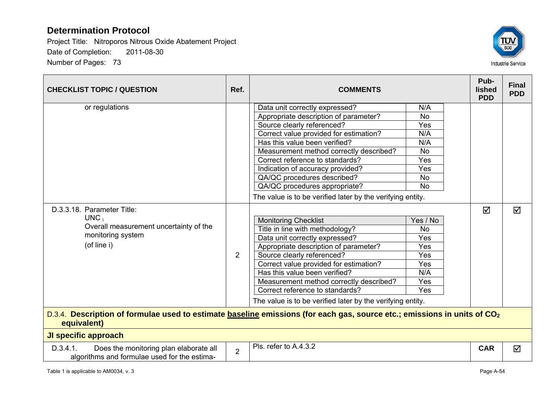

| <b>CHECKLIST TOPIC / QUESTION</b>                                                                                                                   | Ref.           | <b>COMMENTS</b>                                            |           | Pub-<br>lished<br><b>PDD</b> | <b>Final</b><br><b>PDD</b> |
|-----------------------------------------------------------------------------------------------------------------------------------------------------|----------------|------------------------------------------------------------|-----------|------------------------------|----------------------------|
| or regulations                                                                                                                                      |                | Data unit correctly expressed?                             | N/A       |                              |                            |
|                                                                                                                                                     |                | Appropriate description of parameter?                      | <b>No</b> |                              |                            |
|                                                                                                                                                     |                | Source clearly referenced?                                 | Yes       |                              |                            |
|                                                                                                                                                     |                | Correct value provided for estimation?                     | N/A       |                              |                            |
|                                                                                                                                                     |                | Has this value been verified?                              | N/A       |                              |                            |
|                                                                                                                                                     |                | Measurement method correctly described?                    | <b>No</b> |                              |                            |
|                                                                                                                                                     |                | Correct reference to standards?                            | Yes       |                              |                            |
|                                                                                                                                                     |                | Indication of accuracy provided?                           | Yes       |                              |                            |
|                                                                                                                                                     |                | QA/QC procedures described?                                | <b>No</b> |                              |                            |
|                                                                                                                                                     |                | QA/QC procedures appropriate?                              | <b>No</b> |                              |                            |
|                                                                                                                                                     |                | The value is to be verified later by the verifying entity. |           |                              |                            |
| D.3.3.18. Parameter Title:                                                                                                                          |                |                                                            |           | ☑                            | ☑                          |
| $UNC_i$                                                                                                                                             | $\overline{2}$ | <b>Monitoring Checklist</b>                                | Yes / No  |                              |                            |
| Overall measurement uncertainty of the                                                                                                              |                | Title in line with methodology?                            | <b>No</b> |                              |                            |
| monitoring system                                                                                                                                   |                | Data unit correctly expressed?                             | Yes       |                              |                            |
| (of line i)                                                                                                                                         |                | Appropriate description of parameter?                      | Yes       |                              |                            |
|                                                                                                                                                     |                | Source clearly referenced?                                 | Yes       |                              |                            |
|                                                                                                                                                     |                | Correct value provided for estimation?                     | Yes       |                              |                            |
|                                                                                                                                                     |                | Has this value been verified?                              | N/A       |                              |                            |
|                                                                                                                                                     |                | Measurement method correctly described?                    | Yes       |                              |                            |
|                                                                                                                                                     |                | Correct reference to standards?                            | Yes       |                              |                            |
|                                                                                                                                                     |                | The value is to be verified later by the verifying entity. |           |                              |                            |
| D.3.4. Description of formulae used to estimate baseline emissions (for each gas, source etc.; emissions in units of CO <sub>2</sub><br>equivalent) |                |                                                            |           |                              |                            |
| <b>JI specific approach</b>                                                                                                                         |                |                                                            |           |                              |                            |
| D.3.4.1.<br>Does the monitoring plan elaborate all<br>algorithms and formulae used for the estima-                                                  | $\overline{2}$ | Pls. refer to A.4.3.2                                      |           | <b>CAR</b>                   | ☑                          |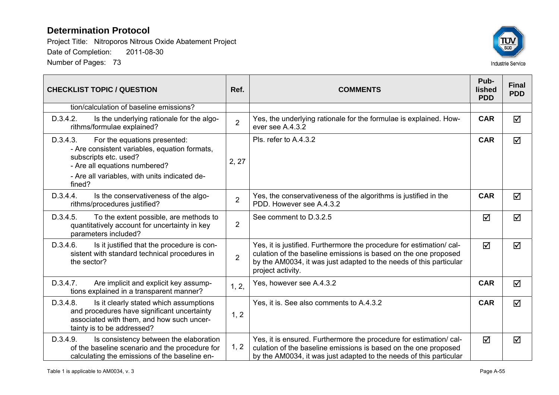

| <b>CHECKLIST TOPIC / QUESTION</b>                                                                                                                                                                              | Ref.           | <b>COMMENTS</b>                                                                                                                                                                                                                   | Pub-<br>lished<br><b>PDD</b> | <b>Final</b><br><b>PDD</b> |
|----------------------------------------------------------------------------------------------------------------------------------------------------------------------------------------------------------------|----------------|-----------------------------------------------------------------------------------------------------------------------------------------------------------------------------------------------------------------------------------|------------------------------|----------------------------|
| tion/calculation of baseline emissions?                                                                                                                                                                        |                |                                                                                                                                                                                                                                   |                              |                            |
| D.3.4.2.<br>Is the underlying rationale for the algo-<br>rithms/formulae explained?                                                                                                                            | $\overline{2}$ | Yes, the underlying rationale for the formulae is explained. How-<br>ever see A.4.3.2                                                                                                                                             | <b>CAR</b>                   | ☑                          |
| D.3.4.3.<br>For the equations presented:<br>- Are consistent variables, equation formats,<br>subscripts etc. used?<br>- Are all equations numbered?<br>- Are all variables, with units indicated de-<br>fined? | 2, 27          | Pls. refer to A.4.3.2                                                                                                                                                                                                             | <b>CAR</b>                   | ☑                          |
| Is the conservativeness of the algo-<br>D.3.4.4.<br>rithms/procedures justified?                                                                                                                               | $\overline{2}$ | Yes, the conservativeness of the algorithms is justified in the<br>PDD. However see A.4.3.2                                                                                                                                       | <b>CAR</b>                   | ☑                          |
| D.3.4.5.<br>To the extent possible, are methods to<br>quantitatively account for uncertainty in key<br>parameters included?                                                                                    | $\overline{2}$ | See comment to D.3.2.5                                                                                                                                                                                                            | ☑                            | ☑                          |
| D.3.4.6.<br>Is it justified that the procedure is con-<br>sistent with standard technical procedures in<br>the sector?                                                                                         | $\overline{2}$ | Yes, it is justified. Furthermore the procedure for estimation/cal-<br>culation of the baseline emissions is based on the one proposed<br>by the AM0034, it was just adapted to the needs of this particular<br>project activity. | $\blacktriangledown$         | ☑                          |
| Are implicit and explicit key assump-<br>D.3.4.7.<br>tions explained in a transparent manner?                                                                                                                  | 1, 2,          | Yes, however see A.4.3.2                                                                                                                                                                                                          | <b>CAR</b>                   | ☑                          |
| D.3.4.8.<br>Is it clearly stated which assumptions<br>and procedures have significant uncertainty<br>associated with them, and how such uncer-<br>tainty is to be addressed?                                   | 1, 2           | Yes, it is. See also comments to A.4.3.2                                                                                                                                                                                          | <b>CAR</b>                   | ☑                          |
| D.3.4.9.<br>Is consistency between the elaboration<br>of the baseline scenario and the procedure for<br>calculating the emissions of the baseline en-                                                          | 1, 2           | Yes, it is ensured. Furthermore the procedure for estimation/cal-<br>culation of the baseline emissions is based on the one proposed<br>by the AM0034, it was just adapted to the needs of this particular                        | $\blacktriangledown$         | ☑                          |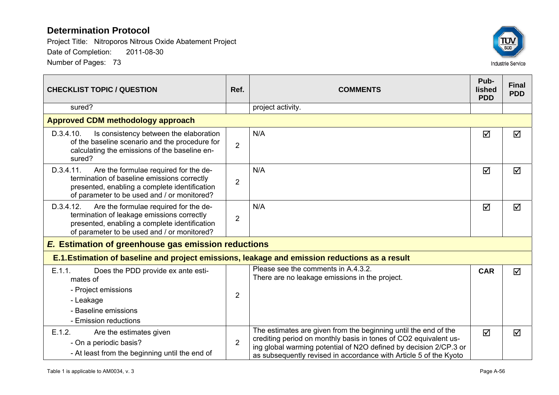

| <b>CHECKLIST TOPIC / QUESTION</b>                                                                                                                                                                 | Ref.           | <b>COMMENTS</b>                                                                                                                                                                                                                                                               | Pub-<br>lished<br><b>PDD</b> | <b>Final</b><br><b>PDD</b> |
|---------------------------------------------------------------------------------------------------------------------------------------------------------------------------------------------------|----------------|-------------------------------------------------------------------------------------------------------------------------------------------------------------------------------------------------------------------------------------------------------------------------------|------------------------------|----------------------------|
| sured?                                                                                                                                                                                            |                | project activity.                                                                                                                                                                                                                                                             |                              |                            |
| <b>Approved CDM methodology approach</b>                                                                                                                                                          |                |                                                                                                                                                                                                                                                                               |                              |                            |
| D.3.4.10.<br>Is consistency between the elaboration<br>of the baseline scenario and the procedure for<br>calculating the emissions of the baseline en-<br>sured?                                  | $\overline{2}$ | N/A                                                                                                                                                                                                                                                                           | ☑                            | ☑                          |
| D.3.4.11.<br>Are the formulae required for the de-<br>termination of baseline emissions correctly<br>presented, enabling a complete identification<br>of parameter to be used and / or monitored? | $\overline{2}$ | N/A                                                                                                                                                                                                                                                                           | $\blacktriangledown$         | ☑                          |
| D.3.4.12.<br>Are the formulae required for the de-<br>termination of leakage emissions correctly<br>presented, enabling a complete identification<br>of parameter to be used and / or monitored?  | $\overline{2}$ | N/A                                                                                                                                                                                                                                                                           | ☑                            | ☑                          |
| <b>E. Estimation of greenhouse gas emission reductions</b>                                                                                                                                        |                |                                                                                                                                                                                                                                                                               |                              |                            |
| E.1. Estimation of baseline and project emissions, leakage and emission reductions as a result                                                                                                    |                |                                                                                                                                                                                                                                                                               |                              |                            |
| E.1.1.<br>Does the PDD provide ex ante esti-<br>mates of<br>- Project emissions<br>- Leakage<br>- Baseline emissions<br>- Emission reductions                                                     | $\overline{2}$ | Please see the comments in A.4.3.2.<br>There are no leakage emissions in the project.                                                                                                                                                                                         | <b>CAR</b>                   | ☑                          |
| E.1.2.<br>Are the estimates given<br>- On a periodic basis?<br>- At least from the beginning until the end of                                                                                     | $\overline{2}$ | The estimates are given from the beginning until the end of the<br>crediting period on monthly basis in tones of CO2 equivalent us-<br>ing global warming potential of N2O defined by decision 2/CP.3 or<br>as subsequently revised in accordance with Article 5 of the Kyoto | $\triangledown$              | ☑                          |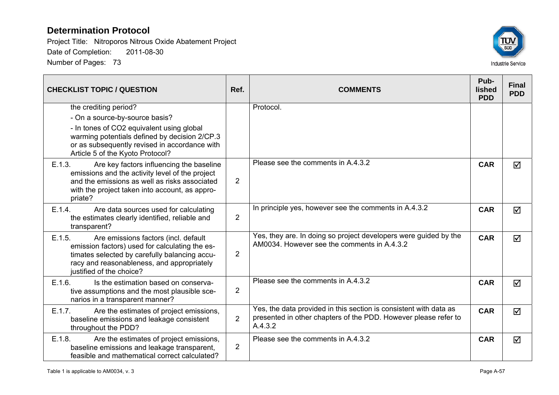

| <b>CHECKLIST TOPIC / QUESTION</b>                                                                                                                                                                                           | Ref.           | <b>COMMENTS</b>                                                                                                                                 | Pub-<br><b>lished</b><br><b>PDD</b> | <b>Final</b><br><b>PDD</b> |
|-----------------------------------------------------------------------------------------------------------------------------------------------------------------------------------------------------------------------------|----------------|-------------------------------------------------------------------------------------------------------------------------------------------------|-------------------------------------|----------------------------|
| the crediting period?                                                                                                                                                                                                       |                | Protocol.                                                                                                                                       |                                     |                            |
| - On a source-by-source basis?                                                                                                                                                                                              |                |                                                                                                                                                 |                                     |                            |
| - In tones of CO2 equivalent using global<br>warming potentials defined by decision 2/CP.3<br>or as subsequently revised in accordance with<br>Article 5 of the Kyoto Protocol?                                             |                |                                                                                                                                                 |                                     |                            |
| E.1.3.<br>Are key factors influencing the baseline<br>emissions and the activity level of the project<br>and the emissions as well as risks associated<br>with the project taken into account, as appro-<br>priate?         | 2              | Please see the comments in A.4.3.2                                                                                                              | <b>CAR</b>                          | ⊠                          |
| E.1.4.<br>Are data sources used for calculating<br>the estimates clearly identified, reliable and<br>transparent?                                                                                                           | $\overline{2}$ | In principle yes, however see the comments in A.4.3.2                                                                                           | <b>CAR</b>                          | ☑                          |
| E.1.5.<br>Are emissions factors (incl. default<br>emission factors) used for calculating the es-<br>timates selected by carefully balancing accu-<br>racy and reasonableness, and appropriately<br>justified of the choice? | $\overline{2}$ | Yes, they are. In doing so project developers were guided by the<br>AM0034. However see the comments in A.4.3.2                                 | <b>CAR</b>                          | $\triangledown$            |
| E.1.6.<br>Is the estimation based on conserva-<br>tive assumptions and the most plausible sce-<br>narios in a transparent manner?                                                                                           | $\overline{2}$ | Please see the comments in A.4.3.2                                                                                                              | <b>CAR</b>                          | ☑                          |
| E.1.7.<br>Are the estimates of project emissions,<br>baseline emissions and leakage consistent<br>throughout the PDD?                                                                                                       | $\overline{2}$ | Yes, the data provided in this section is consistent with data as<br>presented in other chapters of the PDD. However please refer to<br>A.4.3.2 | <b>CAR</b>                          | ☑                          |
| E.1.8.<br>Are the estimates of project emissions,<br>baseline emissions and leakage transparent,<br>feasible and mathematical correct calculated?                                                                           | $\overline{2}$ | Please see the comments in A.4.3.2                                                                                                              | <b>CAR</b>                          | $\triangledown$            |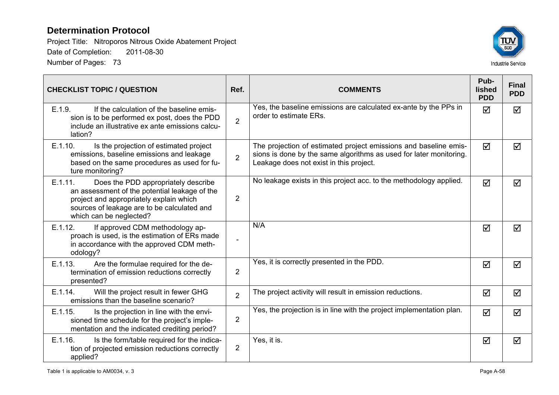

| <b>CHECKLIST TOPIC / QUESTION</b>                                                                                                                                                                                    | Ref.           | <b>COMMENTS</b>                                                                                                                                                                   | Pub-<br><b>lished</b><br><b>PDD</b> | <b>Final</b><br><b>PDD</b> |
|----------------------------------------------------------------------------------------------------------------------------------------------------------------------------------------------------------------------|----------------|-----------------------------------------------------------------------------------------------------------------------------------------------------------------------------------|-------------------------------------|----------------------------|
| E.1.9.<br>If the calculation of the baseline emis-<br>sion is to be performed ex post, does the PDD<br>include an illustrative ex ante emissions calcu-<br>lation?                                                   | $\overline{2}$ | Yes, the baseline emissions are calculated ex-ante by the PPs in<br>order to estimate ERs.                                                                                        | ☑                                   | ☑                          |
| E.1.10.<br>Is the projection of estimated project<br>emissions, baseline emissions and leakage<br>based on the same procedures as used for fu-<br>ture monitoring?                                                   | $\overline{2}$ | The projection of estimated project emissions and baseline emis-<br>sions is done by the same algorithms as used for later monitoring.<br>Leakage does not exist in this project. | $\blacktriangledown$                | $\blacktriangledown$       |
| E.1.11.<br>Does the PDD appropriately describe<br>an assessment of the potential leakage of the<br>project and appropriately explain which<br>sources of leakage are to be calculated and<br>which can be neglected? | $\overline{2}$ | No leakage exists in this project acc. to the methodology applied.                                                                                                                | $\overline{\mathsf{M}}$             | $\blacktriangledown$       |
| If approved CDM methodology ap-<br>E.1.12.<br>proach is used, is the estimation of ERs made<br>in accordance with the approved CDM meth-<br>odology?                                                                 |                | N/A                                                                                                                                                                               | ☑                                   | ☑                          |
| Are the formulae required for the de-<br>E.1.13.<br>termination of emission reductions correctly<br>presented?                                                                                                       | $\overline{2}$ | Yes, it is correctly presented in the PDD.                                                                                                                                        | ☑                                   | ☑                          |
| E.1.14.<br>Will the project result in fewer GHG<br>emissions than the baseline scenario?                                                                                                                             | $\overline{2}$ | The project activity will result in emission reductions.                                                                                                                          | $\blacktriangledown$                | ☑                          |
| E.1.15.<br>Is the projection in line with the envi-<br>sioned time schedule for the project's imple-<br>mentation and the indicated crediting period?                                                                | $\overline{2}$ | Yes, the projection is in line with the project implementation plan.                                                                                                              | ☑                                   | ☑                          |
| E.1.16.<br>Is the form/table required for the indica-<br>tion of projected emission reductions correctly<br>applied?                                                                                                 | 2              | Yes, it is.                                                                                                                                                                       | ☑                                   | ☑                          |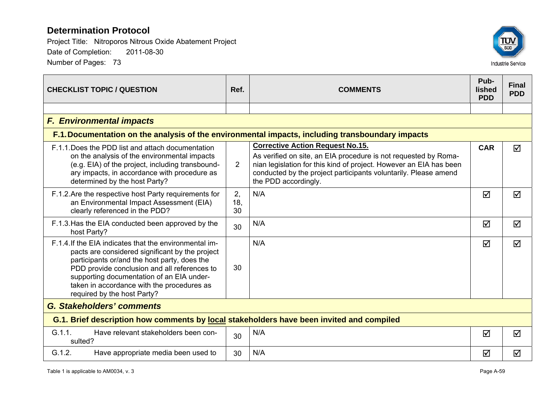

| <b>CHECKLIST TOPIC / QUESTION</b>                                                                                                                                                                                                                                                                                                   | Ref.            | <b>COMMENTS</b>                                                                                                                                                                                                                                                             | Pub-<br>lished<br><b>PDD</b> | <b>Final</b><br><b>PDD</b> |  |
|-------------------------------------------------------------------------------------------------------------------------------------------------------------------------------------------------------------------------------------------------------------------------------------------------------------------------------------|-----------------|-----------------------------------------------------------------------------------------------------------------------------------------------------------------------------------------------------------------------------------------------------------------------------|------------------------------|----------------------------|--|
|                                                                                                                                                                                                                                                                                                                                     |                 |                                                                                                                                                                                                                                                                             |                              |                            |  |
| <b>F. Environmental impacts</b>                                                                                                                                                                                                                                                                                                     |                 |                                                                                                                                                                                                                                                                             |                              |                            |  |
|                                                                                                                                                                                                                                                                                                                                     |                 | F.1. Documentation on the analysis of the environmental impacts, including transboundary impacts                                                                                                                                                                            |                              |                            |  |
| F.1.1. Does the PDD list and attach documentation<br>on the analysis of the environmental impacts<br>(e.g. EIA) of the project, including transbound-<br>ary impacts, in accordance with procedure as<br>determined by the host Party?                                                                                              | $\overline{2}$  | <b>Corrective Action Request No.15.</b><br>As verified on site, an EIA procedure is not requested by Roma-<br>nian legislation for this kind of project. However an EIA has been<br>conducted by the project participants voluntarily. Please amend<br>the PDD accordingly. | <b>CAR</b>                   | ☑                          |  |
| F.1.2. Are the respective host Party requirements for<br>an Environmental Impact Assessment (EIA)<br>clearly referenced in the PDD?                                                                                                                                                                                                 | 2,<br>18,<br>30 | N/A                                                                                                                                                                                                                                                                         | ☑                            | ☑                          |  |
| F.1.3. Has the EIA conducted been approved by the<br>host Party?                                                                                                                                                                                                                                                                    | 30              | N/A                                                                                                                                                                                                                                                                         | ☑                            | ☑                          |  |
| F.1.4. If the EIA indicates that the environmental im-<br>pacts are considered significant by the project<br>participants or/and the host party, does the<br>PDD provide conclusion and all references to<br>supporting documentation of an EIA under-<br>taken in accordance with the procedures as<br>required by the host Party? | 30              | N/A                                                                                                                                                                                                                                                                         | ☑                            | ☑                          |  |
| <b>G. Stakeholders' comments</b>                                                                                                                                                                                                                                                                                                    |                 |                                                                                                                                                                                                                                                                             |                              |                            |  |
| G.1. Brief description how comments by local stakeholders have been invited and compiled                                                                                                                                                                                                                                            |                 |                                                                                                                                                                                                                                                                             |                              |                            |  |
| G.1.1.<br>Have relevant stakeholders been con-<br>sulted?                                                                                                                                                                                                                                                                           | 30              | N/A                                                                                                                                                                                                                                                                         | $\blacktriangledown$         | ☑                          |  |
| G.1.2.<br>Have appropriate media been used to                                                                                                                                                                                                                                                                                       | 30              | N/A                                                                                                                                                                                                                                                                         | $\triangledown$              | ☑                          |  |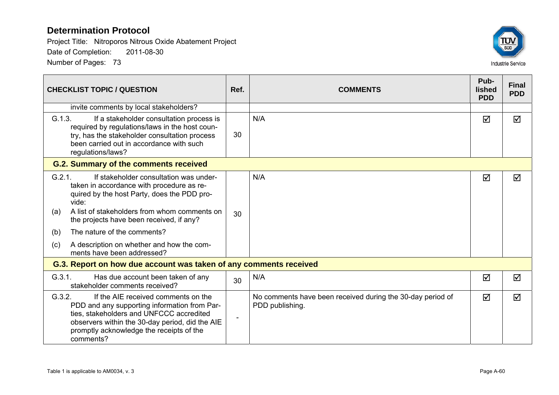

| <b>CHECKLIST TOPIC / QUESTION</b>                                                                                                                                                                                                                                                                                                                                                | Ref.                     | <b>COMMENTS</b>                                                               | Pub-<br>lished<br><b>PDD</b> | <b>Final</b><br><b>PDD</b> |
|----------------------------------------------------------------------------------------------------------------------------------------------------------------------------------------------------------------------------------------------------------------------------------------------------------------------------------------------------------------------------------|--------------------------|-------------------------------------------------------------------------------|------------------------------|----------------------------|
| invite comments by local stakeholders?                                                                                                                                                                                                                                                                                                                                           |                          |                                                                               |                              |                            |
| G.1.3.<br>If a stakeholder consultation process is<br>required by regulations/laws in the host coun-<br>try, has the stakeholder consultation process<br>been carried out in accordance with such<br>regulations/laws?                                                                                                                                                           | 30                       | N/A                                                                           | ☑                            | $\blacktriangledown$       |
| <b>G.2. Summary of the comments received</b>                                                                                                                                                                                                                                                                                                                                     |                          |                                                                               |                              |                            |
| G.2.1.<br>If stakeholder consultation was under-<br>taken in accordance with procedure as re-<br>quired by the host Party, does the PDD pro-<br>vide:<br>A list of stakeholders from whom comments on<br>(a)<br>the projects have been received, if any?<br>The nature of the comments?<br>(b)<br>A description on whether and how the com-<br>(c)<br>ments have been addressed? | 30                       | N/A                                                                           | ☑                            | ☑                          |
| G.3. Report on how due account was taken of any comments received                                                                                                                                                                                                                                                                                                                |                          |                                                                               |                              |                            |
| G.3.1.<br>Has due account been taken of any<br>stakeholder comments received?                                                                                                                                                                                                                                                                                                    | 30                       | N/A                                                                           | ☑                            | ☑                          |
| G.3.2.<br>If the AIE received comments on the<br>PDD and any supporting information from Par-<br>ties, stakeholders and UNFCCC accredited<br>observers within the 30-day period, did the AIE<br>promptly acknowledge the receipts of the<br>comments?                                                                                                                            | $\overline{\phantom{a}}$ | No comments have been received during the 30-day period of<br>PDD publishing. | ☑                            | ☑                          |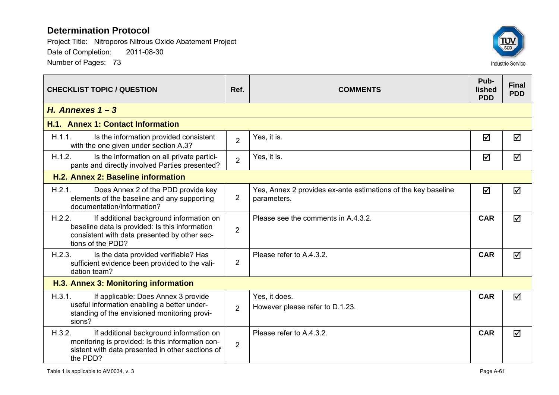

| <b>CHECKLIST TOPIC / QUESTION</b>                                                                                                                                        | Ref.           | <b>COMMENTS</b>                                                              | Pub-<br><b>lished</b><br><b>PDD</b> | <b>Final</b><br><b>PDD</b> |
|--------------------------------------------------------------------------------------------------------------------------------------------------------------------------|----------------|------------------------------------------------------------------------------|-------------------------------------|----------------------------|
| H. Annexes $1 - 3$                                                                                                                                                       |                |                                                                              |                                     |                            |
| H.1. Annex 1: Contact Information                                                                                                                                        |                |                                                                              |                                     |                            |
| H.1.1.<br>Is the information provided consistent<br>with the one given under section A.3?                                                                                | $\overline{2}$ | Yes, it is.                                                                  | ☑                                   | ☑                          |
| H.1.2.<br>Is the information on all private partici-<br>pants and directly involved Parties presented?                                                                   | $\overline{2}$ | Yes, it is.                                                                  | ☑                                   | ☑                          |
| H.2. Annex 2: Baseline information                                                                                                                                       |                |                                                                              |                                     |                            |
| H.2.1.<br>Does Annex 2 of the PDD provide key<br>elements of the baseline and any supporting<br>documentation/information?                                               | $\overline{2}$ | Yes, Annex 2 provides ex-ante estimations of the key baseline<br>parameters. | ☑                                   | ☑                          |
| H.2.2.<br>If additional background information on<br>baseline data is provided: Is this information<br>consistent with data presented by other sec-<br>tions of the PDD? | $\overline{2}$ | Please see the comments in A.4.3.2.                                          | <b>CAR</b>                          | ☑                          |
| H.2.3.<br>Is the data provided verifiable? Has<br>sufficient evidence been provided to the vali-<br>dation team?                                                         | $\overline{2}$ | Please refer to A.4.3.2.                                                     | <b>CAR</b>                          | $\overline{\mathsf{M}}$    |
| H.3. Annex 3: Monitoring information                                                                                                                                     |                |                                                                              |                                     |                            |
| H.3.1.<br>If applicable: Does Annex 3 provide<br>useful information enabling a better under-<br>standing of the envisioned monitoring provi-<br>sions?                   | $\overline{2}$ | Yes, it does.<br>However please refer to D.1.23.                             | <b>CAR</b>                          | ☑                          |
| H.3.2.<br>If additional background information on<br>monitoring is provided: Is this information con-<br>sistent with data presented in other sections of<br>the PDD?    | $\overline{2}$ | Please refer to A.4.3.2.                                                     | <b>CAR</b>                          | ☑                          |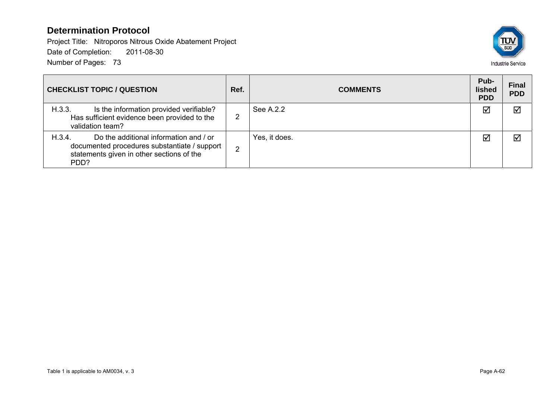

| <b>CHECKLIST TOPIC / QUESTION</b>                                                                                                                     | Ref. | <b>COMMENTS</b> | Pub-<br>lished<br><b>PDD</b> | <b>Final</b><br><b>PDD</b> |
|-------------------------------------------------------------------------------------------------------------------------------------------------------|------|-----------------|------------------------------|----------------------------|
| H.3.3.<br>Is the information provided verifiable?<br>Has sufficient evidence been provided to the<br>validation team?                                 |      | See A.2.2       | ☑                            | $\sqrt{}$                  |
| H.3.4.<br>Do the additional information and / or<br>documented procedures substantiate / support<br>statements given in other sections of the<br>PDD? | ົ    | Yes, it does.   | ☑                            | $\sum$                     |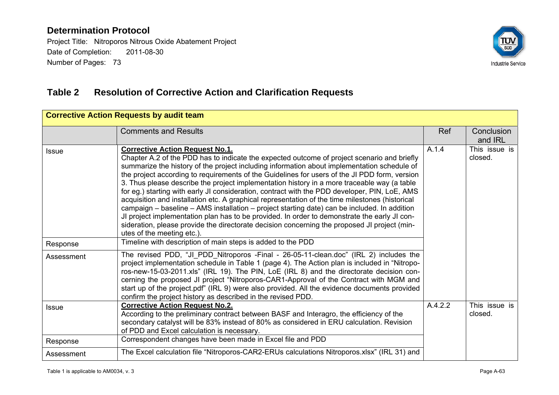Project Title: Nitroporos Nitrous Oxide Abatement Project Date of Completion: 2011-08-30 Number of Pages: 73



# **Table 2 Resolution of Corrective Action and Clarification Requests**

| <b>Corrective Action Requests by audit team</b> |                                                                                                                                                                                                                                                                                                                                                                                                                                                                                                                                                                                                                                                                                                                                                                                                                                                                                                                                                                        |         |                          |  |  |  |
|-------------------------------------------------|------------------------------------------------------------------------------------------------------------------------------------------------------------------------------------------------------------------------------------------------------------------------------------------------------------------------------------------------------------------------------------------------------------------------------------------------------------------------------------------------------------------------------------------------------------------------------------------------------------------------------------------------------------------------------------------------------------------------------------------------------------------------------------------------------------------------------------------------------------------------------------------------------------------------------------------------------------------------|---------|--------------------------|--|--|--|
|                                                 | <b>Comments and Results</b>                                                                                                                                                                                                                                                                                                                                                                                                                                                                                                                                                                                                                                                                                                                                                                                                                                                                                                                                            | Ref     | Conclusion<br>and IRL    |  |  |  |
| <b>Issue</b>                                    | <b>Corrective Action Request No.1.</b><br>Chapter A.2 of the PDD has to indicate the expected outcome of project scenario and briefly<br>summarize the history of the project including information about implementation schedule of<br>the project according to requirements of the Guidelines for users of the JI PDD form, version<br>3. Thus please describe the project implementation history in a more traceable way (a table<br>for eg.) starting with early JI consideration, contract with the PDD developer, PIN, LoE, AMS<br>acquisition and installation etc. A graphical representation of the time milestones (historical<br>campaign – baseline – AMS installation – project starting date) can be included. In addition<br>JI project implementation plan has to be provided. In order to demonstrate the early JI con-<br>sideration, please provide the directorate decision concerning the proposed JI project (min-<br>utes of the meeting etc.). | A.1.4   | This issue is<br>closed. |  |  |  |
| Response                                        | Timeline with description of main steps is added to the PDD                                                                                                                                                                                                                                                                                                                                                                                                                                                                                                                                                                                                                                                                                                                                                                                                                                                                                                            |         |                          |  |  |  |
| Assessment                                      | The revised PDD, "JI_PDD_Nitroporos -Final - 26-05-11-clean.doc" (IRL 2) includes the<br>project implementation schedule in Table 1 (page 4). The Action plan is included in "Nitropo-<br>ros-new-15-03-2011.xls" (IRL 19). The PIN, LoE (IRL 8) and the directorate decision con-<br>cerning the proposed JI project "Nitroporos-CAR1-Approval of the Contract with MGM and<br>start up of the project.pdf" (IRL 9) were also provided. All the evidence documents provided<br>confirm the project history as described in the revised PDD.                                                                                                                                                                                                                                                                                                                                                                                                                           |         |                          |  |  |  |
| <b>Issue</b>                                    | <b>Corrective Action Request No.2.</b><br>According to the preliminary contract between BASF and Interagro, the efficiency of the<br>secondary catalyst will be 83% instead of 80% as considered in ERU calculation. Revision<br>of PDD and Excel calculation is necessary.                                                                                                                                                                                                                                                                                                                                                                                                                                                                                                                                                                                                                                                                                            | A.4.2.2 | This issue is<br>closed. |  |  |  |
| Response                                        | Correspondent changes have been made in Excel file and PDD                                                                                                                                                                                                                                                                                                                                                                                                                                                                                                                                                                                                                                                                                                                                                                                                                                                                                                             |         |                          |  |  |  |
| Assessment                                      | The Excel calculation file "Nitroporos-CAR2-ERUs calculations Nitroporos.xlsx" (IRL 31) and                                                                                                                                                                                                                                                                                                                                                                                                                                                                                                                                                                                                                                                                                                                                                                                                                                                                            |         |                          |  |  |  |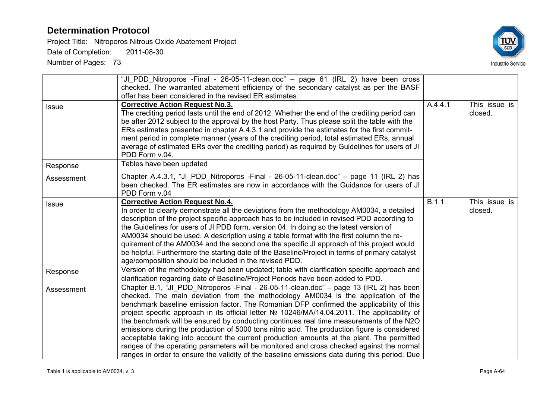Project Title: Nitroporos Nitrous Oxide Abatement Project

Date of Completion: 2011-08-30



|              | "JI_PDD_Nitroporos -Final - 26-05-11-clean.doc" - page 61 (IRL 2) have been cross<br>checked. The warranted abatement efficiency of the secondary catalyst as per the BASF<br>offer has been considered in the revised ER estimates.                                                                                                                                                                                                                                                                                                                                                                                                                                                                                                                                                                                                                            |         |                          |
|--------------|-----------------------------------------------------------------------------------------------------------------------------------------------------------------------------------------------------------------------------------------------------------------------------------------------------------------------------------------------------------------------------------------------------------------------------------------------------------------------------------------------------------------------------------------------------------------------------------------------------------------------------------------------------------------------------------------------------------------------------------------------------------------------------------------------------------------------------------------------------------------|---------|--------------------------|
| <b>Issue</b> | <b>Corrective Action Request No.3.</b><br>The crediting period lasts until the end of 2012. Whether the end of the crediting period can<br>be after 2012 subject to the approval by the host Party. Thus please split the table with the<br>ERs estimates presented in chapter A.4.3.1 and provide the estimates for the first commit-<br>ment period in complete manner (years of the crediting period, total estimated ERs, annual<br>average of estimated ERs over the crediting period) as required by Guidelines for users of JI<br>PDD Form v.04.                                                                                                                                                                                                                                                                                                         | A.4.4.1 | This issue is<br>closed. |
| Response     | Tables have been updated                                                                                                                                                                                                                                                                                                                                                                                                                                                                                                                                                                                                                                                                                                                                                                                                                                        |         |                          |
| Assessment   | Chapter A.4.3.1, "JI_PDD_Nitroporos -Final - 26-05-11-clean.doc" - page 11 (IRL 2) has<br>been checked. The ER estimates are now in accordance with the Guidance for users of JI<br>PDD Form v.04                                                                                                                                                                                                                                                                                                                                                                                                                                                                                                                                                                                                                                                               |         |                          |
| <b>Issue</b> | <b>Corrective Action Request No.4.</b><br>In order to clearly demonstrate all the deviations from the methodology AM0034, a detailed<br>description of the project specific approach has to be included in revised PDD according to<br>the Guidelines for users of JI PDD form, version 04. In doing so the latest version of<br>AM0034 should be used. A description using a table format with the first column the re-<br>quirement of the AM0034 and the second one the specific JI approach of this project would<br>be helpful. Furthermore the starting date of the Baseline/Project in terms of primary catalyst<br>age/composition should be included in the revised PDD.                                                                                                                                                                               | B.1.1   | This issue is<br>closed. |
| Response     | Version of the methodology had been updated; table with clarification specific approach and<br>clarification regarding date of Baseline/Project Periods have been added to PDD.                                                                                                                                                                                                                                                                                                                                                                                                                                                                                                                                                                                                                                                                                 |         |                          |
| Assessment   | Chapter B.1, "JI PDD Nitroporos -Final - 26-05-11-clean.doc" – page 13 (IRL 2) has been<br>checked. The main deviation from the methodology AM0034 is the application of the<br>benchmark baseline emission factor. The Romanian DFP confirmed the applicability of this<br>project specific approach in its official letter № 10246/MA/14.04.2011. The applicability of<br>the benchmark will be ensured by conducting continues real time measurements of the N2O<br>emissions during the production of 5000 tons nitric acid. The production figure is considered<br>acceptable taking into account the current production amounts at the plant. The permitted<br>ranges of the operating parameters will be monitored and cross checked against the normal<br>ranges in order to ensure the validity of the baseline emissions data during this period. Due |         |                          |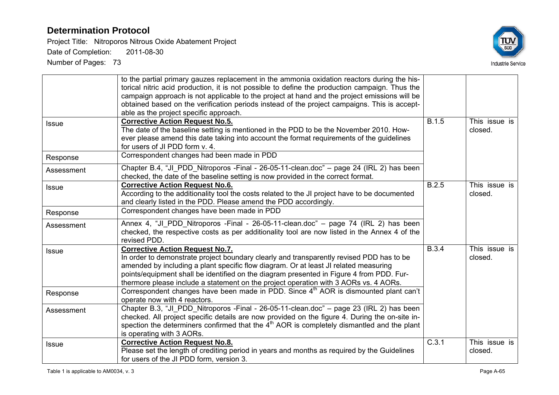Project Title: Nitroporos Nitrous Oxide Abatement Project

Date of Completion: 2011-08-30



|              | to the partial primary gauzes replacement in the ammonia oxidation reactors during the his-<br>torical nitric acid production, it is not possible to define the production campaign. Thus the<br>campaign approach is not applicable to the project at hand and the project emissions will be<br>obtained based on the verification periods instead of the project campaigns. This is accept-<br>able as the project specific approach. |              |                          |
|--------------|-----------------------------------------------------------------------------------------------------------------------------------------------------------------------------------------------------------------------------------------------------------------------------------------------------------------------------------------------------------------------------------------------------------------------------------------|--------------|--------------------------|
| <b>Issue</b> | <b>Corrective Action Request No.5.</b><br>The date of the baseline setting is mentioned in the PDD to be the November 2010. How-<br>ever please amend this date taking into account the format requirements of the guidelines<br>for users of JI PDD form v. 4.                                                                                                                                                                         | <b>B.1.5</b> | This issue is<br>closed. |
| Response     | Correspondent changes had been made in PDD                                                                                                                                                                                                                                                                                                                                                                                              |              |                          |
| Assessment   | Chapter B.4, "JI PDD Nitroporos -Final - 26-05-11-clean.doc" – page 24 (IRL 2) has been<br>checked, the date of the baseline setting is now provided in the correct format.                                                                                                                                                                                                                                                             |              |                          |
| <b>Issue</b> | <b>Corrective Action Request No.6.</b><br>According to the additionality tool the costs related to the JI project have to be documented<br>and clearly listed in the PDD. Please amend the PDD accordingly.                                                                                                                                                                                                                             | B.2.5        | This issue is<br>closed. |
| Response     | Correspondent changes have been made in PDD                                                                                                                                                                                                                                                                                                                                                                                             |              |                          |
| Assessment   | Annex 4, "JI_PDD_Nitroporos -Final - 26-05-11-clean.doc" - page 74 (IRL 2) has been<br>checked, the respective costs as per additionality tool are now listed in the Annex 4 of the<br>revised PDD.                                                                                                                                                                                                                                     |              |                          |
| <b>Issue</b> | <b>Corrective Action Request No.7.</b><br>In order to demonstrate project boundary clearly and transparently revised PDD has to be<br>amended by including a plant specific flow diagram. Or at least JI related measuring<br>points/equipment shall be identified on the diagram presented in Figure 4 from PDD. Fur-<br>thermore please include a statement on the project operation with 3 AORs vs. 4 AORs.                          | <b>B.3.4</b> | This issue is<br>closed. |
| Response     | Correspondent changes have been made in PDD. Since 4 <sup>th</sup> AOR is dismounted plant can't<br>operate now with 4 reactors.                                                                                                                                                                                                                                                                                                        |              |                          |
| Assessment   | Chapter B.3, "JI_PDD_Nitroporos -Final - 26-05-11-clean.doc" - page 23 (IRL 2) has been<br>checked. All project specific details are now provided on the figure 4. During the on-site in-<br>spection the determiners confirmed that the $4th$ AOR is completely dismantled and the plant<br>is operating with 3 AORs.                                                                                                                  |              |                          |
| <b>Issue</b> | <b>Corrective Action Request No.8.</b><br>Please set the length of crediting period in years and months as required by the Guidelines<br>for users of the JI PDD form, version 3.                                                                                                                                                                                                                                                       | C.3.1        | This issue is<br>closed. |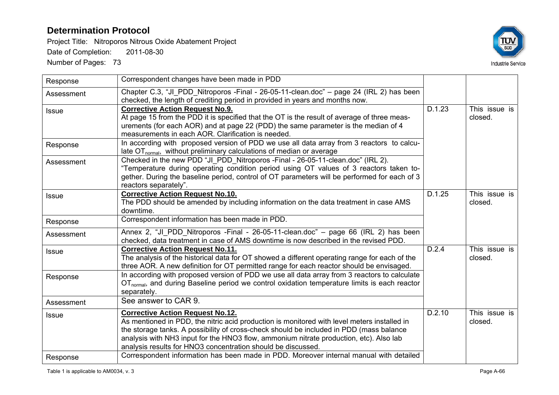Project Title: Nitroporos Nitrous Oxide Abatement Project

Date of Completion: 2011-08-30



| Response     | Correspondent changes have been made in PDD                                                                                                                                                                                                                                                                                                                                                 |        |                          |
|--------------|---------------------------------------------------------------------------------------------------------------------------------------------------------------------------------------------------------------------------------------------------------------------------------------------------------------------------------------------------------------------------------------------|--------|--------------------------|
| Assessment   | Chapter C.3, "JI_PDD_Nitroporos -Final - 26-05-11-clean.doc" - page 24 (IRL 2) has been<br>checked, the length of crediting period in provided in years and months now.                                                                                                                                                                                                                     |        |                          |
| <b>Issue</b> | <b>Corrective Action Request No.9.</b><br>At page 15 from the PDD it is specified that the OT is the result of average of three meas-<br>urements (for each AOR) and at page 22 (PDD) the same parameter is the median of 4<br>measurements in each AOR. Clarification is needed.                                                                                                           | D.1.23 | This issue is<br>closed. |
| Response     | In according with proposed version of PDD we use all data array from 3 reactors to calcu-<br>late $OT_{normal}$ , without preliminary calculations of median or average                                                                                                                                                                                                                     |        |                          |
| Assessment   | Checked in the new PDD "JI PDD Nitroporos - Final - 26-05-11-clean.doc" (IRL 2).<br>"Temperature during operating condition period using OT values of 3 reactors taken to-<br>gether. During the baseline period, control of OT parameters will be performed for each of 3<br>reactors separately".                                                                                         |        |                          |
| <b>Issue</b> | <b>Corrective Action Request No.10.</b><br>The PDD should be amended by including information on the data treatment in case AMS<br>downtime.                                                                                                                                                                                                                                                | D.1.25 | This issue is<br>closed. |
| Response     | Correspondent information has been made in PDD.                                                                                                                                                                                                                                                                                                                                             |        |                          |
| Assessment   | Annex 2, "JI_PDD_Nitroporos -Final - 26-05-11-clean.doc" - page 66 (IRL 2) has been<br>checked, data treatment in case of AMS downtime is now described in the revised PDD.                                                                                                                                                                                                                 |        |                          |
| <b>Issue</b> | <b>Corrective Action Request No.11.</b><br>The analysis of the historical data for OT showed a different operating range for each of the<br>three AOR. A new definition for OT permitted range for each reactor should be envisaged.                                                                                                                                                        | D.2.4  | This issue is<br>closed. |
| Response     | In according with proposed version of PDD we use all data array from 3 reactors to calculate<br>OT <sub>normal</sub> , and during Baseline period we control oxidation temperature limits is each reactor<br>separately.                                                                                                                                                                    |        |                          |
| Assessment   | See answer to CAR 9.                                                                                                                                                                                                                                                                                                                                                                        |        |                          |
| <b>Issue</b> | <b>Corrective Action Request No.12.</b><br>As mentioned in PDD, the nitric acid production is monitored with level meters installed in<br>the storage tanks. A possibility of cross-check should be included in PDD (mass balance<br>analysis with NH3 input for the HNO3 flow, ammonium nitrate production, etc). Also lab<br>analysis results for HNO3 concentration should be discussed. | D.2.10 | This issue is<br>closed. |
| Response     | Correspondent information has been made in PDD. Moreover internal manual with detailed                                                                                                                                                                                                                                                                                                      |        |                          |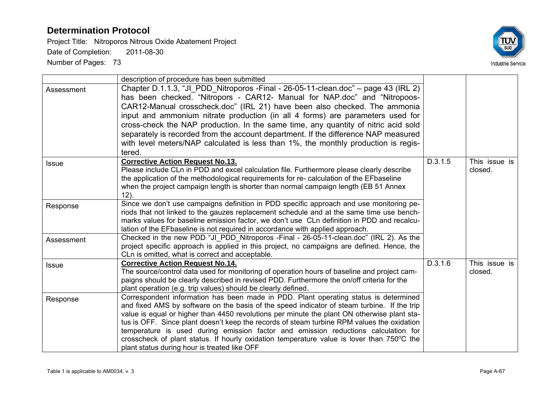Project Title: Nitroporos Nitrous Oxide Abatement Project Date of Completion: 2011-08-30



| Assessment   | description of procedure has been submitted<br>Chapter D.1.1.3, "JI PDD Nitroporos - Final - 26-05-11-clean.doc" – page 43 (IRL 2)<br>has been checked. "Nitropors - CAR12- Manual for NAP.doc" and "Nitropoos-<br>CAR12-Manual crosscheck.doc" (IRL 21) have been also checked. The ammonia<br>input and ammonium nitrate production (in all 4 forms) are parameters used for<br>cross-check the NAP production. In the same time, any quantity of nitric acid sold<br>separately is recorded from the account department. If the difference NAP measured<br>with level meters/NAP calculated is less than 1%, the monthly production is regis-<br>tered. |         |                          |
|--------------|------------------------------------------------------------------------------------------------------------------------------------------------------------------------------------------------------------------------------------------------------------------------------------------------------------------------------------------------------------------------------------------------------------------------------------------------------------------------------------------------------------------------------------------------------------------------------------------------------------------------------------------------------------|---------|--------------------------|
| <b>Issue</b> | <b>Corrective Action Request No.13.</b><br>Please include CLn in PDD and excel calculation file. Furthermore please clearly describe<br>the application of the methodological requirements for re- calculation of the EFbaseline<br>when the project campaign length is shorter than normal campaign length (EB 51 Annex<br>$12$ ).                                                                                                                                                                                                                                                                                                                        | D.3.1.5 | This issue is<br>closed. |
| Response     | Since we don't use campaigns definition in PDD specific approach and use monitoring pe-<br>riods that not linked to the gauzes replacement schedule and at the same time use bench-<br>marks values for baseline emission factor, we don't use CLn definition in PDD and recalcu-<br>lation of the EFbaseline is not required in accordance with applied approach.                                                                                                                                                                                                                                                                                         |         |                          |
| Assessment   | Checked in the new PDD "JI PDD Nitroporos -Final - 26-05-11-clean.doc" (IRL 2). As the<br>project specific approach is applied in this project, no campaigns are defined. Hence, the<br>CLn is omitted, what is correct and acceptable.                                                                                                                                                                                                                                                                                                                                                                                                                    |         |                          |
| <b>Issue</b> | <b>Corrective Action Request No.14.</b><br>The source/control data used for monitoring of operation hours of baseline and project cam-<br>paigns should be clearly described in revised PDD. Furthermore the on/off criteria for the<br>plant operation (e.g. trip values) should be clearly defined.                                                                                                                                                                                                                                                                                                                                                      | D.3.1.6 | This issue is<br>closed. |
| Response     | Correspondent information has been made in PDD. Plant operating status is determined<br>and fixed AMS by software on the basis of the speed indicator of steam turbine. If the trip<br>value is equal or higher than 4450 revolutions per minute the plant ON otherwise plant sta-<br>tus is OFF. Since plant doesn't keep the records of steam turbine RPM values the oxidation<br>temperature is used during emission factor and emission reductions calculation for<br>crosscheck of plant status. If hourly oxidation temperature value is lover than 750°C the<br>plant status during hour is treated like OFF                                        |         |                          |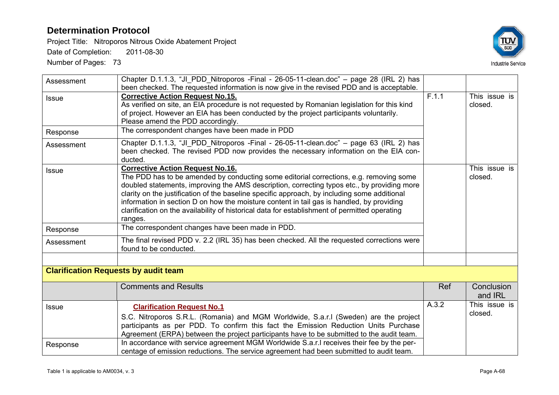Project Title: Nitroporos Nitrous Oxide Abatement Project

Date of Completion: 2011-08-30



| Assessment               | Chapter D.1.1.3, "JI PDD Nitroporos - Final - 26-05-11-clean.doc" - page 28 (IRL 2) has<br>been checked. The requested information is now give in the revised PDD and is acceptable.                                                                                                                                                                                                                                                                                                                                                      |            |                          |
|--------------------------|-------------------------------------------------------------------------------------------------------------------------------------------------------------------------------------------------------------------------------------------------------------------------------------------------------------------------------------------------------------------------------------------------------------------------------------------------------------------------------------------------------------------------------------------|------------|--------------------------|
| <b>Issue</b>             | <b>Corrective Action Request No.15.</b><br>As verified on site, an EIA procedure is not requested by Romanian legislation for this kind<br>of project. However an EIA has been conducted by the project participants voluntarily.<br>Please amend the PDD accordingly.                                                                                                                                                                                                                                                                    | F.1.1      | This issue is<br>closed. |
| Response                 | The correspondent changes have been made in PDD                                                                                                                                                                                                                                                                                                                                                                                                                                                                                           |            |                          |
| Assessment               | Chapter D.1.1.3, "JI_PDD_Nitroporos -Final - 26-05-11-clean.doc" - page 63 (IRL 2) has<br>been checked. The revised PDD now provides the necessary information on the EIA con-<br>ducted.                                                                                                                                                                                                                                                                                                                                                 |            |                          |
| <b>Issue</b>             | <b>Corrective Action Request No.16.</b><br>The PDD has to be amended by conducting some editorial corrections, e.g. removing some<br>doubled statements, improving the AMS description, correcting typos etc., by providing more<br>clarity on the justification of the baseline specific approach, by including some additional<br>information in section D on how the moisture content in tail gas is handled, by providing<br>clarification on the availability of historical data for establishment of permitted operating<br>ranges. |            | This issue is<br>closed. |
| Response                 | The correspondent changes have been made in PDD.                                                                                                                                                                                                                                                                                                                                                                                                                                                                                          |            |                          |
| Assessment               | The final revised PDD v. 2.2 (IRL 35) has been checked. All the requested corrections were<br>found to be conducted.                                                                                                                                                                                                                                                                                                                                                                                                                      |            |                          |
|                          | <b>Clarification Requests by audit team</b>                                                                                                                                                                                                                                                                                                                                                                                                                                                                                               |            |                          |
|                          | <b>Comments and Results</b>                                                                                                                                                                                                                                                                                                                                                                                                                                                                                                               | <b>Ref</b> | Conclusion<br>and IRL    |
| <b>Issue</b><br>Response | <b>Clarification Request No.1</b><br>S.C. Nitroporos S.R.L. (Romania) and MGM Worldwide, S.a.r.I (Sweden) are the project<br>participants as per PDD. To confirm this fact the Emission Reduction Units Purchase<br>Agreement (ERPA) between the project participants have to be submitted to the audit team.<br>In accordance with service agreement MGM Worldwide S.a.r.I receives their fee by the per-<br>centage of emission reductions. The service agreement had been submitted to audit team.                                     | A.3.2      | This issue is<br>closed. |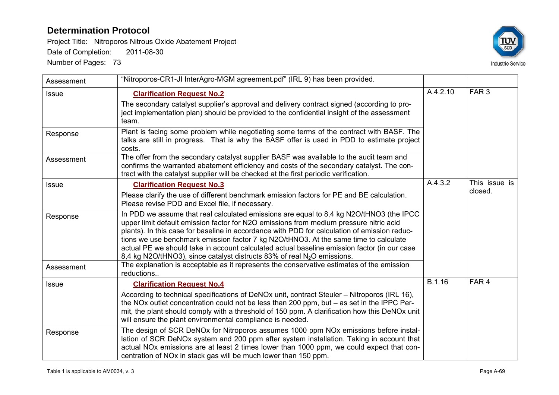Project Title: Nitroporos Nitrous Oxide Abatement Project

Date of Completion: 2011-08-30



| Assessment   | "Nitroporos-CR1-JI InterAgro-MGM agreement.pdf" (IRL 9) has been provided.                                                                                                                                                                                                                                                                                                                                                                                                                                                                                      |          |                          |
|--------------|-----------------------------------------------------------------------------------------------------------------------------------------------------------------------------------------------------------------------------------------------------------------------------------------------------------------------------------------------------------------------------------------------------------------------------------------------------------------------------------------------------------------------------------------------------------------|----------|--------------------------|
| <b>Issue</b> | <b>Clarification Request No.2</b><br>The secondary catalyst supplier's approval and delivery contract signed (according to pro-<br>ject implementation plan) should be provided to the confidential insight of the assessment<br>team.                                                                                                                                                                                                                                                                                                                          | A.4.2.10 | FAR <sub>3</sub>         |
| Response     | Plant is facing some problem while negotiating some terms of the contract with BASF. The<br>talks are still in progress. That is why the BASF offer is used in PDD to estimate project<br>costs.                                                                                                                                                                                                                                                                                                                                                                |          |                          |
| Assessment   | The offer from the secondary catalyst supplier BASF was available to the audit team and<br>confirms the warranted abatement efficiency and costs of the secondary catalyst. The con-<br>tract with the catalyst supplier will be checked at the first periodic verification.                                                                                                                                                                                                                                                                                    |          |                          |
| <b>Issue</b> | <b>Clarification Request No.3</b><br>Please clarify the use of different benchmark emission factors for PE and BE calculation.<br>Please revise PDD and Excel file, if necessary.                                                                                                                                                                                                                                                                                                                                                                               | A.4.3.2  | This issue is<br>closed. |
| Response     | In PDD we assume that real calculated emissions are equal to 8,4 kg N2O/tHNO3 (the IPCC<br>upper limit default emission factor for N2O emissions from medium pressure nitric acid<br>plants). In this case for baseline in accordance with PDD for calculation of emission reduc-<br>tions we use benchmark emission factor 7 kg N2O/tHNO3. At the same time to calculate<br>actual PE we should take in account calculated actual baseline emission factor (in our case<br>8,4 kg N2O/tHNO3), since catalyst distructs 83% of real N <sub>2</sub> O emissions. |          |                          |
| Assessment   | The explanation is acceptable as it represents the conservative estimates of the emission<br>reductions                                                                                                                                                                                                                                                                                                                                                                                                                                                         |          |                          |
| <b>Issue</b> | <b>Clarification Request No.4</b><br>According to technical specifications of DeNOx unit, contract Steuler – Nitroporos (IRL 16),<br>the NOx outlet concentration could not be less than 200 ppm, but $-$ as set in the IPPC Per-<br>mit, the plant should comply with a threshold of 150 ppm. A clarification how this DeNOx unit<br>will ensure the plant environmental compliance is needed.                                                                                                                                                                 | B.1.16   | FAR <sub>4</sub>         |
| Response     | The design of SCR DeNOx for Nitroporos assumes 1000 ppm NOx emissions before instal-<br>lation of SCR DeNOx system and 200 ppm after system installation. Taking in account that<br>actual NO <sub>x</sub> emissions are at least 2 times lower than 1000 ppm, we could expect that con-<br>centration of NOx in stack gas will be much lower than 150 ppm.                                                                                                                                                                                                     |          |                          |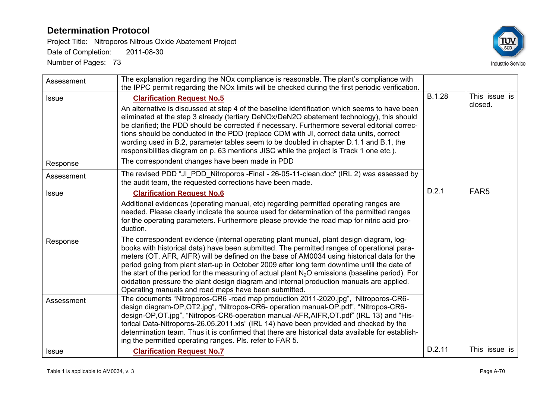Project Title: Nitroporos Nitrous Oxide Abatement Project

Date of Completion: 2011-08-30



| Assessment   | The explanation regarding the NO <sub>x</sub> compliance is reasonable. The plant's compliance with<br>the IPPC permit regarding the NOx limits will be checked during the first periodic verification.                                                                                                                                                                                                                                                                                                                                                                                                                                     |               |                          |
|--------------|---------------------------------------------------------------------------------------------------------------------------------------------------------------------------------------------------------------------------------------------------------------------------------------------------------------------------------------------------------------------------------------------------------------------------------------------------------------------------------------------------------------------------------------------------------------------------------------------------------------------------------------------|---------------|--------------------------|
| <b>Issue</b> | <b>Clarification Request No.5</b><br>An alternative is discussed at step 4 of the baseline identification which seems to have been<br>eliminated at the step 3 already (tertiary DeNOx/DeN2O abatement technology), this should<br>be clarified; the PDD should be corrected if necessary. Furthermore several editorial correc-<br>tions should be conducted in the PDD (replace CDM with JI, correct data units, correct<br>wording used in B.2, parameter tables seem to be doubled in chapter D.1.1 and B.1, the<br>responsibilities diagram on p. 63 mentions JISC while the project is Track 1 one etc.).                             | <b>B.1.28</b> | This issue is<br>closed. |
| Response     | The correspondent changes have been made in PDD                                                                                                                                                                                                                                                                                                                                                                                                                                                                                                                                                                                             |               |                          |
| Assessment   | The revised PDD "JI_PDD_Nitroporos -Final - 26-05-11-clean.doc" (IRL 2) was assessed by<br>the audit team, the requested corrections have been made.                                                                                                                                                                                                                                                                                                                                                                                                                                                                                        |               |                          |
| Issue        | <b>Clarification Request No.6</b><br>Additional evidences (operating manual, etc) regarding permitted operating ranges are<br>needed. Please clearly indicate the source used for determination of the permitted ranges<br>for the operating parameters. Furthermore please provide the road map for nitric acid pro-<br>duction.                                                                                                                                                                                                                                                                                                           | D.2.1         | FAR <sub>5</sub>         |
| Response     | The correspondent evidence (internal operating plant munual, plant design diagram, log-<br>books with historical data) have been submitted. The permitted ranges of operational para-<br>meters (OT, AFR, AIFR) will be defined on the base of AM0034 using historical data for the<br>period going from plant start-up in October 2009 after long term downtime until the date of<br>the start of the period for the measuring of actual plant $N_2O$ emissions (baseline period). For<br>oxidation pressure the plant design diagram and internal production manuals are applied.<br>Operating manuals and road maps have been submitted. |               |                          |
| Assessment   | The documents "Nitroporos-CR6-road map production 2011-2020.jpg", "Nitroporos-CR6-<br>design diagram-OP, OT2.jpg", "Nitropos-CR6- operation manual-OP.pdf", "Nitropos-CR6-<br>design-OP, OT.jpg", "Nitropos-CR6-operation manual-AFR, AIFR, OT.pdf" (IRL 13) and "His-<br>torical Data-Nitroporos-26.05.2011.xls" (IRL 14) have been provided and checked by the<br>determination team. Thus it is confirmed that there are historical data available for establish-<br>ing the permitted operating ranges. Pls. refer to FAR 5.                                                                                                            |               |                          |
| <b>Issue</b> | <b>Clarification Request No.7</b>                                                                                                                                                                                                                                                                                                                                                                                                                                                                                                                                                                                                           | D.2.11        | This issue is            |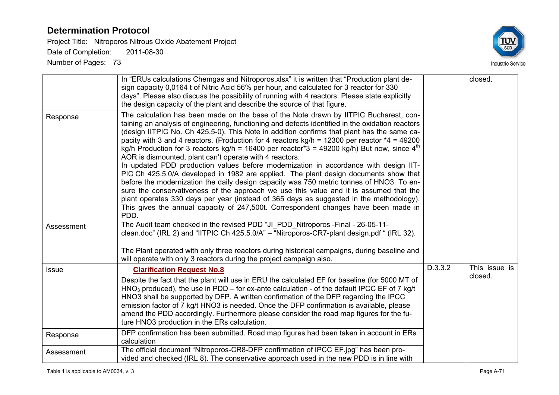Project Title: Nitroporos Nitrous Oxide Abatement Project

Date of Completion: 2011-08-30



| Response     | In "ERUs calculations Chemgas and Nitroporos.xlsx" it is written that "Production plant de-<br>sign capacity 0,0164 t of Nitric Acid 56% per hour, and calculated for 3 reactor for 330<br>days". Please also discuss the possibility of running with 4 reactors. Please state explicitly<br>the design capacity of the plant and describe the source of that figure.<br>The calculation has been made on the base of the Note drawn by IITPIC Bucharest, con-<br>taining an analysis of engineering, functioning and defects identified in the oxidation reactors<br>(design IITPIC No. Ch 425.5-0). This Note in addition confirms that plant has the same ca-<br>pacity with 3 and 4 reactors. (Production for 4 reactors $kg/h = 12300$ per reactor $*4 = 49200$<br>kg/h Production for 3 reactors kg/h = 16400 per reactor <sup>*</sup> 3 = 49200 kg/h) But now, since 4 <sup>th</sup><br>AOR is dismounted, plant can't operate with 4 reactors.<br>In updated PDD production values before modernization in accordance with design IIT-<br>PIC Ch 425.5.0/A developed in 1982 are applied. The plant design documents show that<br>before the modernization the daily design capacity was 750 metric tonnes of HNO3. To en-<br>sure the conservativeness of the approach we use this value and it is assumed that the<br>plant operates 330 days per year (instead of 365 days as suggested in the methodology). |         | closed.       |
|--------------|-------------------------------------------------------------------------------------------------------------------------------------------------------------------------------------------------------------------------------------------------------------------------------------------------------------------------------------------------------------------------------------------------------------------------------------------------------------------------------------------------------------------------------------------------------------------------------------------------------------------------------------------------------------------------------------------------------------------------------------------------------------------------------------------------------------------------------------------------------------------------------------------------------------------------------------------------------------------------------------------------------------------------------------------------------------------------------------------------------------------------------------------------------------------------------------------------------------------------------------------------------------------------------------------------------------------------------------------------------------------------------------------------------------------------|---------|---------------|
|              | This gives the annual capacity of 247,500t. Correspondent changes have been made in<br>PDD.                                                                                                                                                                                                                                                                                                                                                                                                                                                                                                                                                                                                                                                                                                                                                                                                                                                                                                                                                                                                                                                                                                                                                                                                                                                                                                                             |         |               |
| Assessment   | The Audit team checked in the revised PDD "JI PDD Nitroporos - Final - 26-05-11-<br>clean.doc" (IRL 2) and "IITPIC Ch 425.5.0/A" – "Nitroporos-CR7-plant design.pdf " (IRL 32).<br>The Plant operated with only three reactors during historical campaigns, during baseline and                                                                                                                                                                                                                                                                                                                                                                                                                                                                                                                                                                                                                                                                                                                                                                                                                                                                                                                                                                                                                                                                                                                                         |         |               |
|              | will operate with only 3 reactors during the project campaign also.<br><b>Clarification Request No.8</b>                                                                                                                                                                                                                                                                                                                                                                                                                                                                                                                                                                                                                                                                                                                                                                                                                                                                                                                                                                                                                                                                                                                                                                                                                                                                                                                | D.3.3.2 | This issue is |
| <b>Issue</b> | Despite the fact that the plant will use in ERU the calculated EF for baseline (for 5000 MT of<br>$HNO3$ produced), the use in PDD – for ex-ante calculation - of the default IPCC EF of 7 kg/t<br>HNO3 shall be supported by DFP. A written confirmation of the DFP regarding the IPCC<br>emission factor of 7 kg/t HNO3 is needed. Once the DFP confirmation is available, please<br>amend the PDD accordingly. Furthermore please consider the road map figures for the fu-<br>ture HNO3 production in the ERs calculation.                                                                                                                                                                                                                                                                                                                                                                                                                                                                                                                                                                                                                                                                                                                                                                                                                                                                                          |         | closed.       |
| Response     | DFP confirmation has been submitted. Road map figures had been taken in account in ERs<br>calculation                                                                                                                                                                                                                                                                                                                                                                                                                                                                                                                                                                                                                                                                                                                                                                                                                                                                                                                                                                                                                                                                                                                                                                                                                                                                                                                   |         |               |
| Assessment   | The official document "Nitroporos-CR8-DFP confirmation of IPCC EF.jpg" has been pro-<br>vided and checked (IRL 8). The conservative approach used in the new PDD is in line with                                                                                                                                                                                                                                                                                                                                                                                                                                                                                                                                                                                                                                                                                                                                                                                                                                                                                                                                                                                                                                                                                                                                                                                                                                        |         |               |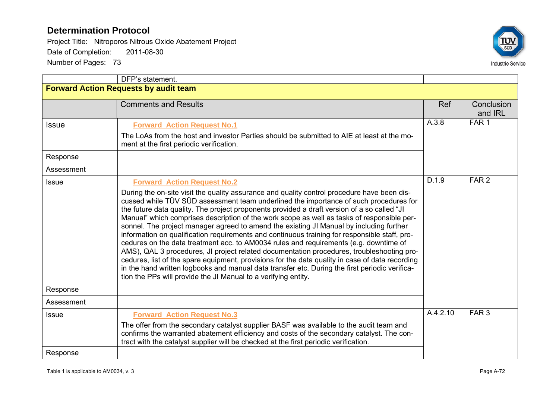Project Title: Nitroporos Nitrous Oxide Abatement Project Date of Completion: 2011-08-30



|                                              | DFP's statement.                                                                                                                                                                                                                                                                                                                                                                                                                                                                                                                                                                                                                                                                                                                                                                                                                                                                                                                                                                                                                                                                 |            |                       |  |
|----------------------------------------------|----------------------------------------------------------------------------------------------------------------------------------------------------------------------------------------------------------------------------------------------------------------------------------------------------------------------------------------------------------------------------------------------------------------------------------------------------------------------------------------------------------------------------------------------------------------------------------------------------------------------------------------------------------------------------------------------------------------------------------------------------------------------------------------------------------------------------------------------------------------------------------------------------------------------------------------------------------------------------------------------------------------------------------------------------------------------------------|------------|-----------------------|--|
| <b>Forward Action Requests by audit team</b> |                                                                                                                                                                                                                                                                                                                                                                                                                                                                                                                                                                                                                                                                                                                                                                                                                                                                                                                                                                                                                                                                                  |            |                       |  |
|                                              | <b>Comments and Results</b>                                                                                                                                                                                                                                                                                                                                                                                                                                                                                                                                                                                                                                                                                                                                                                                                                                                                                                                                                                                                                                                      | <b>Ref</b> | Conclusion<br>and IRL |  |
| <b>Issue</b>                                 | <b>Forward Action Request No.1</b><br>The LoAs from the host and investor Parties should be submitted to AIE at least at the mo-                                                                                                                                                                                                                                                                                                                                                                                                                                                                                                                                                                                                                                                                                                                                                                                                                                                                                                                                                 | A.3.8      | FAR <sub>1</sub>      |  |
|                                              | ment at the first periodic verification.                                                                                                                                                                                                                                                                                                                                                                                                                                                                                                                                                                                                                                                                                                                                                                                                                                                                                                                                                                                                                                         |            |                       |  |
| Response                                     |                                                                                                                                                                                                                                                                                                                                                                                                                                                                                                                                                                                                                                                                                                                                                                                                                                                                                                                                                                                                                                                                                  |            |                       |  |
| Assessment                                   |                                                                                                                                                                                                                                                                                                                                                                                                                                                                                                                                                                                                                                                                                                                                                                                                                                                                                                                                                                                                                                                                                  |            |                       |  |
| <b>Issue</b>                                 | <b>Forward Action Request No.2</b><br>During the on-site visit the quality assurance and quality control procedure have been dis-<br>cussed while TÜV SÜD assessment team underlined the importance of such procedures for<br>the future data quality. The project proponents provided a draft version of a so called "JI<br>Manual" which comprises description of the work scope as well as tasks of responsible per-<br>sonnel. The project manager agreed to amend the existing JI Manual by including further<br>information on qualification requirements and continuous training for responsible staff, pro-<br>cedures on the data treatment acc. to AM0034 rules and requirements (e.g. downtime of<br>AMS), QAL 3 procedures, JI project related documentation procedures, troubleshooting pro-<br>cedures, list of the spare equipment, provisions for the data quality in case of data recording<br>in the hand written logbooks and manual data transfer etc. During the first periodic verifica-<br>tion the PPs will provide the JI Manual to a verifying entity. | D.1.9      | FAR <sub>2</sub>      |  |
| Response                                     |                                                                                                                                                                                                                                                                                                                                                                                                                                                                                                                                                                                                                                                                                                                                                                                                                                                                                                                                                                                                                                                                                  |            |                       |  |
| Assessment                                   |                                                                                                                                                                                                                                                                                                                                                                                                                                                                                                                                                                                                                                                                                                                                                                                                                                                                                                                                                                                                                                                                                  |            |                       |  |
| <b>Issue</b>                                 | <b>Forward Action Request No.3</b><br>The offer from the secondary catalyst supplier BASF was available to the audit team and<br>confirms the warranted abatement efficiency and costs of the secondary catalyst. The con-<br>tract with the catalyst supplier will be checked at the first periodic verification.                                                                                                                                                                                                                                                                                                                                                                                                                                                                                                                                                                                                                                                                                                                                                               | A.4.2.10   | FAR <sub>3</sub>      |  |
| Response                                     |                                                                                                                                                                                                                                                                                                                                                                                                                                                                                                                                                                                                                                                                                                                                                                                                                                                                                                                                                                                                                                                                                  |            |                       |  |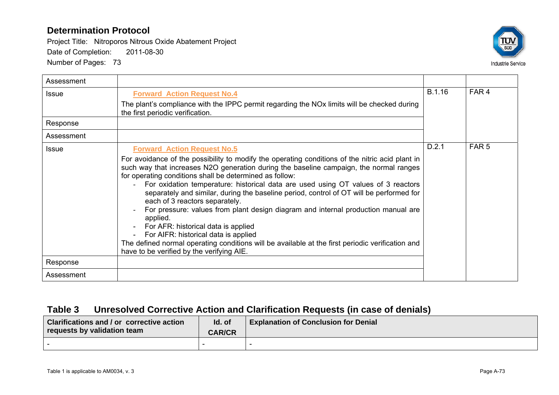Project Title: Nitroporos Nitrous Oxide Abatement Project Date of Completion: 2011-08-30

Number of Pages: 73



| Assessment   |                                                                                                                                                                                                                                                                                                                                                                                                                                                                                                                                                                                                                                                                                                                                                                                                                                               |        |                  |
|--------------|-----------------------------------------------------------------------------------------------------------------------------------------------------------------------------------------------------------------------------------------------------------------------------------------------------------------------------------------------------------------------------------------------------------------------------------------------------------------------------------------------------------------------------------------------------------------------------------------------------------------------------------------------------------------------------------------------------------------------------------------------------------------------------------------------------------------------------------------------|--------|------------------|
| <b>Issue</b> | <b>Forward Action Request No.4</b><br>The plant's compliance with the IPPC permit regarding the NO <sub>x</sub> limits will be checked during<br>the first periodic verification.                                                                                                                                                                                                                                                                                                                                                                                                                                                                                                                                                                                                                                                             | B.1.16 | FAR <sub>4</sub> |
| Response     |                                                                                                                                                                                                                                                                                                                                                                                                                                                                                                                                                                                                                                                                                                                                                                                                                                               |        |                  |
| Assessment   |                                                                                                                                                                                                                                                                                                                                                                                                                                                                                                                                                                                                                                                                                                                                                                                                                                               |        |                  |
| <b>Issue</b> | <b>Forward Action Request No.5</b><br>For avoidance of the possibility to modify the operating conditions of the nitric acid plant in<br>such way that increases N2O generation during the baseline campaign, the normal ranges<br>for operating conditions shall be determined as follow:<br>For oxidation temperature: historical data are used using OT values of 3 reactors<br>separately and similar, during the baseline period, control of OT will be performed for<br>each of 3 reactors separately.<br>For pressure: values from plant design diagram and internal production manual are<br>applied.<br>For AFR: historical data is applied<br>For AIFR: historical data is applied<br>The defined normal operating conditions will be available at the first periodic verification and<br>have to be verified by the verifying AIE. | D.2.1  | FAR <sub>5</sub> |
| Response     |                                                                                                                                                                                                                                                                                                                                                                                                                                                                                                                                                                                                                                                                                                                                                                                                                                               |        |                  |
| Assessment   |                                                                                                                                                                                                                                                                                                                                                                                                                                                                                                                                                                                                                                                                                                                                                                                                                                               |        |                  |

# **Table 3 Unresolved Corrective Action and Clarification Requests (in case of denials)**

| <b>Clarifications and / or corrective action</b><br>requests by validation team | Id. of<br><b>CAR/CR</b> | <b>Explanation of Conclusion for Denial</b> |
|---------------------------------------------------------------------------------|-------------------------|---------------------------------------------|
|                                                                                 |                         |                                             |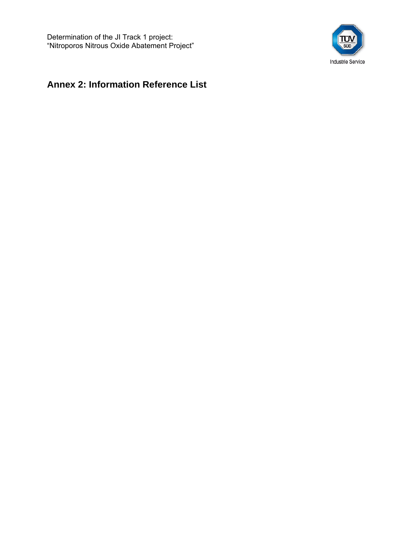

# **Annex 2: Information Reference List**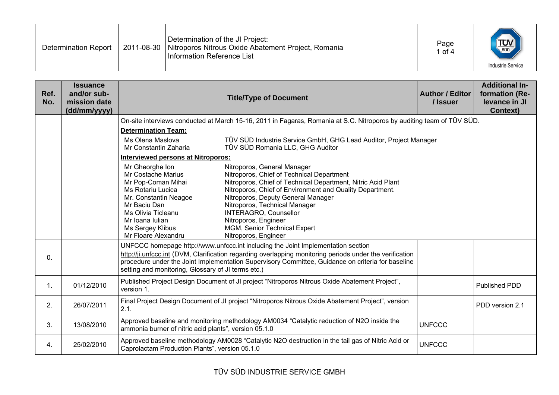| Determination of the JI Project:<br>$\frac{1}{\sqrt{\frac{1}{200}}}$<br>Page<br>2011-08-30   Nitroporos Nitrous Oxide Abatement Project, Romania<br>Determination Report<br>of 4<br>Information Reference List<br><b>Industrie Service</b> |  |
|--------------------------------------------------------------------------------------------------------------------------------------------------------------------------------------------------------------------------------------------|--|
|--------------------------------------------------------------------------------------------------------------------------------------------------------------------------------------------------------------------------------------------|--|

| Ref.<br>No.    | <b>Issuance</b><br>and/or sub-<br>mission date<br>(dd/mm/yyyy) |                                                       | <b>Title/Type of Document</b>                                                                                         | <b>Author / Editor</b><br>/ Issuer | <b>Additional In-</b><br>formation (Re-<br>levance in JI<br><b>Context)</b> |
|----------------|----------------------------------------------------------------|-------------------------------------------------------|-----------------------------------------------------------------------------------------------------------------------|------------------------------------|-----------------------------------------------------------------------------|
|                |                                                                |                                                       | On-site interviews conducted at March 15-16, 2011 in Fagaras, Romania at S.C. Nitroporos by auditing team of TÜV SÜD. |                                    |                                                                             |
|                |                                                                | <b>Determination Team:</b>                            |                                                                                                                       |                                    |                                                                             |
|                |                                                                | Ms Olena Maslova<br>Mr Constantin Zaharia             | TÜV SÜD Industrie Service GmbH, GHG Lead Auditor, Project Manager<br>TÜV SÜD Romania LLC, GHG Auditor                 |                                    |                                                                             |
|                |                                                                | Interviewed persons at Nitroporos:                    |                                                                                                                       |                                    |                                                                             |
|                |                                                                | Mr Gheorghe Ion                                       | Nitroporos, General Manager                                                                                           |                                    |                                                                             |
|                |                                                                | Mr Costache Marius<br>Mr Pop-Coman Mihai              | Nitroporos, Chief of Technical Department<br>Nitroporos, Chief of Technical Department, Nitric Acid Plant             |                                    |                                                                             |
|                |                                                                | Ms Rotariu Lucica                                     | Nitroporos, Chief of Environment and Quality Department.                                                              |                                    |                                                                             |
|                |                                                                | Mr. Constantin Neagoe                                 | Nitroporos, Deputy General Manager                                                                                    |                                    |                                                                             |
|                |                                                                | Mr Baciu Dan<br>Ms Olivia Ticleanu                    | Nitroporos, Technical Manager<br><b>INTERAGRO, Counsellor</b>                                                         |                                    |                                                                             |
|                |                                                                | Mr Ioana Iulian                                       | Nitroporos, Engineer                                                                                                  |                                    |                                                                             |
|                |                                                                | Ms Sergey Klibus<br>Mr Floare Alexandru               | MGM, Senior Technical Expert<br>Nitroporos, Engineer                                                                  |                                    |                                                                             |
|                |                                                                |                                                       | UNFCCC homepage http://www.unfccc.int including the Joint Implementation section                                      |                                    |                                                                             |
|                |                                                                |                                                       | http://ji.unfccc.int (DVM, Clarification regarding overlapping monitoring periods under the verification              |                                    |                                                                             |
| $\mathbf{0}$ . |                                                                |                                                       | procedure under the Joint Implementation Supervisory Committee, Guidance on criteria for baseline                     |                                    |                                                                             |
|                |                                                                | setting and monitoring, Glossary of JI terms etc.)    |                                                                                                                       |                                    |                                                                             |
| $\mathbf{1}$ . | 01/12/2010                                                     | version 1.                                            | Published Project Design Document of JI project "Nitroporos Nitrous Oxide Abatement Project",                         |                                    | Published PDD                                                               |
| 2.             | 26/07/2011                                                     | 2.1.                                                  | Final Project Design Document of JI project "Nitroporos Nitrous Oxide Abatement Project", version                     |                                    | PDD version 2.1                                                             |
| 3.             | 13/08/2010                                                     | ammonia burner of nitric acid plants", version 05.1.0 | Approved baseline and monitoring methodology AM0034 "Catalytic reduction of N2O inside the                            | <b>UNFCCC</b>                      |                                                                             |
| 4.             | 25/02/2010                                                     | Caprolactam Production Plants", version 05.1.0        | Approved baseline methodology AM0028 "Catalytic N2O destruction in the tail gas of Nitric Acid or                     | <b>UNFCCC</b>                      |                                                                             |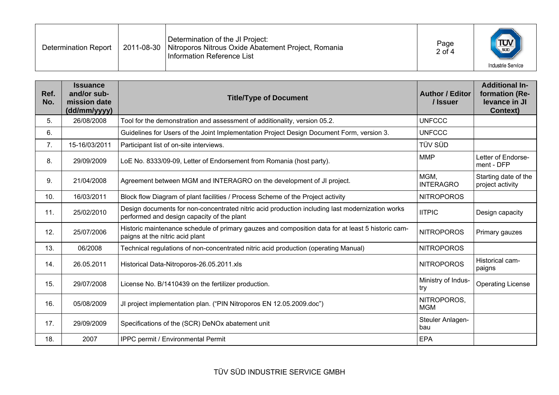| Determination of the JI Project:<br>Nitroporos Nitrous Oxide Abatement Project, Romania<br>2011-08-30<br>Determination Report<br>Information Reference List | Page<br>2 of 4 | $T_{\text{sub}}$<br><b>Industrie Service</b> |
|-------------------------------------------------------------------------------------------------------------------------------------------------------------|----------------|----------------------------------------------|
|                                                                                                                                                             |                |                                              |

| Ref.<br>No. | <b>Issuance</b><br>and/or sub-<br>mission date<br>(dd/mm/yyyy) | <b>Title/Type of Document</b>                                                                                                                 | <b>Author / Editor</b><br>/ Issuer | <b>Additional In-</b><br>formation (Re-<br>levance in JI<br><b>Context)</b> |
|-------------|----------------------------------------------------------------|-----------------------------------------------------------------------------------------------------------------------------------------------|------------------------------------|-----------------------------------------------------------------------------|
| 5.          | 26/08/2008                                                     | Tool for the demonstration and assessment of additionality, version 05.2.                                                                     | <b>UNFCCC</b>                      |                                                                             |
| 6.          |                                                                | Guidelines for Users of the Joint Implementation Project Design Document Form, version 3.                                                     | <b>UNFCCC</b>                      |                                                                             |
| 7.          | 15-16/03/2011                                                  | Participant list of on-site interviews.                                                                                                       | TÜV SÜD                            |                                                                             |
| 8.          | 29/09/2009                                                     | LoE No. 8333/09-09, Letter of Endorsement from Romania (host party).                                                                          | <b>MMP</b>                         | Letter of Endorse-<br>ment - DFP                                            |
| 9.          | 21/04/2008                                                     | Agreement between MGM and INTERAGRO on the development of JI project.                                                                         | MGM.<br><b>INTERAGRO</b>           | Starting date of the<br>project activity                                    |
| 10.         | 16/03/2011                                                     | Block flow Diagram of plant facilities / Process Scheme of the Project activity                                                               | <b>NITROPOROS</b>                  |                                                                             |
| 11.         | 25/02/2010                                                     | Design documents for non-concentrated nitric acid production including last modernization works<br>performed and design capacity of the plant | <b>IITPIC</b>                      | Design capacity                                                             |
| 12.         | 25/07/2006                                                     | Historic maintenance schedule of primary gauzes and composition data for at least 5 historic cam-<br>paigns at the nitric acid plant          | <b>NITROPOROS</b>                  | Primary gauzes                                                              |
| 13.         | 06/2008                                                        | Technical regulations of non-concentrated nitric acid production (operating Manual)                                                           | <b>NITROPOROS</b>                  |                                                                             |
| 14.         | 26.05.2011                                                     | Historical Data-Nitroporos-26.05.2011.xls                                                                                                     | <b>NITROPOROS</b>                  | Historical cam-<br>paigns                                                   |
| 15.         | 29/07/2008                                                     | License No. B/1410439 on the fertilizer production.                                                                                           | Ministry of Indus-<br>try          | <b>Operating License</b>                                                    |
| 16.         | 05/08/2009                                                     | JI project implementation plan. ("PIN Nitroporos EN 12.05.2009.doc")                                                                          | NITROPOROS,<br><b>MGM</b>          |                                                                             |
| 17.         | 29/09/2009                                                     | Specifications of the (SCR) DeNOx abatement unit                                                                                              | Steuler Anlagen-<br>bau            |                                                                             |
| 18.         | 2007                                                           | IPPC permit / Environmental Permit                                                                                                            | <b>EPA</b>                         |                                                                             |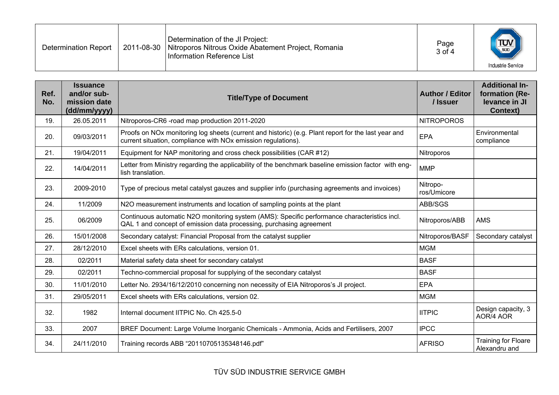| Determination of the JI Project:<br>$T_{\text{sub}}$<br>Page<br>2011-08-30<br>Nitroporos Nitrous Oxide Abatement Project, Romania<br>Determination Report<br>3 of 4<br>Information Reference List<br><b>Industrie Service</b> |  |
|-------------------------------------------------------------------------------------------------------------------------------------------------------------------------------------------------------------------------------|--|
|-------------------------------------------------------------------------------------------------------------------------------------------------------------------------------------------------------------------------------|--|

| Ref.<br>No. | <b>Issuance</b><br>and/or sub-<br>mission date<br>(dd/mm/yyyy) | <b>Title/Type of Document</b>                                                                                                                                                    | <b>Author / Editor</b><br>/ Issuer | <b>Additional In-</b><br>formation (Re-<br>levance in JI<br><b>Context)</b> |
|-------------|----------------------------------------------------------------|----------------------------------------------------------------------------------------------------------------------------------------------------------------------------------|------------------------------------|-----------------------------------------------------------------------------|
| 19.         | 26.05.2011                                                     | Nitroporos-CR6 -road map production 2011-2020                                                                                                                                    | <b>NITROPOROS</b>                  |                                                                             |
| 20.         | 09/03/2011                                                     | Proofs on NOx monitoring log sheets (current and historic) (e.g. Plant report for the last year and<br>current situation, compliance with NO <sub>x</sub> emission regulations). | EPA                                | Environmental<br>compliance                                                 |
| 21.         | 19/04/2011                                                     | Equipment for NAP monitoring and cross check possibilities (CAR #12)                                                                                                             | Nitroporos                         |                                                                             |
| 22.         | 14/04/2011                                                     | Letter from Ministry regarding the applicability of the benchmark baseline emission factor with eng-<br>lish translation.                                                        | <b>MMP</b>                         |                                                                             |
| 23.         | 2009-2010                                                      | Type of precious metal catalyst gauzes and supplier info (purchasing agreements and invoices)                                                                                    | Nitropo-<br>ros/Umicore            |                                                                             |
| 24.         | 11/2009                                                        | N2O measurement instruments and location of sampling points at the plant                                                                                                         | ABB/SGS                            |                                                                             |
| 25.         | 06/2009                                                        | Continuous automatic N2O monitoring system (AMS): Specific performance characteristics incl.<br>QAL 1 and concept of emission data processing, purchasing agreement              | Nitroporos/ABB                     | <b>AMS</b>                                                                  |
| 26.         | 15/01/2008                                                     | Secondary catalyst: Financial Proposal from the catalyst supplier                                                                                                                | Nitroporos/BASF                    | Secondary catalyst                                                          |
| 27.         | 28/12/2010                                                     | Excel sheets with ERs calculations, version 01.                                                                                                                                  | <b>MGM</b>                         |                                                                             |
| 28.         | 02/2011                                                        | Material safety data sheet for secondary catalyst                                                                                                                                | <b>BASF</b>                        |                                                                             |
| 29.         | 02/2011                                                        | Techno-commercial proposal for supplying of the secondary catalyst                                                                                                               | <b>BASF</b>                        |                                                                             |
| 30.         | 11/01/2010                                                     | Letter No. 2934/16/12/2010 concerning non necessity of EIA Nitroporos's JI project.                                                                                              | <b>EPA</b>                         |                                                                             |
| 31.         | 29/05/2011                                                     | Excel sheets with ERs calculations, version 02.                                                                                                                                  | <b>MGM</b>                         |                                                                             |
| 32.         | 1982                                                           | Internal document IITPIC No. Ch 425.5-0                                                                                                                                          | <b>IITPIC</b>                      | Design capacity, 3<br>AOR/4 AOR                                             |
| 33.         | 2007                                                           | BREF Document: Large Volume Inorganic Chemicals - Ammonia, Acids and Fertilisers, 2007                                                                                           | <b>IPCC</b>                        |                                                                             |
| 34.         | 24/11/2010                                                     | Training records ABB "20110705135348146.pdf"                                                                                                                                     | <b>AFRISO</b>                      | Training for Floare<br>Alexandru and                                        |